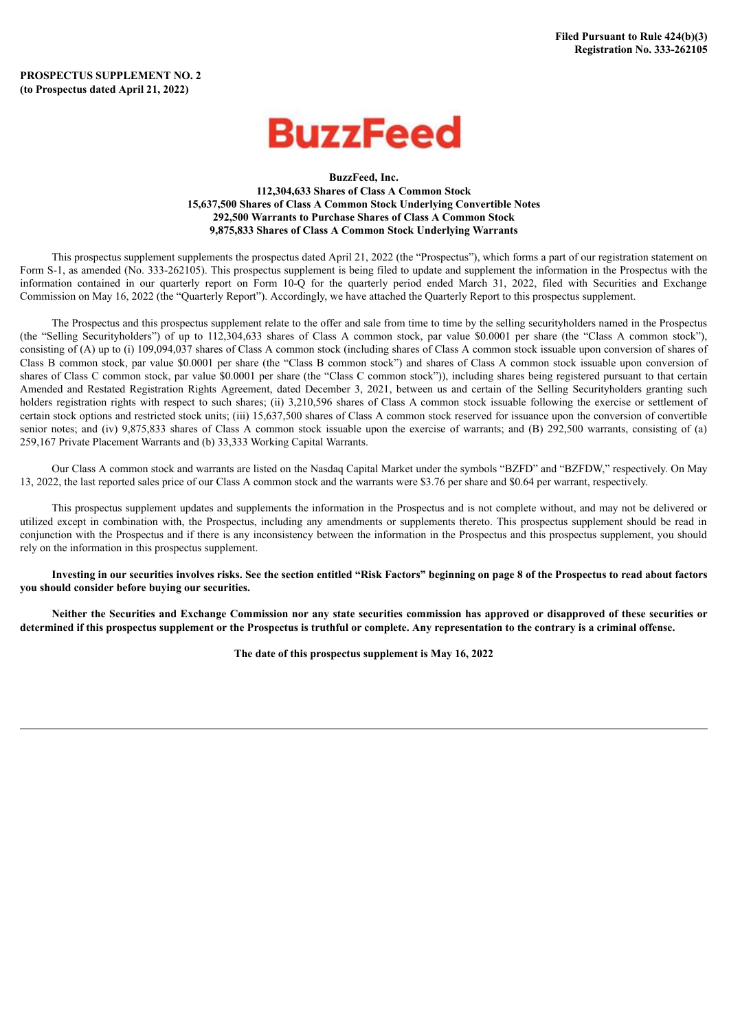

# **BuzzFeed, Inc. 112,304,633 Shares of Class A Common Stock 15,637,500 Shares of Class A Common Stock Underlying Convertible Notes 292,500 Warrants to Purchase Shares of Class A Common Stock 9,875,833 Shares of Class A Common Stock Underlying Warrants**

This prospectus supplement supplements the prospectus dated April 21, 2022 (the "Prospectus"), which forms a part of our registration statement on Form S-1, as amended (No. 333-262105). This prospectus supplement is being filed to update and supplement the information in the Prospectus with the information contained in our quarterly report on Form 10-Q for the quarterly period ended March 31, 2022, filed with Securities and Exchange Commission on May 16, 2022 (the "Quarterly Report"). Accordingly, we have attached the Quarterly Report to this prospectus supplement.

The Prospectus and this prospectus supplement relate to the offer and sale from time to time by the selling securityholders named in the Prospectus (the "Selling Securityholders") of up to 112,304,633 shares of Class A common stock, par value \$0.0001 per share (the "Class A common stock"), consisting of (A) up to (i) 109,094,037 shares of Class A common stock (including shares of Class A common stock issuable upon conversion of shares of Class B common stock, par value \$0.0001 per share (the "Class B common stock") and shares of Class A common stock issuable upon conversion of shares of Class C common stock, par value \$0.0001 per share (the "Class C common stock")), including shares being registered pursuant to that certain Amended and Restated Registration Rights Agreement, dated December 3, 2021, between us and certain of the Selling Securityholders granting such holders registration rights with respect to such shares; (ii) 3,210,596 shares of Class A common stock issuable following the exercise or settlement of certain stock options and restricted stock units; (iii) 15,637,500 shares of Class A common stock reserved for issuance upon the conversion of convertible senior notes; and (iv) 9,875,833 shares of Class A common stock issuable upon the exercise of warrants; and (B) 292,500 warrants, consisting of (a) 259,167 Private Placement Warrants and (b) 33,333 Working Capital Warrants.

Our Class A common stock and warrants are listed on the Nasdaq Capital Market under the symbols "BZFD" and "BZFDW," respectively. On May 13, 2022, the last reported sales price of our Class A common stock and the warrants were \$3.76 per share and \$0.64 per warrant, respectively.

This prospectus supplement updates and supplements the information in the Prospectus and is not complete without, and may not be delivered or utilized except in combination with, the Prospectus, including any amendments or supplements thereto. This prospectus supplement should be read in conjunction with the Prospectus and if there is any inconsistency between the information in the Prospectus and this prospectus supplement, you should rely on the information in this prospectus supplement.

Investing in our securities involves risks. See the section entitled "Risk Factors" beginning on page 8 of the Prospectus to read about factors **you should consider before buying our securities.**

Neither the Securities and Exchange Commission nor any state securities commission has approved or disapproved of these securities or determined if this prospectus supplement or the Prospectus is truthful or complete. Any representation to the contrary is a criminal offense.

**The date of this prospectus supplement is May 16, 2022**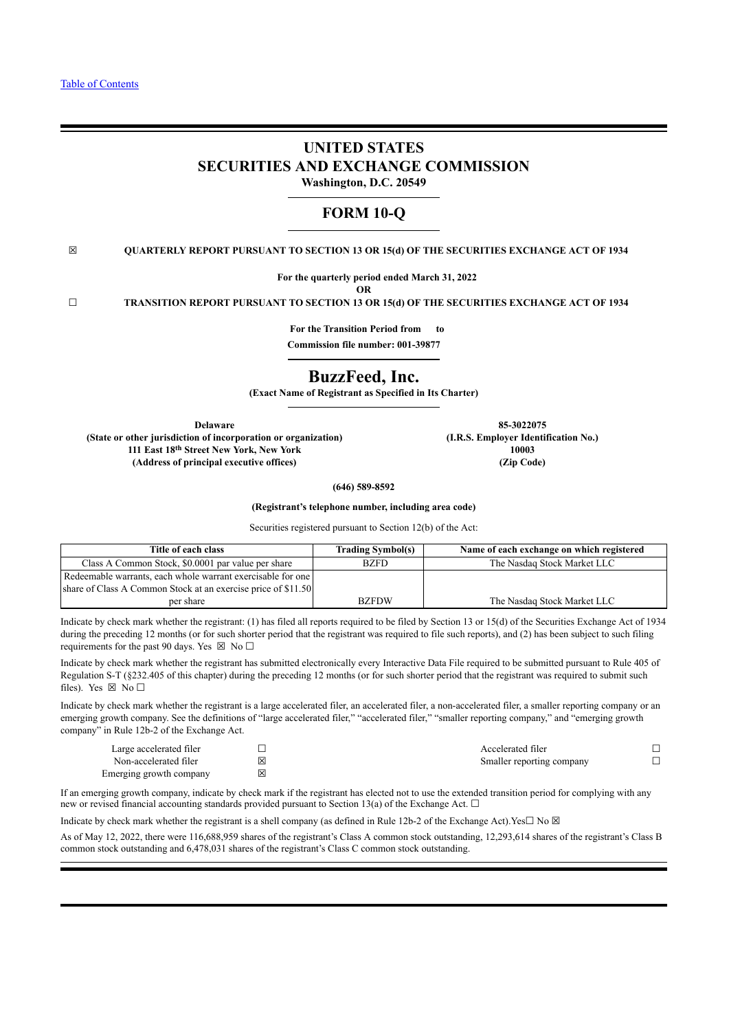# **UNITED STATES SECURITIES AND EXCHANGE COMMISSION**

**Washington, D.C. 20549**

# **FORM 10-Q**

☒ **QUARTERLY REPORT PURSUANT TO SECTION 13 OR 15(d) OF THE SECURITIES EXCHANGE ACT OF 1934**

**For the quarterly period ended March 31, 2022 OR**

☐ **TRANSITION REPORT PURSUANT TO SECTION 13 OR 15(d) OF THE SECURITIES EXCHANGE ACT OF 1934**

**For the Transition Period from to**

**Commission file number: 001-39877**

# **BuzzFeed, Inc.**

**(Exact Name of Registrant as Specified in Its Charter)**

**Delaware 85-3022075 (State or other jurisdiction of incorporation or organization) (I.R.S. Employer Identification No.) 111 East 18th Street New York, New York 10003 (Address of principal executive offices) (Zip Code)**

#### **(646) 589-8592**

**(Registrant's telephone number, including area code)**

Securities registered pursuant to Section 12(b) of the Act:

| Title of each class                                           | <b>Trading Symbol(s)</b> | Name of each exchange on which registered |
|---------------------------------------------------------------|--------------------------|-------------------------------------------|
| Class A Common Stock, \$0,0001 par value per share            | <b>BZFD</b>              | The Nasdaq Stock Market LLC               |
| Redeemable warrants, each whole warrant exercisable for one   |                          |                                           |
| share of Class A Common Stock at an exercise price of \$11.50 |                          |                                           |
| per share                                                     | <b>BZFDW</b>             | The Nasdag Stock Market LLC               |

Indicate by check mark whether the registrant: (1) has filed all reports required to be filed by Section 13 or 15(d) of the Securities Exchange Act of 1934 during the preceding 12 months (or for such shorter period that the registrant was required to file such reports), and (2) has been subject to such filing requirements for the past 90 days. Yes  $\boxtimes$  No  $\Box$ 

Indicate by check mark whether the registrant has submitted electronically every Interactive Data File required to be submitted pursuant to Rule 405 of Regulation S-T (§232.405 of this chapter) during the preceding 12 months (or for such shorter period that the registrant was required to submit such files). Yes  $\boxtimes$  No  $\square$ 

Indicate by check mark whether the registrant is a large accelerated filer, an accelerated filer, a non-accelerated filer, a smaller reporting company or an emerging growth company. See the definitions of "large accelerated filer," "accelerated filer," "smaller reporting company," and "emerging growth company" in Rule 12b-2 of the Exchange Act.

| Large accelerated filer |   | Accelerated filer         |  |
|-------------------------|---|---------------------------|--|
| Non-accelerated filer   | ⊠ | Smaller reporting company |  |
| Emerging growth company | ⊠ |                           |  |

If an emerging growth company, indicate by check mark if the registrant has elected not to use the extended transition period for complying with any new or revised financial accounting standards provided pursuant to Section 13(a) of the Exchange Act.  $\Box$ 

Indicate by check mark whether the registrant is a shell company (as defined in Rule 12b-2 of the Exchange Act).Yes $\Box$  No  $\boxtimes$ 

As of May 12, 2022, there were 116,688,959 shares of the registrant's Class A common stock outstanding, 12,293,614 shares of the registrant's Class B common stock outstanding and 6,478,031 shares of the registrant's Class C common stock outstanding.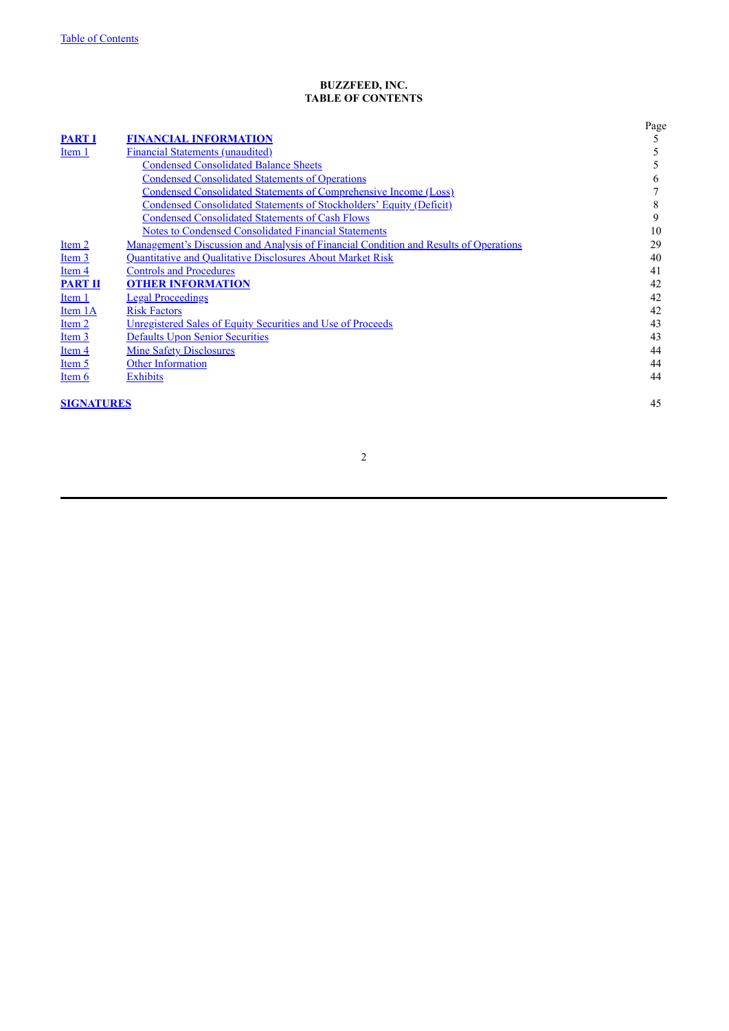# **BUZZFEED, INC. TABLE OF CONTENTS**

<span id="page-2-0"></span>

|                   |                                                                                       | Page |
|-------------------|---------------------------------------------------------------------------------------|------|
| <b>PART I</b>     | <b>FINANCIAL INFORMATION</b>                                                          |      |
| Item 1            | <b>Financial Statements (unaudited)</b>                                               |      |
|                   | <b>Condensed Consolidated Balance Sheets</b>                                          |      |
|                   | <b>Condensed Consolidated Statements of Operations</b>                                |      |
|                   | <b>Condensed Consolidated Statements of Comprehensive Income (Loss)</b>               |      |
|                   | <b>Condensed Consolidated Statements of Stockholders' Equity (Deficit)</b>            |      |
|                   | <b>Condensed Consolidated Statements of Cash Flows</b>                                | 9    |
|                   | <b>Notes to Condensed Consolidated Financial Statements</b>                           | 10   |
| Item 2            | Management's Discussion and Analysis of Financial Condition and Results of Operations | 29   |
| Item 3            | Quantitative and Qualitative Disclosures About Market Risk                            | 40   |
| Item 4            | <b>Controls and Procedures</b>                                                        | 41   |
| <b>PART II</b>    | <b>OTHER INFORMATION</b>                                                              | 42   |
| Item 1            | <b>Legal Proceedings</b>                                                              | 42   |
| Item 1A           | <b>Risk Factors</b>                                                                   | 42   |
| Item 2            | Unregistered Sales of Equity Securities and Use of Proceeds                           | 43   |
| Item 3            | <b>Defaults Upon Senior Securities</b>                                                | 43   |
| Item 4            | <b>Mine Safety Disclosures</b>                                                        | 44   |
| Item 5            | <b>Other Information</b>                                                              | 44   |
| Item 6            | <b>Exhibits</b>                                                                       | 44   |
| <b>SIGNATURES</b> |                                                                                       | 45   |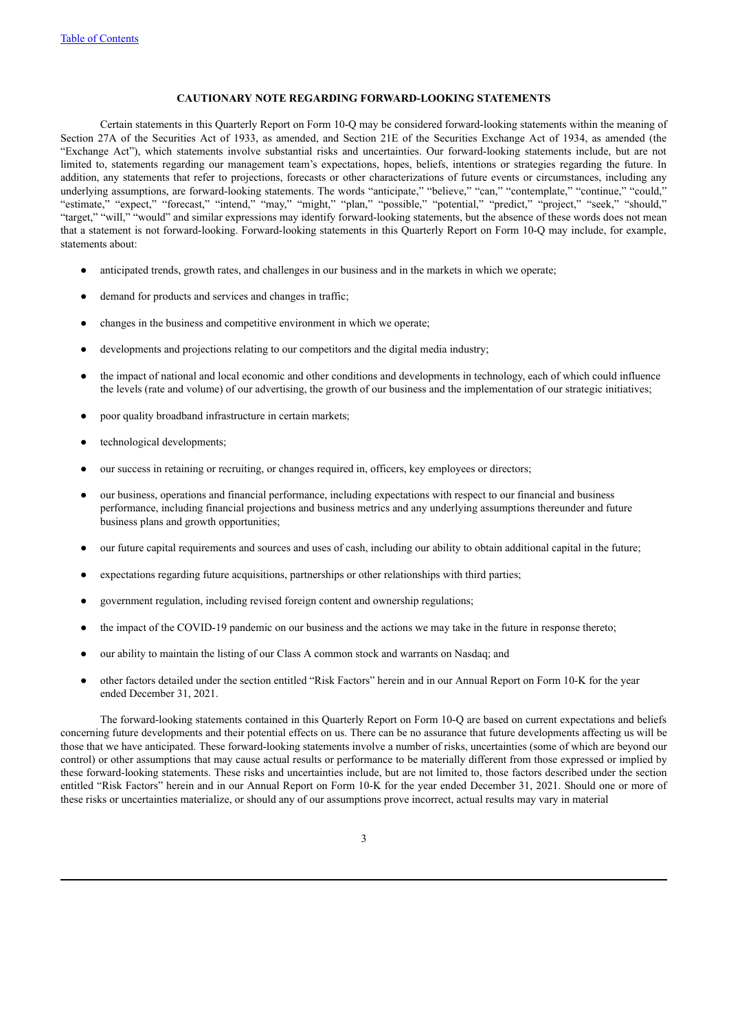# **CAUTIONARY NOTE REGARDING FORWARD-LOOKING STATEMENTS**

Certain statements in this Quarterly Report on Form 10-Q may be considered forward-looking statements within the meaning of Section 27A of the Securities Act of 1933, as amended, and Section 21E of the Securities Exchange Act of 1934, as amended (the "Exchange Act"), which statements involve substantial risks and uncertainties. Our forward-looking statements include, but are not limited to, statements regarding our management team's expectations, hopes, beliefs, intentions or strategies regarding the future. In addition, any statements that refer to projections, forecasts or other characterizations of future events or circumstances, including any underlying assumptions, are forward-looking statements. The words "anticipate," "believe," "can," "contemplate," "continue," "could," "estimate," "expect," "forecast," "intend," "may," "might," "plan," "possible," "potential," "predict," "project," "seek," "should," "target," "will," "would" and similar expressions may identify forward-looking statements, but the absence of these words does not mean that a statement is not forward-looking. Forward-looking statements in this Quarterly Report on Form 10-Q may include, for example, statements about:

- anticipated trends, growth rates, and challenges in our business and in the markets in which we operate;
- demand for products and services and changes in traffic;
- changes in the business and competitive environment in which we operate;
- developments and projections relating to our competitors and the digital media industry;
- the impact of national and local economic and other conditions and developments in technology, each of which could influence the levels (rate and volume) of our advertising, the growth of our business and the implementation of our strategic initiatives;
- poor quality broadband infrastructure in certain markets;
- technological developments;
- our success in retaining or recruiting, or changes required in, officers, key employees or directors;
- our business, operations and financial performance, including expectations with respect to our financial and business performance, including financial projections and business metrics and any underlying assumptions thereunder and future business plans and growth opportunities;
- our future capital requirements and sources and uses of cash, including our ability to obtain additional capital in the future;
- expectations regarding future acquisitions, partnerships or other relationships with third parties;
- government regulation, including revised foreign content and ownership regulations;
- the impact of the COVID-19 pandemic on our business and the actions we may take in the future in response thereto;
- our ability to maintain the listing of our Class A common stock and warrants on Nasdaq; and
- other factors detailed under the section entitled "Risk Factors" herein and in our Annual Report on Form 10-K for the year ended December 31, 2021.

The forward-looking statements contained in this Quarterly Report on Form 10-Q are based on current expectations and beliefs concerning future developments and their potential effects on us. There can be no assurance that future developments affecting us will be those that we have anticipated. These forward-looking statements involve a number of risks, uncertainties (some of which are beyond our control) or other assumptions that may cause actual results or performance to be materially different from those expressed or implied by these forward-looking statements. These risks and uncertainties include, but are not limited to, those factors described under the section entitled "Risk Factors" herein and in our Annual Report on Form 10-K for the year ended December 31, 2021. Should one or more of these risks or uncertainties materialize, or should any of our assumptions prove incorrect, actual results may vary in material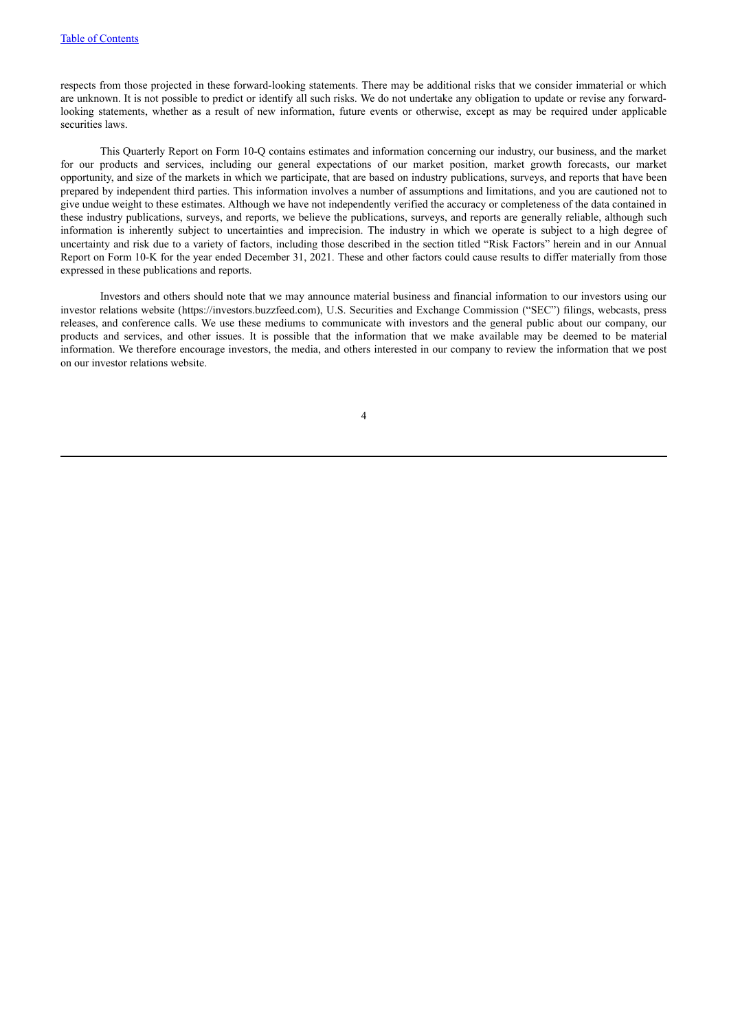respects from those projected in these forward-looking statements. There may be additional risks that we consider immaterial or which are unknown. It is not possible to predict or identify all such risks. We do not undertake any obligation to update or revise any forwardlooking statements, whether as a result of new information, future events or otherwise, except as may be required under applicable securities laws.

This Quarterly Report on Form 10-Q contains estimates and information concerning our industry, our business, and the market for our products and services, including our general expectations of our market position, market growth forecasts, our market opportunity, and size of the markets in which we participate, that are based on industry publications, surveys, and reports that have been prepared by independent third parties. This information involves a number of assumptions and limitations, and you are cautioned not to give undue weight to these estimates. Although we have not independently verified the accuracy or completeness of the data contained in these industry publications, surveys, and reports, we believe the publications, surveys, and reports are generally reliable, although such information is inherently subject to uncertainties and imprecision. The industry in which we operate is subject to a high degree of uncertainty and risk due to a variety of factors, including those described in the section titled "Risk Factors" herein and in our Annual Report on Form 10-K for the year ended December 31, 2021. These and other factors could cause results to differ materially from those expressed in these publications and reports.

Investors and others should note that we may announce material business and financial information to our investors using our investor relations website (https://investors.buzzfeed.com), U.S. Securities and Exchange Commission ("SEC") filings, webcasts, press releases, and conference calls. We use these mediums to communicate with investors and the general public about our company, our products and services, and other issues. It is possible that the information that we make available may be deemed to be material information. We therefore encourage investors, the media, and others interested in our company to review the information that we post on our investor relations website.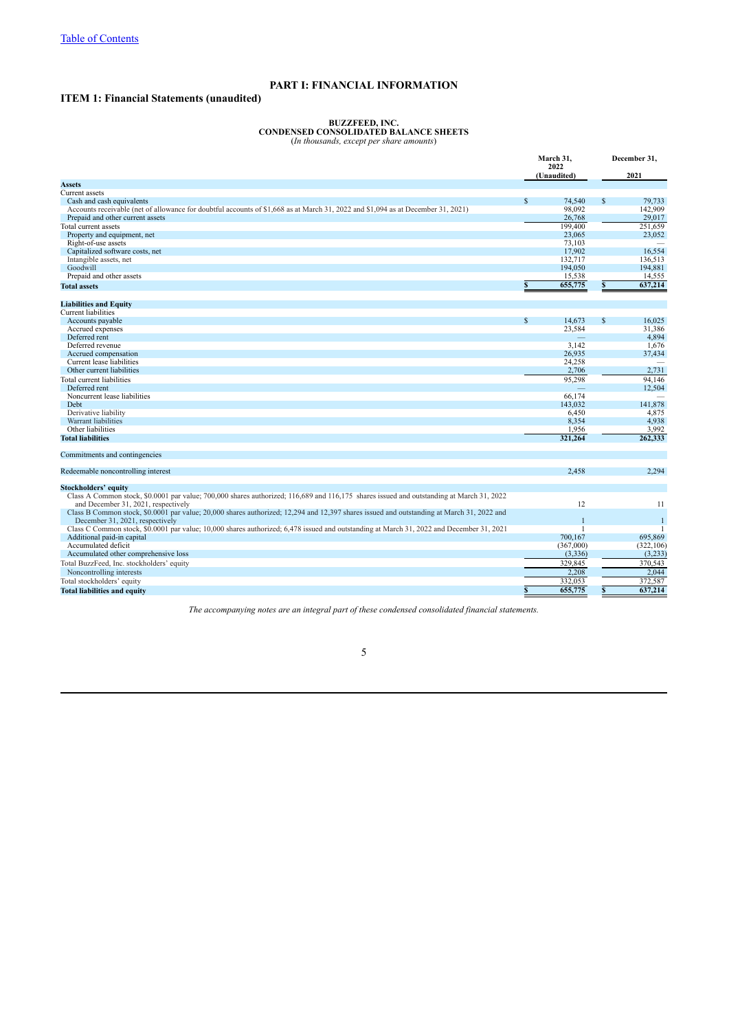# <span id="page-5-1"></span>**PART I: FINANCIAL INFORMATION**

# **ITEM 1: Financial Statements (unaudited)**

# **BUZZFEED, INC. CONDENSED CONSOLIDATED BALANCE SHEETS** (*In thousands, except per share amounts*)

<span id="page-5-0"></span>

<span id="page-5-2"></span>

|                                                                                                                                           | March 31,<br>2022 |              |    | December 31, |
|-------------------------------------------------------------------------------------------------------------------------------------------|-------------------|--------------|----|--------------|
|                                                                                                                                           |                   | (Unaudited)  |    | 2021         |
| <b>Assets</b>                                                                                                                             |                   |              |    |              |
| Current assets                                                                                                                            |                   |              |    |              |
| Cash and cash equivalents                                                                                                                 | $\mathsf{s}$      | 74,540       | S. | 79,733       |
| Accounts receivable (net of allowance for doubtful accounts of \$1,668 as at March 31, 2022 and \$1,094 as at December 31, 2021)          |                   | 98,092       |    | 142,909      |
| Prepaid and other current assets                                                                                                          |                   | 26,768       |    | 29,017       |
| Total current assets                                                                                                                      |                   | 199.400      |    | 251,659      |
| Property and equipment, net                                                                                                               |                   | 23.065       |    | 23,052       |
| Right-of-use assets                                                                                                                       |                   | 73,103       |    |              |
| Capitalized software costs, net                                                                                                           |                   | 17.902       |    | 16,554       |
| Intangible assets, net                                                                                                                    |                   | 132,717      |    | 136,513      |
| Goodwill                                                                                                                                  |                   | 194,050      |    | 194,881      |
| Prepaid and other assets                                                                                                                  |                   | 15,538       |    | 14,555       |
| <b>Total assets</b>                                                                                                                       | $\mathbf{s}$      | 655,775      | \$ | 637,214      |
|                                                                                                                                           |                   |              |    |              |
| <b>Liabilities and Equity</b>                                                                                                             |                   |              |    |              |
| Current liabilities                                                                                                                       |                   |              |    |              |
| Accounts payable                                                                                                                          | S.                | 14,673       | S. | 16,025       |
| Accrued expenses                                                                                                                          |                   | 23.584       |    | 31,386       |
| Deferred rent                                                                                                                             |                   |              |    | 4,894        |
| Deferred revenue                                                                                                                          |                   | 3.142        |    | 1.676        |
| Accrued compensation                                                                                                                      |                   | 26,935       |    | 37,434       |
| Current lease liabilities                                                                                                                 |                   | 24,258       |    |              |
| Other current liabilities                                                                                                                 |                   | 2,706        |    | 2,731        |
| Total current liabilities                                                                                                                 |                   | 95,298       |    | 94,146       |
| Deferred rent                                                                                                                             |                   |              |    | 12,504       |
| Noncurrent lease liabilities                                                                                                              |                   | 66,174       |    |              |
| Debt                                                                                                                                      |                   | 143.032      |    | 141,878      |
| Derivative liability                                                                                                                      |                   | 6.450        |    | 4,875        |
| Warrant liabilities                                                                                                                       |                   | 8.354        |    | 4,938        |
| Other liabilities                                                                                                                         |                   | 1,956        |    | 3,992        |
| <b>Total liabilities</b>                                                                                                                  |                   | 321,264      |    | 262,333      |
|                                                                                                                                           |                   |              |    |              |
| Commitments and contingencies                                                                                                             |                   |              |    |              |
|                                                                                                                                           |                   |              |    |              |
| Redeemable noncontrolling interest                                                                                                        |                   | 2,458        |    | 2.294        |
|                                                                                                                                           |                   |              |    |              |
| <b>Stockholders' equity</b>                                                                                                               |                   |              |    |              |
| Class A Common stock, \$0,0001 par value; 700,000 shares authorized; 116,689 and 116,175 shares issued and outstanding at March 31, 2022  |                   |              |    |              |
| and December 31, 2021, respectively                                                                                                       |                   | 12           |    | 11           |
| Class B Common stock, \$0.0001 par value; 20,000 shares authorized; 12,294 and 12,397 shares issued and outstanding at March 31, 2022 and |                   |              |    |              |
| December 31, 2021, respectively                                                                                                           |                   | $\mathbf{1}$ |    | $\mathbf{1}$ |
| Class C Common stock, \$0.0001 par value; 10,000 shares authorized; 6,478 issued and outstanding at March 31, 2022 and December 31, 2021  |                   | $\mathbf{1}$ |    | 1            |
| Additional paid-in capital                                                                                                                |                   | 700.167      |    | 695,869      |
| Accumulated deficit                                                                                                                       |                   | (367,000)    |    | (322, 106)   |
| Accumulated other comprehensive loss                                                                                                      |                   | (3,336)      |    | (3,233)      |
| Total BuzzFeed, Inc. stockholders' equity                                                                                                 |                   | 329,845      |    | 370,543      |
|                                                                                                                                           |                   | 2,208        |    |              |
| Noncontrolling interests                                                                                                                  |                   |              |    | 2,044        |
| Total stockholders' equity                                                                                                                |                   | 332,053      |    | 372,587      |
| <b>Total liabilities and equity</b>                                                                                                       | $\mathbf{s}$      | 655,775      | \$ | 637,214      |

*The accompanying notes are an integral part of these condensed consolidated financial statements.*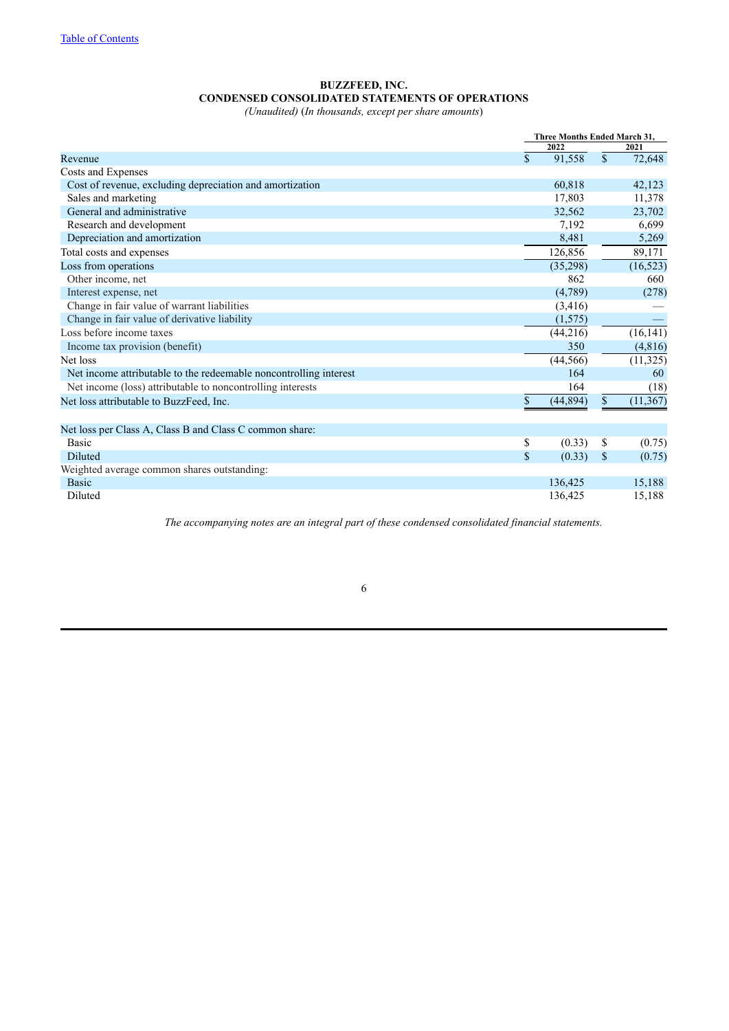# **BUZZFEED, INC. CONDENSED CONSOLIDATED STATEMENTS OF OPERATIONS**

<span id="page-6-0"></span>*(Unaudited)* (*In thousands, except per share amounts*)

|                                                                   |                 | Three Months Ended March 31, |           |  |  |  |
|-------------------------------------------------------------------|-----------------|------------------------------|-----------|--|--|--|
|                                                                   | 2022            |                              | 2021      |  |  |  |
| Revenue                                                           | 91,558<br>\$    | $\mathbf{s}$                 | 72,648    |  |  |  |
| Costs and Expenses                                                |                 |                              |           |  |  |  |
| Cost of revenue, excluding depreciation and amortization          | 60,818          |                              | 42,123    |  |  |  |
| Sales and marketing                                               | 17,803          |                              | 11,378    |  |  |  |
| General and administrative                                        | 32,562          |                              | 23,702    |  |  |  |
| Research and development                                          | 7,192           |                              | 6,699     |  |  |  |
| Depreciation and amortization                                     | 8,481           |                              | 5,269     |  |  |  |
| Total costs and expenses                                          | 126,856         |                              | 89,171    |  |  |  |
| Loss from operations                                              | (35,298)        |                              | (16, 523) |  |  |  |
| Other income, net                                                 | 862             |                              | 660       |  |  |  |
| Interest expense, net                                             | (4,789)         |                              | (278)     |  |  |  |
| Change in fair value of warrant liabilities                       | (3, 416)        |                              |           |  |  |  |
| Change in fair value of derivative liability                      | (1, 575)        |                              |           |  |  |  |
| Loss before income taxes                                          | (44,216)        |                              | (16, 141) |  |  |  |
| Income tax provision (benefit)                                    |                 | 350                          | (4, 816)  |  |  |  |
| Net loss                                                          | (44, 566)       |                              | (11, 325) |  |  |  |
| Net income attributable to the redeemable noncontrolling interest | 164             |                              | 60        |  |  |  |
| Net income (loss) attributable to noncontrolling interests        | 164             |                              | (18)      |  |  |  |
| Net loss attributable to BuzzFeed, Inc.                           | \$<br>(44, 894) | \$                           | (11, 367) |  |  |  |
|                                                                   |                 |                              |           |  |  |  |
| Net loss per Class A, Class B and Class C common share:           |                 |                              |           |  |  |  |
| <b>Basic</b>                                                      | \$<br>(0.33)    | \$                           | (0.75)    |  |  |  |
| <b>Diluted</b>                                                    | \$<br>(0.33)    | <sup>\$</sup>                | (0.75)    |  |  |  |
| Weighted average common shares outstanding:                       |                 |                              |           |  |  |  |
| <b>Basic</b>                                                      | 136,425         |                              | 15,188    |  |  |  |
| Diluted                                                           | 136,425         |                              | 15,188    |  |  |  |

*The accompanying notes are an integral part of these condensed consolidated financial statements.*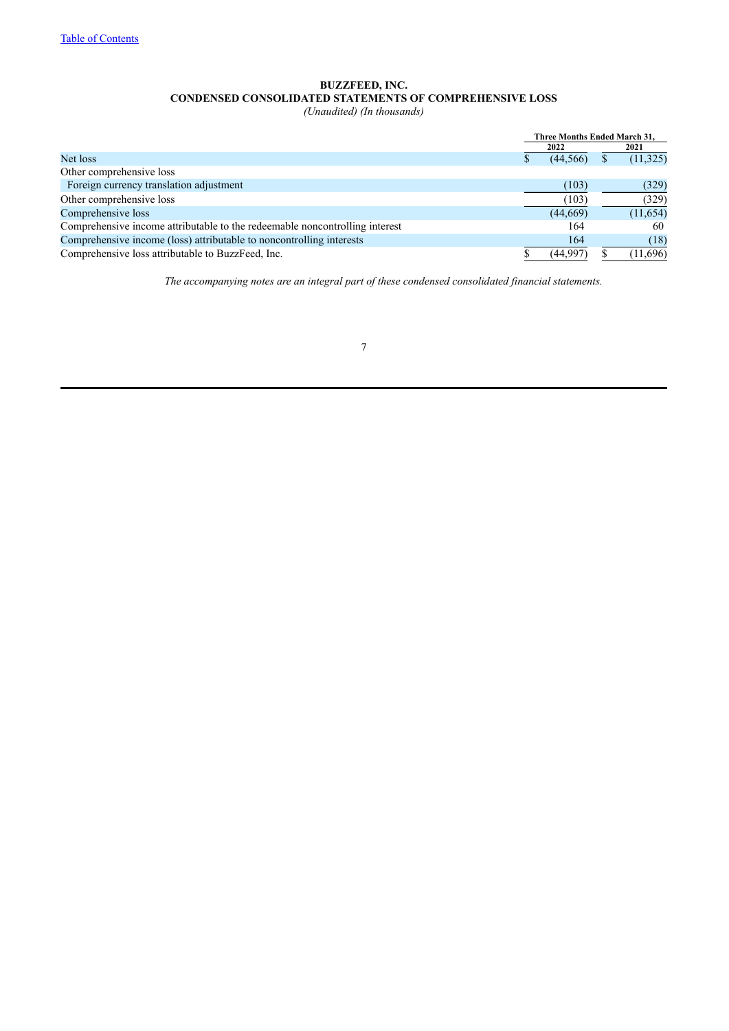# **BUZZFEED, INC. CONDENSED CONSOLIDATED STATEMENTS OF COMPREHENSIVE LOSS**

<span id="page-7-0"></span>*(Unaudited) (In thousands)*

|                                                                             | Three Months Ended March 31. |           |
|-----------------------------------------------------------------------------|------------------------------|-----------|
|                                                                             | 2022                         | 2021      |
| Net loss                                                                    | (44, 566)                    | (11, 325) |
| Other comprehensive loss                                                    |                              |           |
| Foreign currency translation adjustment                                     | (103)                        | (329)     |
| Other comprehensive loss                                                    | (103)                        | (329)     |
| Comprehensive loss                                                          | (44,669)                     | (11, 654) |
| Comprehensive income attributable to the redeemable noncontrolling interest | 164                          | 60        |
| Comprehensive income (loss) attributable to noncontrolling interests        | 164                          | (18)      |
| Comprehensive loss attributable to BuzzFeed, Inc.                           | (44,997)                     | (11,696)  |

*The accompanying notes are an integral part of these condensed consolidated financial statements.*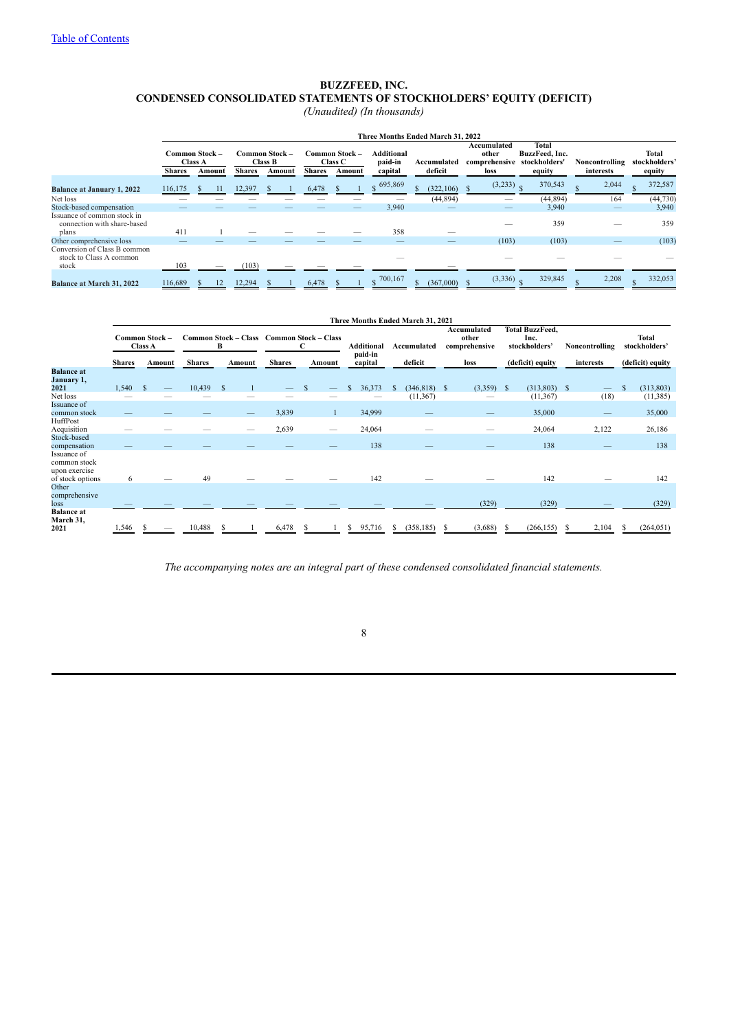# **BUZZFEED, INC. CONDENSED CONSOLIDATED STATEMENTS OF STOCKHOLDERS' EQUITY (DEFICIT)**

<span id="page-8-0"></span>*(Unaudited) (In thousands)*

|                                                                     |               | Three Months Ended March 31, 2022         |               |                                     |               |                                    |                                  |                        |                                               |                                                    |                             |               |                        |
|---------------------------------------------------------------------|---------------|-------------------------------------------|---------------|-------------------------------------|---------------|------------------------------------|----------------------------------|------------------------|-----------------------------------------------|----------------------------------------------------|-----------------------------|---------------|------------------------|
|                                                                     | <b>Shares</b> | Common Stock-<br><b>Class A</b><br>Amount | <b>Shares</b> | Common Stock -<br>Class B<br>Amount | <b>Shares</b> | Common Stock-<br>Class C<br>Amount | Additional<br>paid-in<br>capital | Accumulated<br>deficit | Accumulated<br>other<br>comprehensive<br>loss | Total<br>BuzzFeed, Inc.<br>stockholders'<br>equity | Noncontrolling<br>interests | stockholders' | <b>Total</b><br>equity |
| <b>Balance at January 1, 2022</b>                                   | 116,175       |                                           | 12,397        |                                     | 6,478         |                                    | 695,869                          | (322, 106)             | (3,233)                                       | 370,543                                            | 2,044                       |               | 372,587                |
| Net loss                                                            |               |                                           |               |                                     |               |                                    |                                  | (44, 894)              | _                                             | (44, 894)                                          | 164                         |               | (44, 730)              |
| Stock-based compensation                                            |               |                                           |               |                                     |               |                                    | 3,940                            |                        |                                               | 3,940                                              |                             |               | 3,940                  |
| Issuance of common stock in<br>connection with share-based<br>plans | 411           |                                           |               |                                     |               |                                    | 358                              |                        |                                               | 359                                                |                             |               | 359                    |
| Other comprehensive loss                                            |               |                                           |               |                                     |               |                                    |                                  |                        | (103)                                         | (103)                                              |                             |               | (103)                  |
| Conversion of Class B common<br>stock to Class A common<br>stock    | 103           |                                           | (103)         |                                     |               |                                    |                                  |                        |                                               |                                                    |                             |               |                        |
| <b>Balance at March 31, 2022</b>                                    | 116,689       | 12                                        | 12,294        |                                     | 6,478         |                                    | 700,167                          | (367,000)              | (3,336)                                       | 329,845                                            | 2,208                       |               | 332,053                |

|                                                                  |               |                                 |               |                                                |               |              | Three Months Ended March 31, 2021 |              |                |                                       |                                                 |                   |   |                        |
|------------------------------------------------------------------|---------------|---------------------------------|---------------|------------------------------------------------|---------------|--------------|-----------------------------------|--------------|----------------|---------------------------------------|-------------------------------------------------|-------------------|---|------------------------|
|                                                                  |               | Common Stock-<br><b>Class A</b> |               | Common Stock - Class Common Stock - Class<br>В |               | C            | <b>Additional</b><br>paid-in      |              | Accumulated    | Accumulated<br>other<br>comprehensive | <b>Total BuzzFeed,</b><br>Inc.<br>stockholders' | Noncontrolling    |   | Total<br>stockholders' |
|                                                                  | <b>Shares</b> | Amount                          | <b>Shares</b> | Amount                                         | <b>Shares</b> | Amount       | capital                           |              | deficit        | loss                                  | (deficit) equity                                | interests         |   | (deficit) equity       |
| <b>Balance</b> at<br>January 1,<br>2021                          | 1,540         | $\mathcal{S}$                   | 10,439        | $\mathbf{s}$                                   |               | $\mathbf{s}$ | 36,373<br>S                       | <sup>S</sup> | $(346,818)$ \$ | $(3,359)$ \$                          | $(313,803)$ \$                                  |                   | S | (313, 803)             |
| Net loss                                                         |               |                                 |               |                                                |               |              |                                   |              | (11, 367)      |                                       | (11, 367)                                       | (18)              |   | (11, 385)              |
| Issuance of<br>common stock                                      | –             |                                 |               |                                                | 3,839         | $\mathbf{1}$ | 34,999                            |              |                |                                       | 35,000                                          | $\qquad \qquad -$ |   | 35,000                 |
| HuffPost<br>Acquisition                                          |               |                                 |               |                                                | 2,639         |              | 24,064                            |              | -              |                                       | 24,064                                          | 2,122             |   | 26,186                 |
| Stock-based<br>compensation                                      |               |                                 |               |                                                |               |              | 138                               |              |                |                                       | 138                                             |                   |   | 138                    |
| Issuance of<br>common stock<br>upon exercise<br>of stock options | 6             |                                 | 49            |                                                |               |              | 142                               |              |                |                                       | 142                                             |                   |   | 142                    |
| Other<br>comprehensive<br>loss                                   |               |                                 |               |                                                |               |              |                                   |              |                | (329)                                 | (329)                                           |                   |   | (329)                  |
| <b>Balance</b> at<br>March 31,<br>2021                           | 1,546         |                                 | 10,488        |                                                | 6,478         |              | 95,716                            |              | (358, 185)     | (3,688)                               | (266, 155)                                      | 2,104             |   | (264, 051)             |

*The accompanying notes are an integral part of these condensed consolidated financial statements.*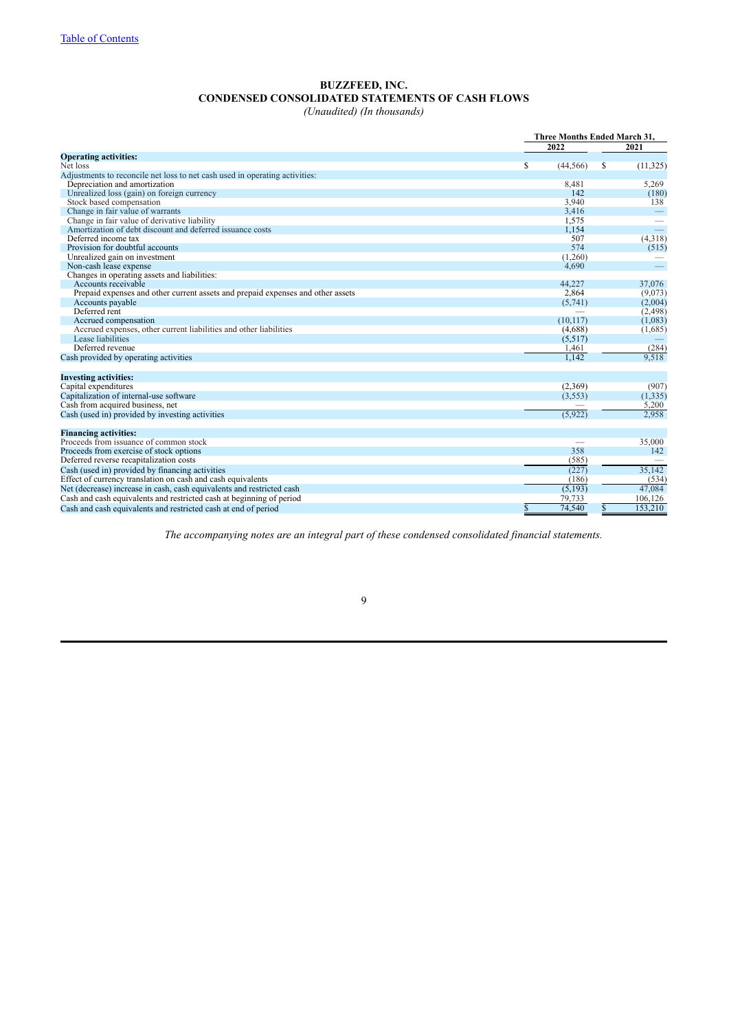# **BUZZFEED, INC. CONDENSED CONSOLIDATED STATEMENTS OF CASH FLOWS**

<span id="page-9-0"></span>*(Unaudited) (In thousands)*

|                                                                                 | Three Months Ended March 31, |    |                          |  |  |
|---------------------------------------------------------------------------------|------------------------------|----|--------------------------|--|--|
|                                                                                 | 2022                         |    | 2021                     |  |  |
| <b>Operating activities:</b>                                                    |                              |    |                          |  |  |
| Net loss                                                                        | \$<br>(44, 566)              | \$ | (11, 325)                |  |  |
| Adjustments to reconcile net loss to net cash used in operating activities:     |                              |    |                          |  |  |
| Depreciation and amortization                                                   | 8,481                        |    | 5,269                    |  |  |
| Unrealized loss (gain) on foreign currency                                      | 142                          |    | (180)                    |  |  |
| Stock based compensation                                                        | 3,940                        |    | 138                      |  |  |
| Change in fair value of warrants                                                | 3,416                        |    | $\overline{\phantom{m}}$ |  |  |
| Change in fair value of derivative liability                                    | 1,575                        |    |                          |  |  |
| Amortization of debt discount and deferred issuance costs                       | 1,154                        |    | $\equiv$                 |  |  |
| Deferred income tax                                                             | 507                          |    | (4,318)                  |  |  |
| Provision for doubtful accounts                                                 | 574                          |    | (515)                    |  |  |
| Unrealized gain on investment                                                   | (1,260)                      |    |                          |  |  |
| Non-cash lease expense                                                          | 4,690                        |    | $\equiv$                 |  |  |
| Changes in operating assets and liabilities:                                    |                              |    |                          |  |  |
| Accounts receivable                                                             | 44.227                       |    | 37,076                   |  |  |
| Prepaid expenses and other current assets and prepaid expenses and other assets | 2,864                        |    | (9,073)                  |  |  |
| Accounts payable                                                                | (5,741)                      |    | (2,004)                  |  |  |
| Deferred rent                                                                   |                              |    | (2, 498)                 |  |  |
| Accrued compensation                                                            | (10, 117)                    |    | (1,083)                  |  |  |
| Accrued expenses, other current liabilities and other liabilities               | (4,688)                      |    | (1,685)                  |  |  |
| Lease liabilities                                                               | (5,517)                      |    |                          |  |  |
| Deferred revenue                                                                | 1,461                        |    | (284)                    |  |  |
| Cash provided by operating activities                                           | 1.142                        |    | 9.518                    |  |  |
| <b>Investing activities:</b>                                                    |                              |    |                          |  |  |
| Capital expenditures                                                            | (2,369)                      |    | (907)                    |  |  |
| Capitalization of internal-use software                                         | (3,553)                      |    | (1, 335)                 |  |  |
| Cash from acquired business, net                                                |                              |    | 5,200                    |  |  |
| Cash (used in) provided by investing activities                                 | (5,922)                      |    | 2,958                    |  |  |
| <b>Financing activities:</b>                                                    |                              |    |                          |  |  |
| Proceeds from issuance of common stock                                          |                              |    | 35,000                   |  |  |
| Proceeds from exercise of stock options                                         | 358                          |    | 142                      |  |  |
| Deferred reverse recapitalization costs                                         | (585)                        |    |                          |  |  |
| Cash (used in) provided by financing activities                                 | (227)                        |    | 35.142                   |  |  |
| Effect of currency translation on cash and cash equivalents                     | (186)                        |    | (534)                    |  |  |
| Net (decrease) increase in cash, cash equivalents and restricted cash           | (5, 193)                     |    | 47,084                   |  |  |
| Cash and cash equivalents and restricted cash at beginning of period            | 79,733                       |    | 106,126                  |  |  |
| Cash and cash equivalents and restricted cash at end of period                  | \$<br>74,540                 | \$ | 153,210                  |  |  |

*The accompanying notes are an integral part of these condensed consolidated financial statements.*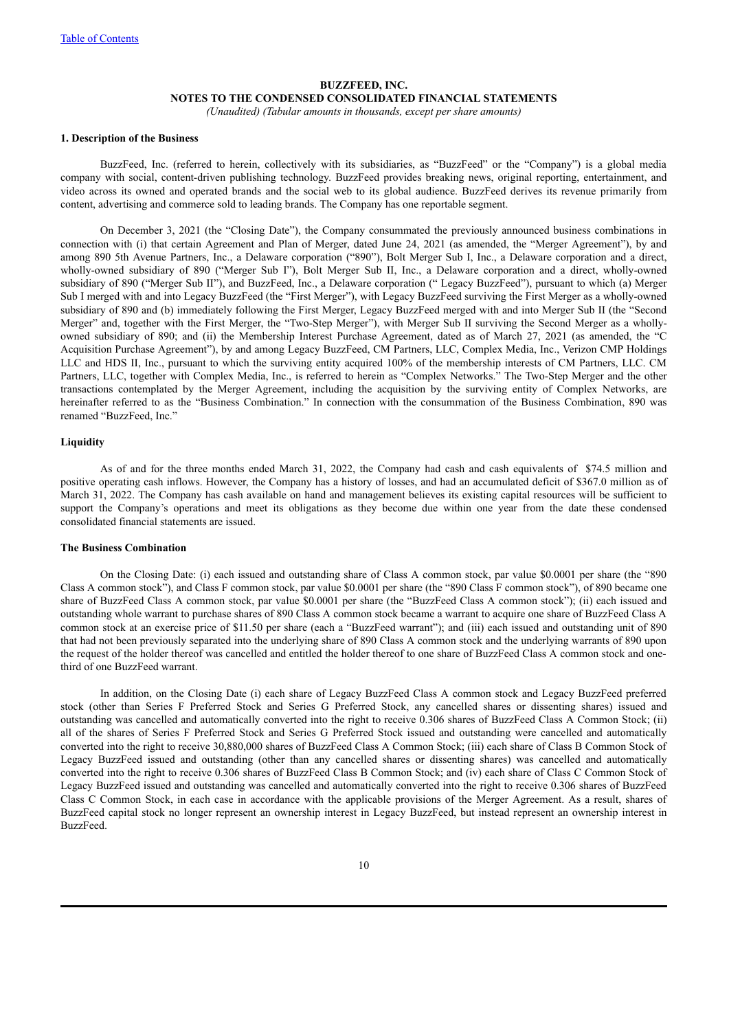# **BUZZFEED, INC. NOTES TO THE CONDENSED CONSOLIDATED FINANCIAL STATEMENTS**

<span id="page-10-0"></span>*(Unaudited) (Tabular amounts in thousands, except per share amounts)*

#### **1. Description of the Business**

BuzzFeed, Inc. (referred to herein, collectively with its subsidiaries, as "BuzzFeed" or the "Company") is a global media company with social, content-driven publishing technology. BuzzFeed provides breaking news, original reporting, entertainment, and video across its owned and operated brands and the social web to its global audience. BuzzFeed derives its revenue primarily from content, advertising and commerce sold to leading brands. The Company has one reportable segment.

On December 3, 2021 (the "Closing Date"), the Company consummated the previously announced business combinations in connection with (i) that certain Agreement and Plan of Merger, dated June 24, 2021 (as amended, the "Merger Agreement"), by and among 890 5th Avenue Partners, Inc., a Delaware corporation ("890"), Bolt Merger Sub I, Inc., a Delaware corporation and a direct, wholly-owned subsidiary of 890 ("Merger Sub I"), Bolt Merger Sub II, Inc., a Delaware corporation and a direct, wholly-owned subsidiary of 890 ("Merger Sub II"), and BuzzFeed, Inc., a Delaware corporation (" Legacy BuzzFeed"), pursuant to which (a) Merger Sub I merged with and into Legacy BuzzFeed (the "First Merger"), with Legacy BuzzFeed surviving the First Merger as a wholly-owned subsidiary of 890 and (b) immediately following the First Merger, Legacy BuzzFeed merged with and into Merger Sub II (the "Second Merger" and, together with the First Merger, the "Two-Step Merger"), with Merger Sub II surviving the Second Merger as a whollyowned subsidiary of 890; and (ii) the Membership Interest Purchase Agreement, dated as of March 27, 2021 (as amended, the "C Acquisition Purchase Agreement"), by and among Legacy BuzzFeed, CM Partners, LLC, Complex Media, Inc., Verizon CMP Holdings LLC and HDS II, Inc., pursuant to which the surviving entity acquired 100% of the membership interests of CM Partners, LLC. CM Partners, LLC, together with Complex Media, Inc., is referred to herein as "Complex Networks." The Two-Step Merger and the other transactions contemplated by the Merger Agreement, including the acquisition by the surviving entity of Complex Networks, are hereinafter referred to as the "Business Combination." In connection with the consummation of the Business Combination, 890 was renamed "BuzzFeed, Inc."

#### **Liquidity**

As of and for the three months ended March 31, 2022, the Company had cash and cash equivalents of \$74.5 million and positive operating cash inflows. However, the Company has a history of losses, and had an accumulated deficit of \$367.0 million as of March 31, 2022. The Company has cash available on hand and management believes its existing capital resources will be sufficient to support the Company's operations and meet its obligations as they become due within one year from the date these condensed consolidated financial statements are issued.

# **The Business Combination**

On the Closing Date: (i) each issued and outstanding share of Class A common stock, par value \$0.0001 per share (the "890 Class A common stock"), and Class F common stock, par value \$0.0001 per share (the "890 Class F common stock"), of 890 became one share of BuzzFeed Class A common stock, par value \$0.0001 per share (the "BuzzFeed Class A common stock"); (ii) each issued and outstanding whole warrant to purchase shares of 890 Class A common stock became a warrant to acquire one share of BuzzFeed Class A common stock at an exercise price of \$11.50 per share (each a "BuzzFeed warrant"); and (iii) each issued and outstanding unit of 890 that had not been previously separated into the underlying share of 890 Class A common stock and the underlying warrants of 890 upon the request of the holder thereof was cancelled and entitled the holder thereof to one share of BuzzFeed Class A common stock and onethird of one BuzzFeed warrant.

In addition, on the Closing Date (i) each share of Legacy BuzzFeed Class A common stock and Legacy BuzzFeed preferred stock (other than Series F Preferred Stock and Series G Preferred Stock, any cancelled shares or dissenting shares) issued and outstanding was cancelled and automatically converted into the right to receive 0.306 shares of BuzzFeed Class A Common Stock; (ii) all of the shares of Series F Preferred Stock and Series G Preferred Stock issued and outstanding were cancelled and automatically converted into the right to receive 30,880,000 shares of BuzzFeed Class A Common Stock; (iii) each share of Class B Common Stock of Legacy BuzzFeed issued and outstanding (other than any cancelled shares or dissenting shares) was cancelled and automatically converted into the right to receive 0.306 shares of BuzzFeed Class B Common Stock; and (iv) each share of Class C Common Stock of Legacy BuzzFeed issued and outstanding was cancelled and automatically converted into the right to receive 0.306 shares of BuzzFeed Class C Common Stock, in each case in accordance with the applicable provisions of the Merger Agreement. As a result, shares of BuzzFeed capital stock no longer represent an ownership interest in Legacy BuzzFeed, but instead represent an ownership interest in BuzzFeed.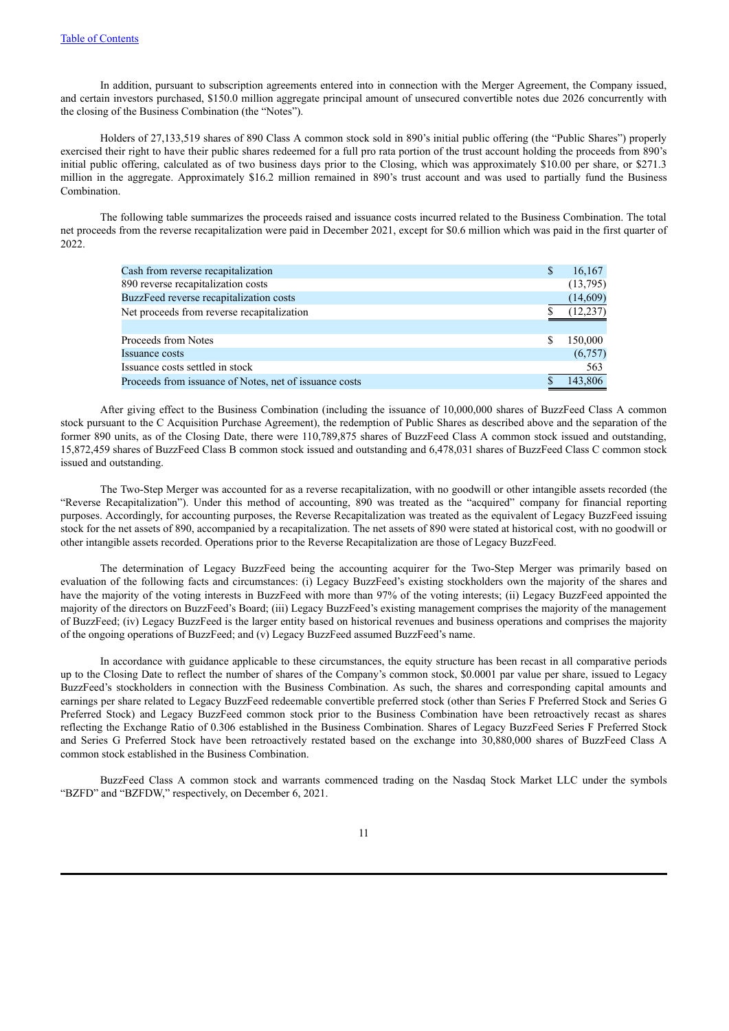In addition, pursuant to subscription agreements entered into in connection with the Merger Agreement, the Company issued, and certain investors purchased, \$150.0 million aggregate principal amount of unsecured convertible notes due 2026 concurrently with the closing of the Business Combination (the "Notes").

Holders of 27,133,519 shares of 890 Class A common stock sold in 890's initial public offering (the "Public Shares") properly exercised their right to have their public shares redeemed for a full pro rata portion of the trust account holding the proceeds from 890's initial public offering, calculated as of two business days prior to the Closing, which was approximately \$10.00 per share, or \$271.3 million in the aggregate. Approximately \$16.2 million remained in 890's trust account and was used to partially fund the Business Combination.

The following table summarizes the proceeds raised and issuance costs incurred related to the Business Combination. The total net proceeds from the reverse recapitalization were paid in December 2021, except for \$0.6 million which was paid in the first quarter of 2022.

| Cash from reverse recapitalization                     | <sup>S</sup> | 16,167    |
|--------------------------------------------------------|--------------|-----------|
| 890 reverse recapitalization costs                     |              | (13,795)  |
| BuzzFeed reverse recapitalization costs                |              | (14,609)  |
| Net proceeds from reverse recapitalization             |              | (12, 237) |
|                                                        |              |           |
| Proceeds from Notes                                    | S            | 150,000   |
| Issuance costs                                         |              | (6,757)   |
| Issuance costs settled in stock                        |              | 563       |
| Proceeds from issuance of Notes, net of issuance costs |              | 143,806   |

After giving effect to the Business Combination (including the issuance of 10,000,000 shares of BuzzFeed Class A common stock pursuant to the C Acquisition Purchase Agreement), the redemption of Public Shares as described above and the separation of the former 890 units, as of the Closing Date, there were 110,789,875 shares of BuzzFeed Class A common stock issued and outstanding, 15,872,459 shares of BuzzFeed Class B common stock issued and outstanding and 6,478,031 shares of BuzzFeed Class C common stock issued and outstanding.

The Two-Step Merger was accounted for as a reverse recapitalization, with no goodwill or other intangible assets recorded (the "Reverse Recapitalization"). Under this method of accounting, 890 was treated as the "acquired" company for financial reporting purposes. Accordingly, for accounting purposes, the Reverse Recapitalization was treated as the equivalent of Legacy BuzzFeed issuing stock for the net assets of 890, accompanied by a recapitalization. The net assets of 890 were stated at historical cost, with no goodwill or other intangible assets recorded. Operations prior to the Reverse Recapitalization are those of Legacy BuzzFeed.

The determination of Legacy BuzzFeed being the accounting acquirer for the Two-Step Merger was primarily based on evaluation of the following facts and circumstances: (i) Legacy BuzzFeed's existing stockholders own the majority of the shares and have the majority of the voting interests in BuzzFeed with more than 97% of the voting interests; (ii) Legacy BuzzFeed appointed the majority of the directors on BuzzFeed's Board; (iii) Legacy BuzzFeed's existing management comprises the majority of the management of BuzzFeed; (iv) Legacy BuzzFeed is the larger entity based on historical revenues and business operations and comprises the majority of the ongoing operations of BuzzFeed; and (v) Legacy BuzzFeed assumed BuzzFeed's name.

In accordance with guidance applicable to these circumstances, the equity structure has been recast in all comparative periods up to the Closing Date to reflect the number of shares of the Company's common stock, \$0.0001 par value per share, issued to Legacy BuzzFeed's stockholders in connection with the Business Combination. As such, the shares and corresponding capital amounts and earnings per share related to Legacy BuzzFeed redeemable convertible preferred stock (other than Series F Preferred Stock and Series G Preferred Stock) and Legacy BuzzFeed common stock prior to the Business Combination have been retroactively recast as shares reflecting the Exchange Ratio of 0.306 established in the Business Combination. Shares of Legacy BuzzFeed Series F Preferred Stock and Series G Preferred Stock have been retroactively restated based on the exchange into 30,880,000 shares of BuzzFeed Class A common stock established in the Business Combination.

BuzzFeed Class A common stock and warrants commenced trading on the Nasdaq Stock Market LLC under the symbols "BZFD" and "BZFDW," respectively, on December 6, 2021.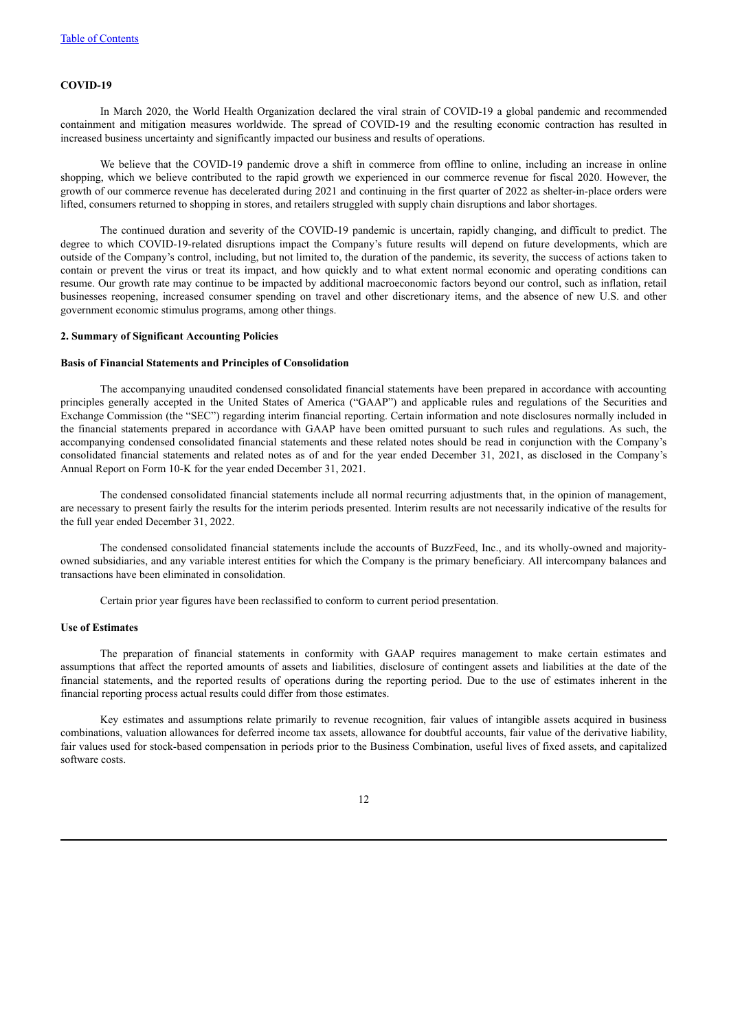# **COVID-19**

In March 2020, the World Health Organization declared the viral strain of COVID-19 a global pandemic and recommended containment and mitigation measures worldwide. The spread of COVID-19 and the resulting economic contraction has resulted in increased business uncertainty and significantly impacted our business and results of operations.

We believe that the COVID-19 pandemic drove a shift in commerce from offline to online, including an increase in online shopping, which we believe contributed to the rapid growth we experienced in our commerce revenue for fiscal 2020. However, the growth of our commerce revenue has decelerated during 2021 and continuing in the first quarter of 2022 as shelter-in-place orders were lifted, consumers returned to shopping in stores, and retailers struggled with supply chain disruptions and labor shortages.

The continued duration and severity of the COVID-19 pandemic is uncertain, rapidly changing, and difficult to predict. The degree to which COVID-19-related disruptions impact the Company's future results will depend on future developments, which are outside of the Company's control, including, but not limited to, the duration of the pandemic, its severity, the success of actions taken to contain or prevent the virus or treat its impact, and how quickly and to what extent normal economic and operating conditions can resume. Our growth rate may continue to be impacted by additional macroeconomic factors beyond our control, such as inflation, retail businesses reopening, increased consumer spending on travel and other discretionary items, and the absence of new U.S. and other government economic stimulus programs, among other things.

#### **2. Summary of Significant Accounting Policies**

#### **Basis of Financial Statements and Principles of Consolidation**

The accompanying unaudited condensed consolidated financial statements have been prepared in accordance with accounting principles generally accepted in the United States of America ("GAAP") and applicable rules and regulations of the Securities and Exchange Commission (the "SEC") regarding interim financial reporting. Certain information and note disclosures normally included in the financial statements prepared in accordance with GAAP have been omitted pursuant to such rules and regulations. As such, the accompanying condensed consolidated financial statements and these related notes should be read in conjunction with the Company's consolidated financial statements and related notes as of and for the year ended December 31, 2021, as disclosed in the Company's Annual Report on Form 10-K for the year ended December 31, 2021.

The condensed consolidated financial statements include all normal recurring adjustments that, in the opinion of management, are necessary to present fairly the results for the interim periods presented. Interim results are not necessarily indicative of the results for the full year ended December 31, 2022.

The condensed consolidated financial statements include the accounts of BuzzFeed, Inc., and its wholly-owned and majorityowned subsidiaries, and any variable interest entities for which the Company is the primary beneficiary. All intercompany balances and transactions have been eliminated in consolidation.

Certain prior year figures have been reclassified to conform to current period presentation.

# **Use of Estimates**

The preparation of financial statements in conformity with GAAP requires management to make certain estimates and assumptions that affect the reported amounts of assets and liabilities, disclosure of contingent assets and liabilities at the date of the financial statements, and the reported results of operations during the reporting period. Due to the use of estimates inherent in the financial reporting process actual results could differ from those estimates.

Key estimates and assumptions relate primarily to revenue recognition, fair values of intangible assets acquired in business combinations, valuation allowances for deferred income tax assets, allowance for doubtful accounts, fair value of the derivative liability, fair values used for stock-based compensation in periods prior to the Business Combination, useful lives of fixed assets, and capitalized software costs.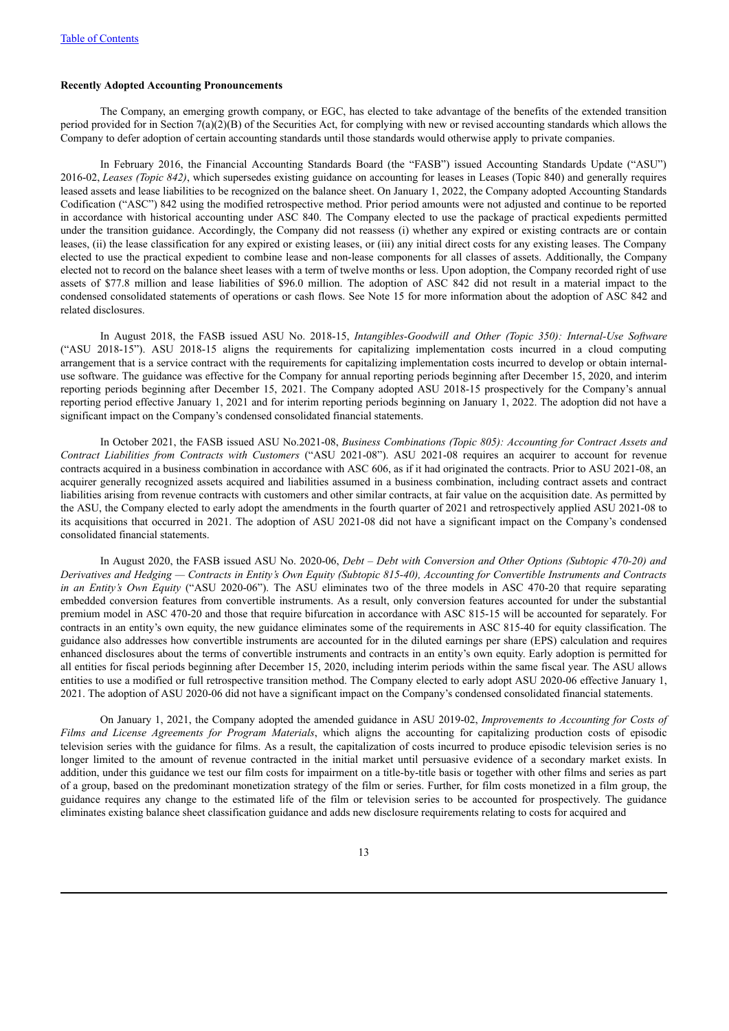# **Recently Adopted Accounting Pronouncements**

The Company, an emerging growth company, or EGC, has elected to take advantage of the benefits of the extended transition period provided for in Section 7(a)(2)(B) of the Securities Act, for complying with new or revised accounting standards which allows the Company to defer adoption of certain accounting standards until those standards would otherwise apply to private companies.

In February 2016, the Financial Accounting Standards Board (the "FASB") issued Accounting Standards Update ("ASU") 2016-02, *Leases (Topic 842)*, which supersedes existing guidance on accounting for leases in Leases (Topic 840) and generally requires leased assets and lease liabilities to be recognized on the balance sheet. On January 1, 2022, the Company adopted Accounting Standards Codification ("ASC") 842 using the modified retrospective method. Prior period amounts were not adjusted and continue to be reported in accordance with historical accounting under ASC 840. The Company elected to use the package of practical expedients permitted under the transition guidance. Accordingly, the Company did not reassess (i) whether any expired or existing contracts are or contain leases, (ii) the lease classification for any expired or existing leases, or (iii) any initial direct costs for any existing leases. The Company elected to use the practical expedient to combine lease and non-lease components for all classes of assets. Additionally, the Company elected not to record on the balance sheet leases with a term of twelve months or less. Upon adoption, the Company recorded right of use assets of \$77.8 million and lease liabilities of \$96.0 million. The adoption of ASC 842 did not result in a material impact to the condensed consolidated statements of operations or cash flows. See Note 15 for more information about the adoption of ASC 842 and related disclosures.

In August 2018, the FASB issued ASU No. 2018-15, *Intangibles-Goodwill and Other (Topic 350): Internal-Use Software* ("ASU 2018-15"). ASU 2018-15 aligns the requirements for capitalizing implementation costs incurred in a cloud computing arrangement that is a service contract with the requirements for capitalizing implementation costs incurred to develop or obtain internaluse software. The guidance was effective for the Company for annual reporting periods beginning after December 15, 2020, and interim reporting periods beginning after December 15, 2021. The Company adopted ASU 2018-15 prospectively for the Company's annual reporting period effective January 1, 2021 and for interim reporting periods beginning on January 1, 2022. The adoption did not have a significant impact on the Company's condensed consolidated financial statements.

In October 2021, the FASB issued ASU No.2021-08, *Business Combinations (Topic 805): Accounting for Contract Assets and Contract Liabilities from Contracts with Customers* ("ASU 2021-08"). ASU 2021-08 requires an acquirer to account for revenue contracts acquired in a business combination in accordance with ASC 606, as if it had originated the contracts. Prior to ASU 2021-08, an acquirer generally recognized assets acquired and liabilities assumed in a business combination, including contract assets and contract liabilities arising from revenue contracts with customers and other similar contracts, at fair value on the acquisition date. As permitted by the ASU, the Company elected to early adopt the amendments in the fourth quarter of 2021 and retrospectively applied ASU 2021-08 to its acquisitions that occurred in 2021. The adoption of ASU 2021-08 did not have a significant impact on the Company's condensed consolidated financial statements.

In August 2020, the FASB issued ASU No. 2020-06, *Debt – Debt with Conversion and Other Options (Subtopic 470-20) and* Derivatives and Hedging — Contracts in Entity's Own Equity (Subtopic 815-40), Accounting for Convertible Instruments and Contracts *in an Entity's Own Equity* ("ASU 2020-06"). The ASU eliminates two of the three models in ASC 470-20 that require separating embedded conversion features from convertible instruments. As a result, only conversion features accounted for under the substantial premium model in ASC 470-20 and those that require bifurcation in accordance with ASC 815-15 will be accounted for separately. For contracts in an entity's own equity, the new guidance eliminates some of the requirements in ASC 815-40 for equity classification. The guidance also addresses how convertible instruments are accounted for in the diluted earnings per share (EPS) calculation and requires enhanced disclosures about the terms of convertible instruments and contracts in an entity's own equity. Early adoption is permitted for all entities for fiscal periods beginning after December 15, 2020, including interim periods within the same fiscal year. The ASU allows entities to use a modified or full retrospective transition method. The Company elected to early adopt ASU 2020-06 effective January 1, 2021. The adoption of ASU 2020-06 did not have a significant impact on the Company's condensed consolidated financial statements.

On January 1, 2021, the Company adopted the amended guidance in ASU 2019-02, *Improvements to Accounting for Costs of Films and License Agreements for Program Materials*, which aligns the accounting for capitalizing production costs of episodic television series with the guidance for films. As a result, the capitalization of costs incurred to produce episodic television series is no longer limited to the amount of revenue contracted in the initial market until persuasive evidence of a secondary market exists. In addition, under this guidance we test our film costs for impairment on a title-by-title basis or together with other films and series as part of a group, based on the predominant monetization strategy of the film or series. Further, for film costs monetized in a film group, the guidance requires any change to the estimated life of the film or television series to be accounted for prospectively. The guidance eliminates existing balance sheet classification guidance and adds new disclosure requirements relating to costs for acquired and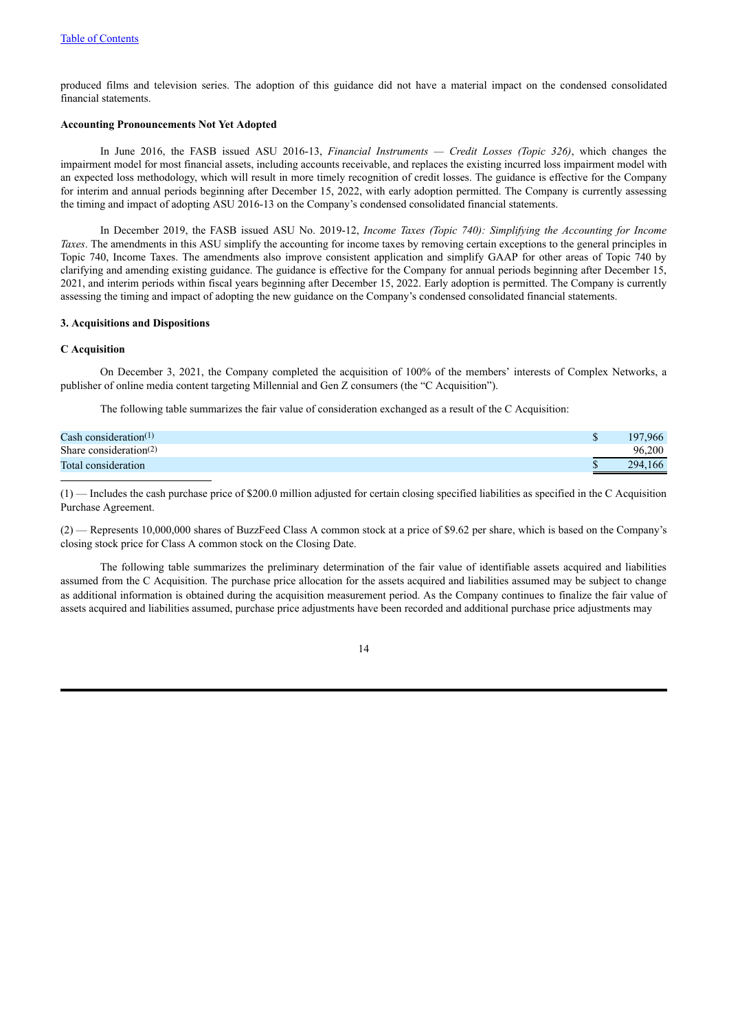produced films and television series. The adoption of this guidance did not have a material impact on the condensed consolidated financial statements.

# **Accounting Pronouncements Not Yet Adopted**

In June 2016, the FASB issued ASU 2016-13, *Financial Instruments — Credit Losses (Topic 326)*, which changes the impairment model for most financial assets, including accounts receivable, and replaces the existing incurred loss impairment model with an expected loss methodology, which will result in more timely recognition of credit losses. The guidance is effective for the Company for interim and annual periods beginning after December 15, 2022, with early adoption permitted. The Company is currently assessing the timing and impact of adopting ASU 2016-13 on the Company's condensed consolidated financial statements.

In December 2019, the FASB issued ASU No. 2019-12, *Income Taxes (Topic 740): Simplifying the Accounting for Income Taxes*. The amendments in this ASU simplify the accounting for income taxes by removing certain exceptions to the general principles in Topic 740, Income Taxes. The amendments also improve consistent application and simplify GAAP for other areas of Topic 740 by clarifying and amending existing guidance. The guidance is effective for the Company for annual periods beginning after December 15, 2021, and interim periods within fiscal years beginning after December 15, 2022. Early adoption is permitted. The Company is currently assessing the timing and impact of adopting the new guidance on the Company's condensed consolidated financial statements.

#### **3. Acquisitions and Dispositions**

#### **C Acquisition**

On December 3, 2021, the Company completed the acquisition of 100% of the members' interests of Complex Networks, a publisher of online media content targeting Millennial and Gen Z consumers (the "C Acquisition").

The following table summarizes the fair value of consideration exchanged as a result of the C Acquisition:

| Cash consideration $(1)$  | 197.966 |
|---------------------------|---------|
| Share consideration $(2)$ | 96.200  |
| Total consideration       | 294,166 |

(1) — Includes the cash purchase price of \$200.0 million adjusted for certain closing specified liabilities as specified in the C Acquisition Purchase Agreement.

(2) — Represents 10,000,000 shares of BuzzFeed Class A common stock at a price of \$9.62 per share, which is based on the Company's closing stock price for Class A common stock on the Closing Date.

The following table summarizes the preliminary determination of the fair value of identifiable assets acquired and liabilities assumed from the C Acquisition. The purchase price allocation for the assets acquired and liabilities assumed may be subject to change as additional information is obtained during the acquisition measurement period. As the Company continues to finalize the fair value of assets acquired and liabilities assumed, purchase price adjustments have been recorded and additional purchase price adjustments may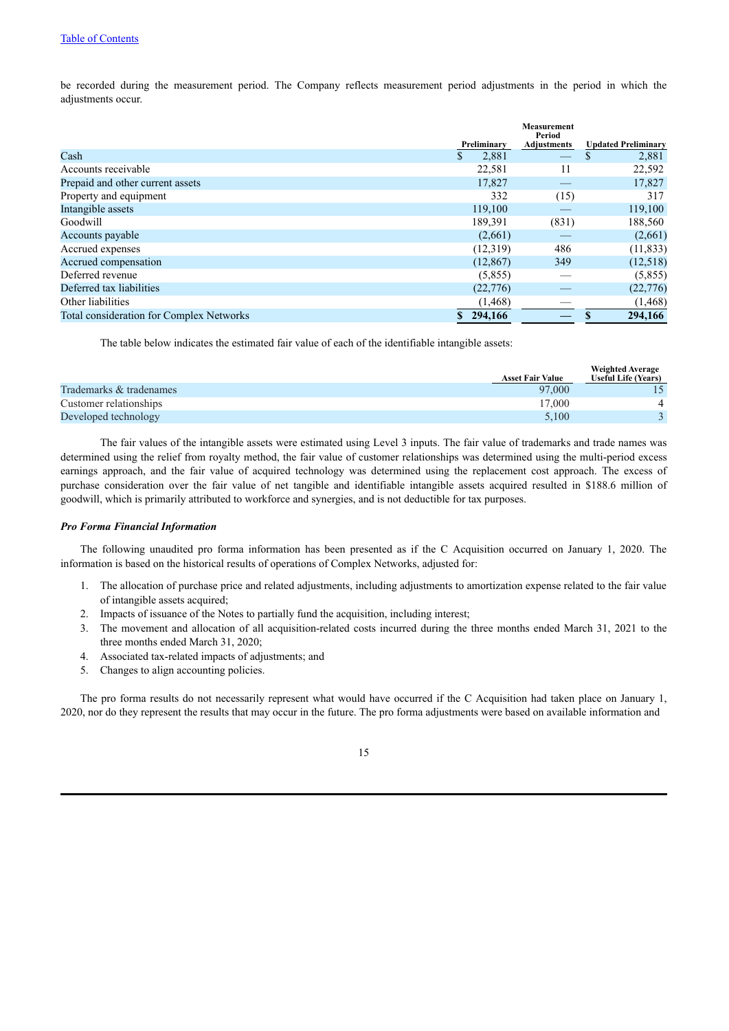# Table of [Contents](#page-2-0)

be recorded during the measurement period. The Company reflects measurement period adjustments in the period in which the adjustments occur.

|                                                 |               | Measurement<br>Period |                            |
|-------------------------------------------------|---------------|-----------------------|----------------------------|
|                                                 | Preliminary   | <b>Adjustments</b>    | <b>Updated Preliminary</b> |
| Cash                                            | 2,881         |                       | 2,881                      |
| Accounts receivable                             | 22,581        | 11                    | 22,592                     |
| Prepaid and other current assets                | 17,827        |                       | 17,827                     |
| Property and equipment                          | 332           | (15)                  | 317                        |
| Intangible assets                               | 119,100       |                       | 119,100                    |
| Goodwill                                        | 189,391       | (831)                 | 188,560                    |
| Accounts payable                                | (2,661)       |                       | (2,661)                    |
| Accrued expenses                                | (12,319)      | 486                   | (11, 833)                  |
| Accrued compensation                            | (12, 867)     | 349                   | (12,518)                   |
| Deferred revenue                                | (5,855)       |                       | (5,855)                    |
| Deferred tax liabilities                        | (22,776)      |                       | (22, 776)                  |
| Other liabilities                               | (1, 468)      |                       | (1, 468)                   |
| <b>Total consideration for Complex Networks</b> | \$<br>294,166 |                       | 294,166                    |

The table below indicates the estimated fair value of each of the identifiable intangible assets:

|                         |                         | <b>Weighted Average</b> |
|-------------------------|-------------------------|-------------------------|
|                         | <b>Asset Fair Value</b> | Useful Life (Years)     |
| Trademarks & tradenames | 97,000                  |                         |
| Customer relationships  | 17.000                  |                         |
| Developed technology    | 5.100                   |                         |

The fair values of the intangible assets were estimated using Level 3 inputs. The fair value of trademarks and trade names was determined using the relief from royalty method, the fair value of customer relationships was determined using the multi-period excess earnings approach, and the fair value of acquired technology was determined using the replacement cost approach. The excess of purchase consideration over the fair value of net tangible and identifiable intangible assets acquired resulted in \$188.6 million of goodwill, which is primarily attributed to workforce and synergies, and is not deductible for tax purposes.

# *Pro Forma Financial Information*

The following unaudited pro forma information has been presented as if the C Acquisition occurred on January 1, 2020. The information is based on the historical results of operations of Complex Networks, adjusted for:

- 1. The allocation of purchase price and related adjustments, including adjustments to amortization expense related to the fair value of intangible assets acquired;
- 2. Impacts of issuance of the Notes to partially fund the acquisition, including interest;
- 3. The movement and allocation of all acquisition-related costs incurred during the three months ended March 31, 2021 to the three months ended March 31, 2020;
- 4. Associated tax-related impacts of adjustments; and
- 5. Changes to align accounting policies.

The pro forma results do not necessarily represent what would have occurred if the C Acquisition had taken place on January 1, 2020, nor do they represent the results that may occur in the future. The pro forma adjustments were based on available information and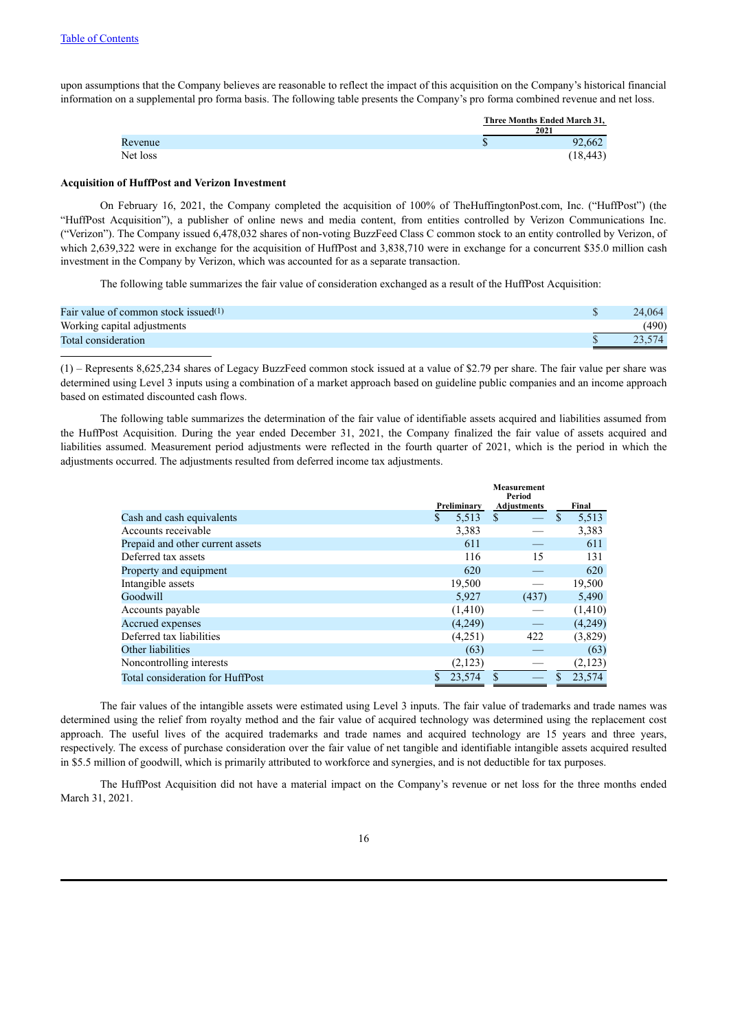upon assumptions that the Company believes are reasonable to reflect the impact of this acquisition on the Company's historical financial information on a supplemental pro forma basis. The following table presents the Company's pro forma combined revenue and net loss.

|          | Three Months Ended March 31. |
|----------|------------------------------|
|          | 2021                         |
| Revenue  | 92,662                       |
| Net loss | (18, 443)                    |

# **Acquisition of HuffPost and Verizon Investment**

On February 16, 2021, the Company completed the acquisition of 100% of TheHuffingtonPost.com, Inc. ("HuffPost") (the "HuffPost Acquisition"), a publisher of online news and media content, from entities controlled by Verizon Communications Inc. ("Verizon"). The Company issued 6,478,032 shares of non-voting BuzzFeed Class C common stock to an entity controlled by Verizon, of which 2.639.322 were in exchange for the acquisition of HuffPost and 3,838,710 were in exchange for a concurrent \$35.0 million cash investment in the Company by Verizon, which was accounted for as a separate transaction.

The following table summarizes the fair value of consideration exchanged as a result of the HuffPost Acquisition:

| Fair value of common stock issued $(1)$ | 24.064 |
|-----------------------------------------|--------|
| Working capital adjustments             | (490)  |
| Total consideration                     |        |

(1) – Represents 8,625,234 shares of Legacy BuzzFeed common stock issued at a value of \$2.79 per share. The fair value per share was determined using Level 3 inputs using a combination of a market approach based on guideline public companies and an income approach based on estimated discounted cash flows.

The following table summarizes the determination of the fair value of identifiable assets acquired and liabilities assumed from the HuffPost Acquisition. During the year ended December 31, 2021, the Company finalized the fair value of assets acquired and liabilities assumed. Measurement period adjustments were reflected in the fourth quarter of 2021, which is the period in which the adjustments occurred. The adjustments resulted from deferred income tax adjustments.

|                                  |              |    | <b>Measurement</b><br>Period |         |
|----------------------------------|--------------|----|------------------------------|---------|
|                                  | Preliminary  |    | <b>Adjustments</b>           | Final   |
| Cash and cash equivalents        | \$<br>5,513  | S  |                              | 5,513   |
| Accounts receivable              | 3,383        |    |                              | 3,383   |
| Prepaid and other current assets | 611          |    |                              | 611     |
| Deferred tax assets              | 116          |    | 15                           | 131     |
| Property and equipment           | 620          |    |                              | 620     |
| Intangible assets                | 19,500       |    |                              | 19,500  |
| Goodwill                         | 5,927        |    | (437)                        | 5,490   |
| Accounts payable                 | (1, 410)     |    |                              | (1,410) |
| Accrued expenses                 | (4,249)      |    |                              | (4,249) |
| Deferred tax liabilities         | (4,251)      |    | 422                          | (3,829) |
| Other liabilities                | (63)         |    |                              | (63)    |
| Noncontrolling interests         | (2,123)      |    |                              | (2,123) |
| Total consideration for HuffPost | \$<br>23,574 | \$ |                              | 23,574  |

The fair values of the intangible assets were estimated using Level 3 inputs. The fair value of trademarks and trade names was determined using the relief from royalty method and the fair value of acquired technology was determined using the replacement cost approach. The useful lives of the acquired trademarks and trade names and acquired technology are 15 years and three years, respectively. The excess of purchase consideration over the fair value of net tangible and identifiable intangible assets acquired resulted in \$5.5 million of goodwill, which is primarily attributed to workforce and synergies, and is not deductible for tax purposes.

The HuffPost Acquisition did not have a material impact on the Company's revenue or net loss for the three months ended March 31, 2021.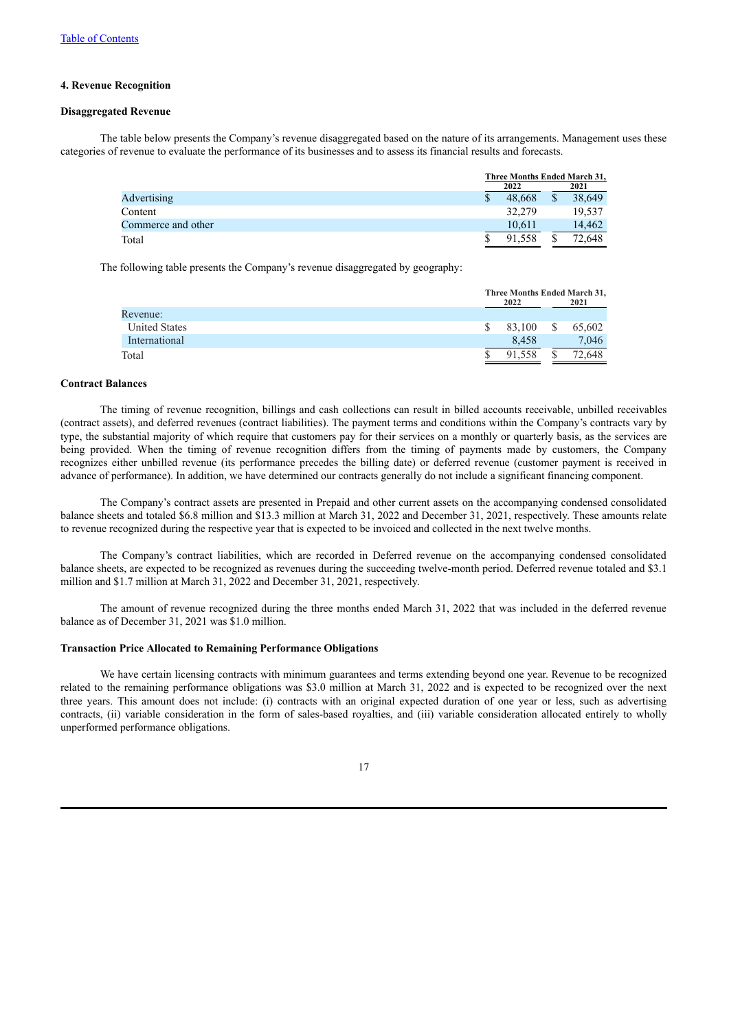# **4. Revenue Recognition**

# **Disaggregated Revenue**

The table below presents the Company's revenue disaggregated based on the nature of its arrangements. Management uses these categories of revenue to evaluate the performance of its businesses and to assess its financial results and forecasts.

|                    |   | Three Months Ended March 31, |    |        |
|--------------------|---|------------------------------|----|--------|
|                    |   | 2022                         |    | 2021   |
| Advertising        | Φ | 48.668                       | G. | 38,649 |
| Content            |   | 32.279                       |    | 19,537 |
| Commerce and other |   | 10,611                       |    | 14.462 |
| Total              |   | 91.558                       |    | 72.648 |

The following table presents the Company's revenue disaggregated by geography:

|                      |             |    | Three Months Ended March 31, |  |  |
|----------------------|-------------|----|------------------------------|--|--|
|                      | 2022        |    | 2021                         |  |  |
| Revenue:             |             |    |                              |  |  |
| <b>United States</b> | 83.100<br>S | -S | 65,602                       |  |  |
| International        | 8.458       |    | 7,046                        |  |  |
| Total                | 91.558      | R  | 72,648                       |  |  |

# **Contract Balances**

The timing of revenue recognition, billings and cash collections can result in billed accounts receivable, unbilled receivables (contract assets), and deferred revenues (contract liabilities). The payment terms and conditions within the Company's contracts vary by type, the substantial majority of which require that customers pay for their services on a monthly or quarterly basis, as the services are being provided. When the timing of revenue recognition differs from the timing of payments made by customers, the Company recognizes either unbilled revenue (its performance precedes the billing date) or deferred revenue (customer payment is received in advance of performance). In addition, we have determined our contracts generally do not include a significant financing component.

The Company's contract assets are presented in Prepaid and other current assets on the accompanying condensed consolidated balance sheets and totaled \$6.8 million and \$13.3 million at March 31, 2022 and December 31, 2021, respectively. These amounts relate to revenue recognized during the respective year that is expected to be invoiced and collected in the next twelve months.

The Company's contract liabilities, which are recorded in Deferred revenue on the accompanying condensed consolidated balance sheets, are expected to be recognized as revenues during the succeeding twelve-month period. Deferred revenue totaled and \$3.1 million and \$1.7 million at March 31, 2022 and December 31, 2021, respectively.

The amount of revenue recognized during the three months ended March 31, 2022 that was included in the deferred revenue balance as of December 31, 2021 was \$1.0 million.

# **Transaction Price Allocated to Remaining Performance Obligations**

We have certain licensing contracts with minimum guarantees and terms extending beyond one year. Revenue to be recognized related to the remaining performance obligations was \$3.0 million at March 31, 2022 and is expected to be recognized over the next three years. This amount does not include: (i) contracts with an original expected duration of one year or less, such as advertising contracts, (ii) variable consideration in the form of sales-based royalties, and (iii) variable consideration allocated entirely to wholly unperformed performance obligations.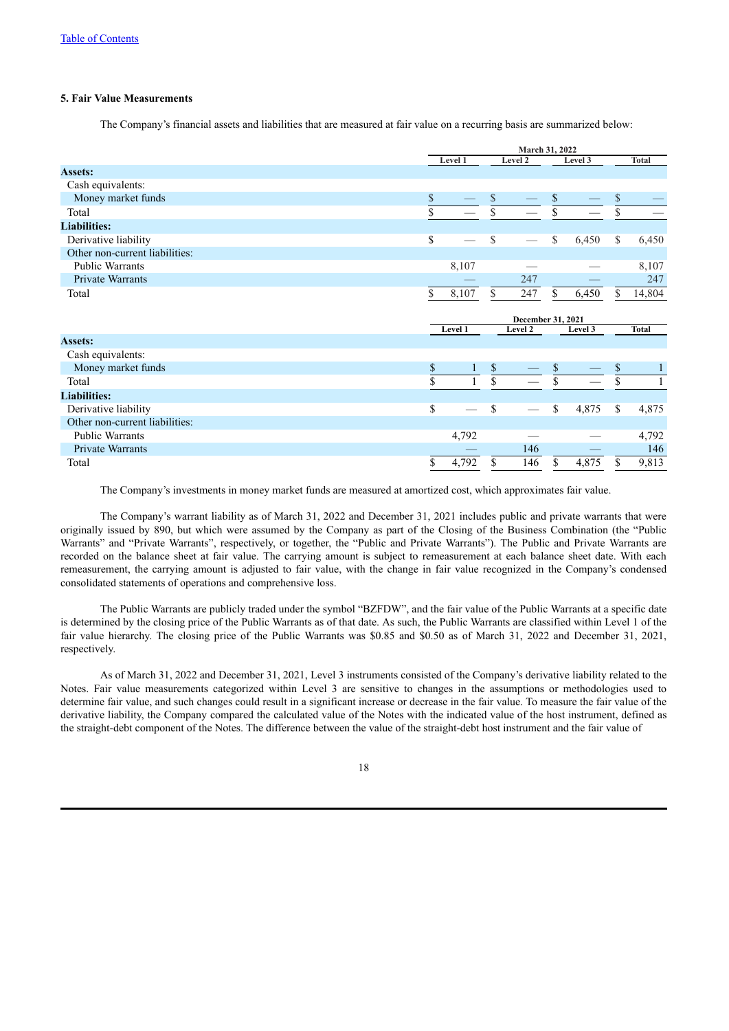# **5. Fair Value Measurements**

The Company's financial assets and liabilities that are measured at fair value on a recurring basis are summarized below:

|                                | March 31, 2022          |              |                 |                   |    |         |              |              |  |
|--------------------------------|-------------------------|--------------|-----------------|-------------------|----|---------|--------------|--------------|--|
|                                | Level 1                 |              | Level 2         |                   |    | Level 3 |              | <b>Total</b> |  |
| <b>Assets:</b>                 |                         |              |                 |                   |    |         |              |              |  |
| Cash equivalents:              |                         |              |                 |                   |    |         |              |              |  |
| Money market funds             | \$                      |              | \$              |                   |    |         | \$           |              |  |
| Total                          | $\overline{\mathbb{S}}$ |              | \$              |                   | \$ |         | \$           |              |  |
| <b>Liabilities:</b>            |                         |              |                 |                   |    |         |              |              |  |
| Derivative liability           | \$                      |              | \$              |                   | \$ | 6,450   | \$           | 6,450        |  |
| Other non-current liabilities: |                         |              |                 |                   |    |         |              |              |  |
| <b>Public Warrants</b>         |                         | 8,107        |                 |                   |    |         |              | 8,107        |  |
| Private Warrants               |                         |              |                 | 247               |    |         |              | 247          |  |
| Total                          | \$                      | 8,107        | \$              | 247               | \$ | 6,450   | $\mathbb{S}$ | 14,804       |  |
|                                |                         |              |                 |                   |    |         |              |              |  |
|                                |                         |              |                 |                   |    |         |              |              |  |
|                                |                         |              |                 | December 31, 2021 |    |         |              |              |  |
|                                |                         | Level 1      |                 | Level 2           |    | Level 3 |              | <b>Total</b> |  |
| <b>Assets:</b>                 |                         |              |                 |                   |    |         |              |              |  |
| Cash equivalents:              |                         |              |                 |                   |    |         |              |              |  |
| Money market funds             | \$                      |              | \$              |                   |    |         | \$           |              |  |
| Total                          | \$                      | $\mathbf{1}$ | $\overline{\$}$ |                   | \$ |         | \$           | $\mathbf{1}$ |  |
| <b>Liabilities:</b>            |                         |              |                 |                   |    |         |              |              |  |
| Derivative liability           | \$                      |              | \$              |                   | \$ | 4,875   | \$           | 4,875        |  |
| Other non-current liabilities: |                         |              |                 |                   |    |         |              |              |  |
| <b>Public Warrants</b>         |                         | 4,792        |                 |                   |    |         |              | 4,792        |  |
| Private Warrants               |                         |              |                 | 146               |    |         |              | 146          |  |

The Company's investments in money market funds are measured at amortized cost, which approximates fair value.

The Company's warrant liability as of March 31, 2022 and December 31, 2021 includes public and private warrants that were originally issued by 890, but which were assumed by the Company as part of the Closing of the Business Combination (the "Public Warrants" and "Private Warrants", respectively, or together, the "Public and Private Warrants"). The Public and Private Warrants are recorded on the balance sheet at fair value. The carrying amount is subject to remeasurement at each balance sheet date. With each remeasurement, the carrying amount is adjusted to fair value, with the change in fair value recognized in the Company's condensed consolidated statements of operations and comprehensive loss.

The Public Warrants are publicly traded under the symbol "BZFDW", and the fair value of the Public Warrants at a specific date is determined by the closing price of the Public Warrants as of that date. As such, the Public Warrants are classified within Level 1 of the fair value hierarchy. The closing price of the Public Warrants was \$0.85 and \$0.50 as of March 31, 2022 and December 31, 2021, respectively.

As of March 31, 2022 and December 31, 2021, Level 3 instruments consisted of the Company's derivative liability related to the Notes. Fair value measurements categorized within Level 3 are sensitive to changes in the assumptions or methodologies used to determine fair value, and such changes could result in a significant increase or decrease in the fair value. To measure the fair value of the derivative liability, the Company compared the calculated value of the Notes with the indicated value of the host instrument, defined as the straight-debt component of the Notes. The difference between the value of the straight-debt host instrument and the fair value of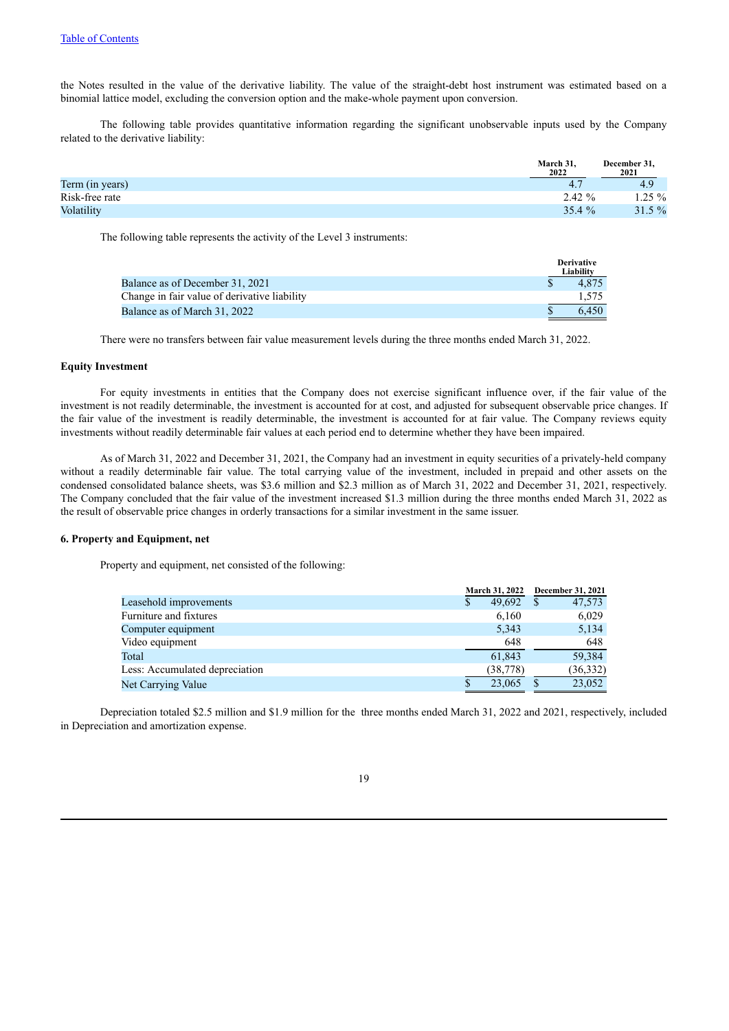the Notes resulted in the value of the derivative liability. The value of the straight-debt host instrument was estimated based on a binomial lattice model, excluding the conversion option and the make-whole payment upon conversion.

The following table provides quantitative information regarding the significant unobservable inputs used by the Company related to the derivative liability:

|                 | March 31,<br>2022 | December 31,<br>2021 |
|-----------------|-------------------|----------------------|
| Term (in years) | 4                 | 4.9                  |
| Risk-free rate  | $2.42\%$          | $1.25\%$             |
| Volatility      | 35.4%             | $.5\%$<br>31.5       |

The following table represents the activity of the Level 3 instruments:

|                                              | <b>Derivative</b><br>Liability |
|----------------------------------------------|--------------------------------|
| Balance as of December 31, 2021              | 4.875                          |
| Change in fair value of derivative liability |                                |
| Balance as of March 31, 2022                 | 6.450                          |

There were no transfers between fair value measurement levels during the three months ended March 31, 2022.

# **Equity Investment**

For equity investments in entities that the Company does not exercise significant influence over, if the fair value of the investment is not readily determinable, the investment is accounted for at cost, and adjusted for subsequent observable price changes. If the fair value of the investment is readily determinable, the investment is accounted for at fair value. The Company reviews equity investments without readily determinable fair values at each period end to determine whether they have been impaired.

As of March 31, 2022 and December 31, 2021, the Company had an investment in equity securities of a privately-held company without a readily determinable fair value. The total carrying value of the investment, included in prepaid and other assets on the condensed consolidated balance sheets, was \$3.6 million and \$2.3 million as of March 31, 2022 and December 31, 2021, respectively. The Company concluded that the fair value of the investment increased \$1.3 million during the three months ended March 31, 2022 as the result of observable price changes in orderly transactions for a similar investment in the same issuer.

# **6. Property and Equipment, net**

Property and equipment, net consisted of the following:

|                                | March 31, 2022 |    | December 31, 2021 |
|--------------------------------|----------------|----|-------------------|
| Leasehold improvements         | \$<br>49.692   | -S | 47,573            |
| Furniture and fixtures         | 6,160          |    | 6,029             |
| Computer equipment             | 5,343          |    | 5,134             |
| Video equipment                | 648            |    | 648               |
| Total                          | 61.843         |    | 59,384            |
| Less: Accumulated depreciation | (38, 778)      |    | (36, 332)         |
| Net Carrying Value             | 23,065         |    | 23,052            |

Depreciation totaled \$2.5 million and \$1.9 million for the three months ended March 31, 2022 and 2021, respectively, included in Depreciation and amortization expense.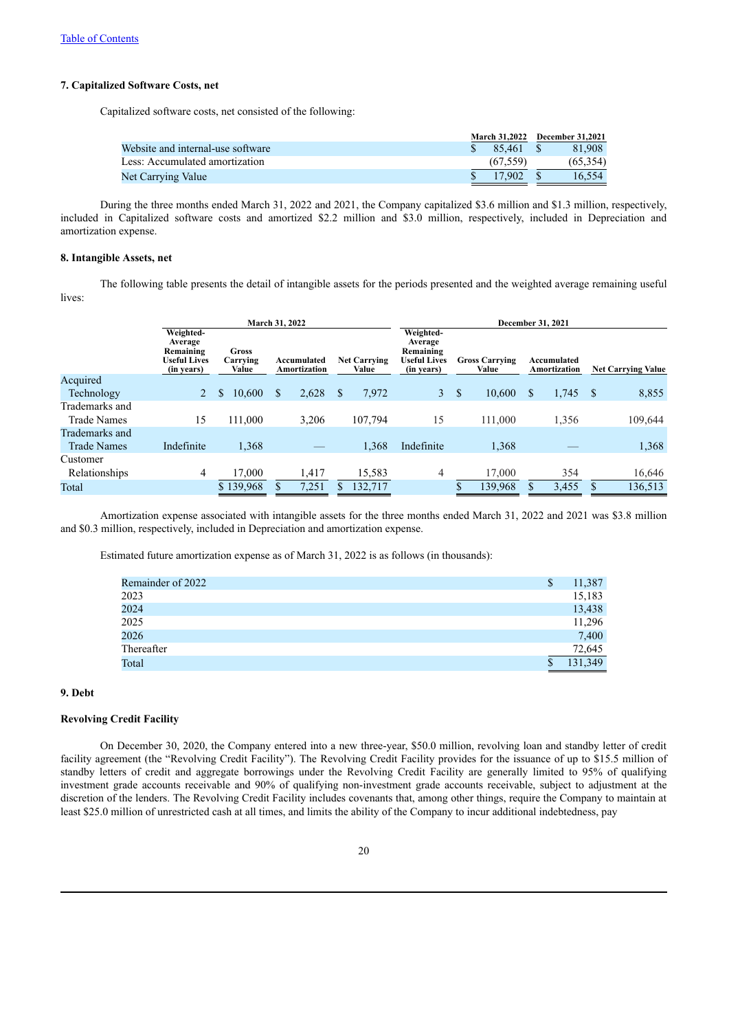# **7. Capitalized Software Costs, net**

Capitalized software costs, net consisted of the following:

|                                   | <b>March 31.2022</b> |           |  | <b>December 31.2021</b> |
|-----------------------------------|----------------------|-----------|--|-------------------------|
| Website and internal-use software |                      | 85.461 \$ |  | 81.908                  |
| Less: Accumulated amortization    |                      | (67.559)  |  | (65.354)                |
| Net Carrying Value                |                      | 17.902    |  | 16.554                  |

During the three months ended March 31, 2022 and 2021, the Company capitalized \$3.6 million and \$1.3 million, respectively, included in Capitalized software costs and amortized \$2.2 million and \$3.0 million, respectively, included in Depreciation and amortization expense.

# **8. Intangible Assets, net**

The following table presents the detail of intangible assets for the periods presented and the weighted average remaining useful lives:

|                    |                                                                        | December 31, 2021                 |   |                                    |   |                              |                                                                        |    |                                |                                    |       |      |         |  |  |  |                           |
|--------------------|------------------------------------------------------------------------|-----------------------------------|---|------------------------------------|---|------------------------------|------------------------------------------------------------------------|----|--------------------------------|------------------------------------|-------|------|---------|--|--|--|---------------------------|
|                    | Weighted-<br>Average<br>Remaining<br><b>Useful Lives</b><br>(in years) | <b>Gross</b><br>Carrving<br>Value |   | Accumulated<br><b>Amortization</b> |   | <b>Net Carrying</b><br>Value | Weighted-<br>Average<br>Remaining<br><b>Useful Lives</b><br>(in years) |    | <b>Gross Carrying</b><br>Value | Accumulated<br><b>Amortization</b> |       |      |         |  |  |  | <b>Net Carrying Value</b> |
| Acquired           |                                                                        |                                   |   |                                    |   |                              |                                                                        |    |                                |                                    |       |      |         |  |  |  |                           |
| Technology         | $\overline{2}$                                                         | 10,600                            | S | 2,628                              | S | 7,972                        | 3 <sup>1</sup>                                                         | \$ | 10.600                         | \$                                 | 1,745 | - \$ | 8,855   |  |  |  |                           |
| Trademarks and     |                                                                        |                                   |   |                                    |   |                              |                                                                        |    |                                |                                    |       |      |         |  |  |  |                           |
| <b>Trade Names</b> | 15                                                                     | 111.000                           |   | 3,206                              |   | 107,794                      | 15                                                                     |    | 111,000                        |                                    | 1,356 |      | 109,644 |  |  |  |                           |
| Trademarks and     |                                                                        |                                   |   |                                    |   |                              |                                                                        |    |                                |                                    |       |      |         |  |  |  |                           |
| <b>Trade Names</b> | Indefinite                                                             | 1,368                             |   |                                    |   | 1,368                        | Indefinite                                                             |    | 1,368                          |                                    |       |      | 1,368   |  |  |  |                           |
| Customer           |                                                                        |                                   |   |                                    |   |                              |                                                                        |    |                                |                                    |       |      |         |  |  |  |                           |
| Relationships      | 4                                                                      | 17,000                            |   | 1,417                              |   | 15,583                       | 4                                                                      |    | 17,000                         |                                    | 354   |      | 16,646  |  |  |  |                           |
| Total              |                                                                        | \$139,968                         |   | 7,251                              |   | 132,717                      |                                                                        |    | 139,968                        |                                    | 3,455 |      | 136,513 |  |  |  |                           |

Amortization expense associated with intangible assets for the three months ended March 31, 2022 and 2021 was \$3.8 million and \$0.3 million, respectively, included in Depreciation and amortization expense.

Estimated future amortization expense as of March 31, 2022 is as follows (in thousands):

| Remainder of 2022 | \$ | 11,387     |
|-------------------|----|------------|
| 2023              |    | 15,183     |
| 2024              |    | 13,438     |
| 2025              |    | 11,296     |
| 2026              |    | 7,400      |
| Thereafter        |    | 72,645     |
| Total             | œ  | 349<br>131 |

# **9. Debt**

# **Revolving Credit Facility**

On December 30, 2020, the Company entered into a new three-year, \$50.0 million, revolving loan and standby letter of credit facility agreement (the "Revolving Credit Facility"). The Revolving Credit Facility provides for the issuance of up to \$15.5 million of standby letters of credit and aggregate borrowings under the Revolving Credit Facility are generally limited to 95% of qualifying investment grade accounts receivable and 90% of qualifying non-investment grade accounts receivable, subject to adjustment at the discretion of the lenders. The Revolving Credit Facility includes covenants that, among other things, require the Company to maintain at least \$25.0 million of unrestricted cash at all times, and limits the ability of the Company to incur additional indebtedness, pay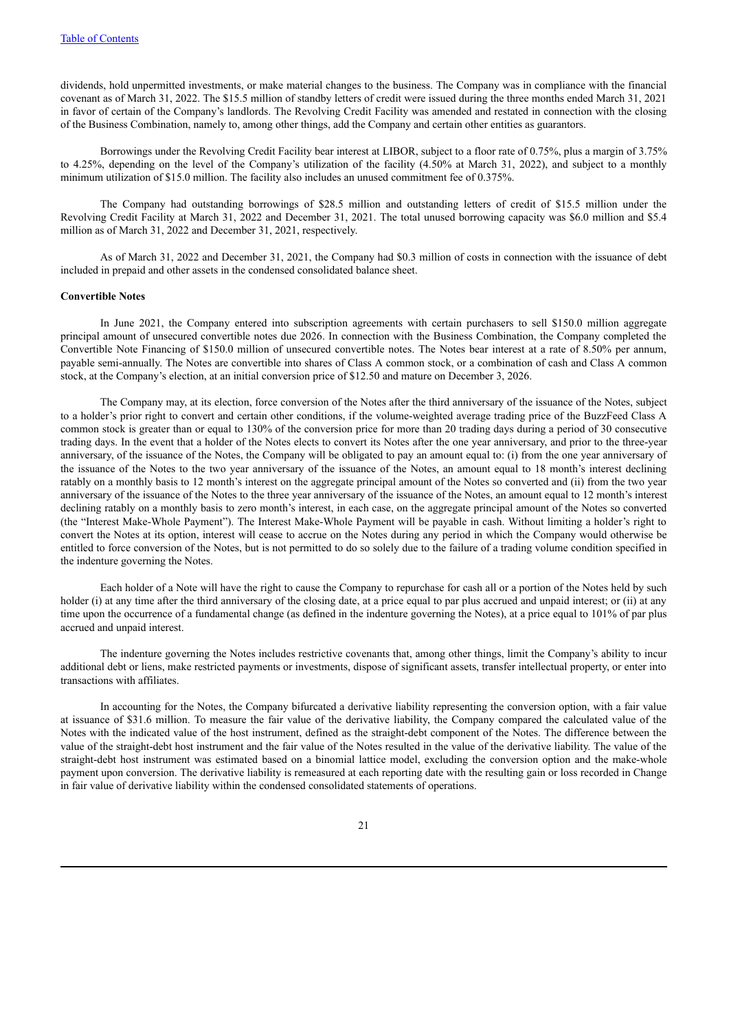dividends, hold unpermitted investments, or make material changes to the business. The Company was in compliance with the financial covenant as of March 31, 2022. The \$15.5 million of standby letters of credit were issued during the three months ended March 31, 2021 in favor of certain of the Company's landlords. The Revolving Credit Facility was amended and restated in connection with the closing of the Business Combination, namely to, among other things, add the Company and certain other entities as guarantors.

Borrowings under the Revolving Credit Facility bear interest at LIBOR, subject to a floor rate of 0.75%, plus a margin of 3.75% to 4.25%, depending on the level of the Company's utilization of the facility (4.50% at March 31, 2022), and subject to a monthly minimum utilization of \$15.0 million. The facility also includes an unused commitment fee of 0.375%.

The Company had outstanding borrowings of \$28.5 million and outstanding letters of credit of \$15.5 million under the Revolving Credit Facility at March 31, 2022 and December 31, 2021. The total unused borrowing capacity was \$6.0 million and \$5.4 million as of March 31, 2022 and December 31, 2021, respectively.

As of March 31, 2022 and December 31, 2021, the Company had \$0.3 million of costs in connection with the issuance of debt included in prepaid and other assets in the condensed consolidated balance sheet.

# **Convertible Notes**

In June 2021, the Company entered into subscription agreements with certain purchasers to sell \$150.0 million aggregate principal amount of unsecured convertible notes due 2026. In connection with the Business Combination, the Company completed the Convertible Note Financing of \$150.0 million of unsecured convertible notes. The Notes bear interest at a rate of 8.50% per annum, payable semi-annually. The Notes are convertible into shares of Class A common stock, or a combination of cash and Class A common stock, at the Company's election, at an initial conversion price of \$12.50 and mature on December 3, 2026.

The Company may, at its election, force conversion of the Notes after the third anniversary of the issuance of the Notes, subject to a holder's prior right to convert and certain other conditions, if the volume-weighted average trading price of the BuzzFeed Class A common stock is greater than or equal to 130% of the conversion price for more than 20 trading days during a period of 30 consecutive trading days. In the event that a holder of the Notes elects to convert its Notes after the one year anniversary, and prior to the three-year anniversary, of the issuance of the Notes, the Company will be obligated to pay an amount equal to: (i) from the one year anniversary of the issuance of the Notes to the two year anniversary of the issuance of the Notes, an amount equal to 18 month's interest declining ratably on a monthly basis to 12 month's interest on the aggregate principal amount of the Notes so converted and (ii) from the two year anniversary of the issuance of the Notes to the three year anniversary of the issuance of the Notes, an amount equal to 12 month's interest declining ratably on a monthly basis to zero month's interest, in each case, on the aggregate principal amount of the Notes so converted (the "Interest Make-Whole Payment"). The Interest Make-Whole Payment will be payable in cash. Without limiting a holder's right to convert the Notes at its option, interest will cease to accrue on the Notes during any period in which the Company would otherwise be entitled to force conversion of the Notes, but is not permitted to do so solely due to the failure of a trading volume condition specified in the indenture governing the Notes.

Each holder of a Note will have the right to cause the Company to repurchase for cash all or a portion of the Notes held by such holder (i) at any time after the third anniversary of the closing date, at a price equal to par plus accrued and unpaid interest; or (ii) at any time upon the occurrence of a fundamental change (as defined in the indenture governing the Notes), at a price equal to 101% of par plus accrued and unpaid interest.

The indenture governing the Notes includes restrictive covenants that, among other things, limit the Company's ability to incur additional debt or liens, make restricted payments or investments, dispose of significant assets, transfer intellectual property, or enter into transactions with affiliates.

In accounting for the Notes, the Company bifurcated a derivative liability representing the conversion option, with a fair value at issuance of \$31.6 million. To measure the fair value of the derivative liability, the Company compared the calculated value of the Notes with the indicated value of the host instrument, defined as the straight-debt component of the Notes. The difference between the value of the straight-debt host instrument and the fair value of the Notes resulted in the value of the derivative liability. The value of the straight-debt host instrument was estimated based on a binomial lattice model, excluding the conversion option and the make-whole payment upon conversion. The derivative liability is remeasured at each reporting date with the resulting gain or loss recorded in Change in fair value of derivative liability within the condensed consolidated statements of operations.

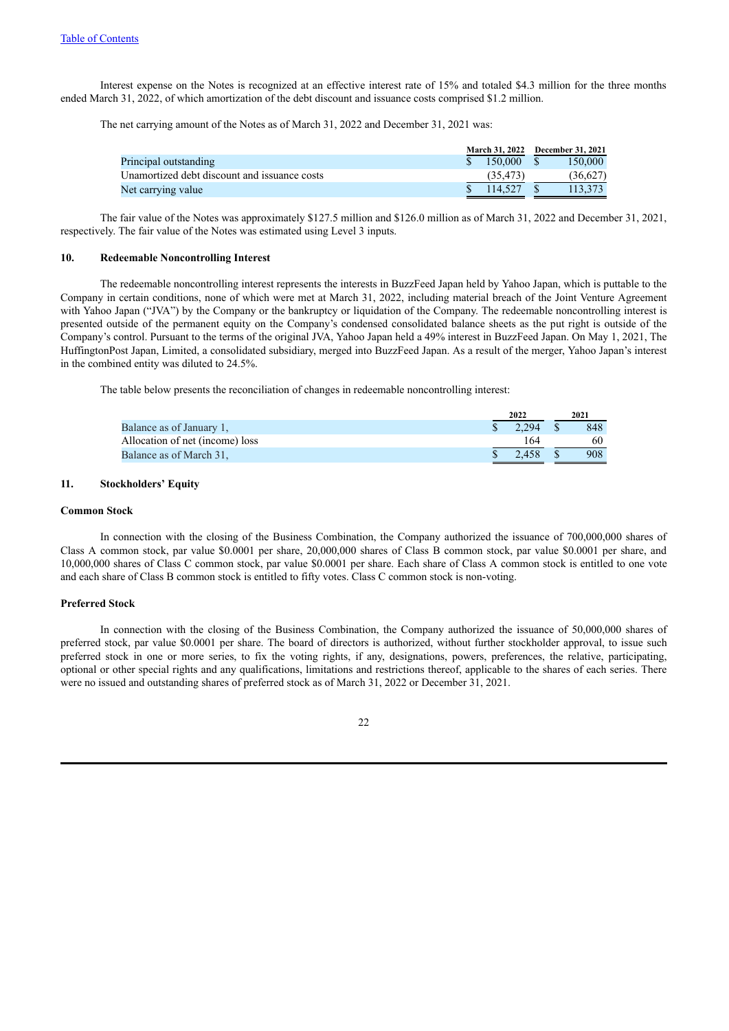Interest expense on the Notes is recognized at an effective interest rate of 15% and totaled \$4.3 million for the three months ended March 31, 2022, of which amortization of the debt discount and issuance costs comprised \$1.2 million.

The net carrying amount of the Notes as of March 31, 2022 and December 31, 2021 was:

|                                              |  |             | <b>March 31, 2022</b> December 31, 2021 |          |
|----------------------------------------------|--|-------------|-----------------------------------------|----------|
| Principal outstanding                        |  | \$150.000 S |                                         | 150,000  |
| Unamortized debt discount and issuance costs |  | (35, 473)   |                                         | (36,627) |
| Net carrying value                           |  | 114.527     |                                         | 113.373  |

The fair value of the Notes was approximately \$127.5 million and \$126.0 million as of March 31, 2022 and December 31, 2021, respectively. The fair value of the Notes was estimated using Level 3 inputs.

#### **10. Redeemable Noncontrolling Interest**

The redeemable noncontrolling interest represents the interests in BuzzFeed Japan held by Yahoo Japan, which is puttable to the Company in certain conditions, none of which were met at March 31, 2022, including material breach of the Joint Venture Agreement with Yahoo Japan ("JVA") by the Company or the bankruptcy or liquidation of the Company. The redeemable noncontrolling interest is presented outside of the permanent equity on the Company's condensed consolidated balance sheets as the put right is outside of the Company's control. Pursuant to the terms of the original JVA, Yahoo Japan held a 49% interest in BuzzFeed Japan. On May 1, 2021, The HuffingtonPost Japan, Limited, a consolidated subsidiary, merged into BuzzFeed Japan. As a result of the merger, Yahoo Japan's interest in the combined entity was diluted to 24.5%.

The table below presents the reconciliation of changes in redeemable noncontrolling interest:

|                                 | 2022  | 2021 |
|---------------------------------|-------|------|
| Balance as of January 1.        | 2.294 | 848  |
| Allocation of net (income) loss | 164   | 60   |
| Balance as of March 31.         | 2.458 | 908  |

#### **11. Stockholders' Equity**

#### **Common Stock**

In connection with the closing of the Business Combination, the Company authorized the issuance of 700,000,000 shares of Class A common stock, par value \$0.0001 per share, 20,000,000 shares of Class B common stock, par value \$0.0001 per share, and 10,000,000 shares of Class C common stock, par value \$0.0001 per share. Each share of Class A common stock is entitled to one vote and each share of Class B common stock is entitled to fifty votes. Class C common stock is non-voting.

# **Preferred Stock**

In connection with the closing of the Business Combination, the Company authorized the issuance of 50,000,000 shares of preferred stock, par value \$0.0001 per share. The board of directors is authorized, without further stockholder approval, to issue such preferred stock in one or more series, to fix the voting rights, if any, designations, powers, preferences, the relative, participating, optional or other special rights and any qualifications, limitations and restrictions thereof, applicable to the shares of each series. There were no issued and outstanding shares of preferred stock as of March 31, 2022 or December 31, 2021.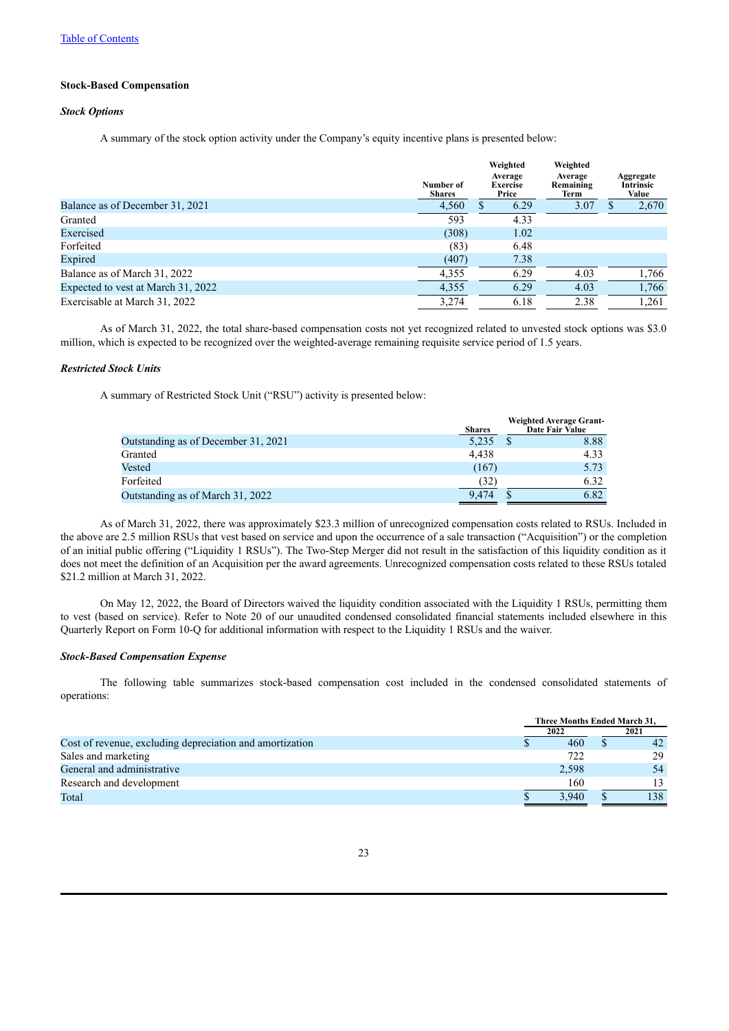# **Stock-Based Compensation**

# *Stock Options*

A summary of the stock option activity under the Company's equity incentive plans is presented below:

|                                    | Number of<br><b>Shares</b> | Weighted<br>Average<br><b>Exercise</b><br>Price | Weighted<br>Average<br>Remaining<br>Term | Aggregate<br>Intrinsic<br>Value |
|------------------------------------|----------------------------|-------------------------------------------------|------------------------------------------|---------------------------------|
| Balance as of December 31, 2021    | 4,560                      | 6.29                                            | 3.07                                     | 2,670                           |
| Granted                            | 593                        | 4.33                                            |                                          |                                 |
| Exercised                          | (308)                      | 1.02                                            |                                          |                                 |
| Forfeited                          | (83)                       | 6.48                                            |                                          |                                 |
| Expired                            | (407)                      | 7.38                                            |                                          |                                 |
| Balance as of March 31, 2022       | 4,355                      | 6.29                                            | 4.03                                     | 1,766                           |
| Expected to vest at March 31, 2022 | 4,355                      | 6.29                                            | 4.03                                     | 1,766                           |
| Exercisable at March 31, 2022      | 3.274                      | 6.18                                            | 2.38                                     | 1,261                           |

As of March 31, 2022, the total share-based compensation costs not yet recognized related to unvested stock options was \$3.0 million, which is expected to be recognized over the weighted-average remaining requisite service period of 1.5 years.

# *Restricted Stock Units*

A summary of Restricted Stock Unit ("RSU") activity is presented below:

|                                     | <b>Shares</b> | <b>Weighted Average Grant-</b><br>Date Fair Value |
|-------------------------------------|---------------|---------------------------------------------------|
| Outstanding as of December 31, 2021 | 5,235         | 8.88                                              |
| Granted                             | 4.438         | 4.33                                              |
| Vested                              | (167)         | 5.73                                              |
| Forfeited                           | (32)          | 6.32                                              |
| Outstanding as of March 31, 2022    | 9.474         | 6.82                                              |

As of March 31, 2022, there was approximately \$23.3 million of unrecognized compensation costs related to RSUs. Included in the above are 2.5 million RSUs that vest based on service and upon the occurrence of a sale transaction ("Acquisition") or the completion of an initial public offering ("Liquidity 1 RSUs"). The Two-Step Merger did not result in the satisfaction of this liquidity condition as it does not meet the definition of an Acquisition per the award agreements. Unrecognized compensation costs related to these RSUs totaled \$21.2 million at March 31, 2022.

On May 12, 2022, the Board of Directors waived the liquidity condition associated with the Liquidity 1 RSUs, permitting them to vest (based on service). Refer to Note 20 of our unaudited condensed consolidated financial statements included elsewhere in this Quarterly Report on Form 10-Q for additional information with respect to the Liquidity 1 RSUs and the waiver.

# *Stock-Based Compensation Expense*

The following table summarizes stock-based compensation cost included in the condensed consolidated statements of operations:

|                                                          | Three Months Ended March 31, |      |
|----------------------------------------------------------|------------------------------|------|
|                                                          | 2022                         | 2021 |
| Cost of revenue, excluding depreciation and amortization | 460                          | 42   |
| Sales and marketing                                      | 722                          | 29   |
| General and administrative                               | 2,598                        | 54   |
| Research and development                                 | 160                          | 13   |
| Total                                                    | 3.940                        | 138  |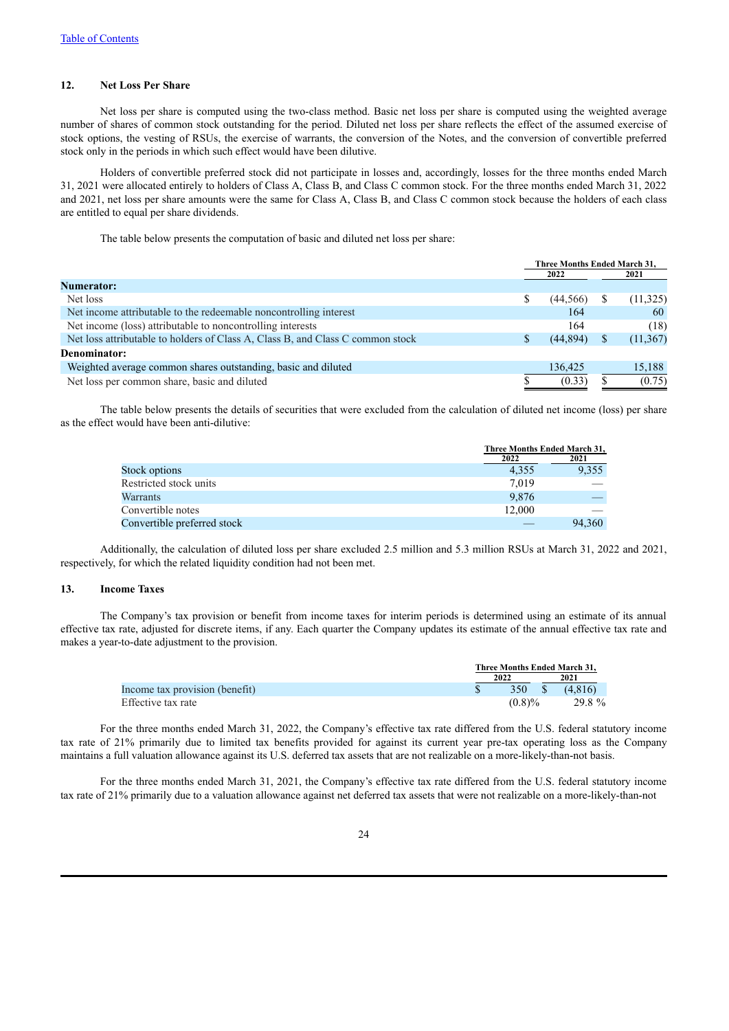# **12. Net Loss Per Share**

Net loss per share is computed using the two-class method. Basic net loss per share is computed using the weighted average number of shares of common stock outstanding for the period. Diluted net loss per share reflects the effect of the assumed exercise of stock options, the vesting of RSUs, the exercise of warrants, the conversion of the Notes, and the conversion of convertible preferred stock only in the periods in which such effect would have been dilutive.

Holders of convertible preferred stock did not participate in losses and, accordingly, losses for the three months ended March 31, 2021 were allocated entirely to holders of Class A, Class B, and Class C common stock. For the three months ended March 31, 2022 and 2021, net loss per share amounts were the same for Class A, Class B, and Class C common stock because the holders of each class are entitled to equal per share dividends.

The table below presents the computation of basic and diluted net loss per share:

|                                                                                | Three Months Ended March 31, |           |  |           |
|--------------------------------------------------------------------------------|------------------------------|-----------|--|-----------|
|                                                                                |                              | 2022      |  | 2021      |
| <b>Numerator:</b>                                                              |                              |           |  |           |
| Net loss                                                                       |                              | (44, 566) |  | (11, 325) |
| Net income attributable to the redeemable noncontrolling interest              |                              | 164       |  | 60        |
| Net income (loss) attributable to noncontrolling interests                     |                              | 164       |  | (18)      |
| Net loss attributable to holders of Class A, Class B, and Class C common stock |                              | (44, 894) |  | (11, 367) |
| Denominator:                                                                   |                              |           |  |           |
| Weighted average common shares outstanding, basic and diluted                  |                              | 136,425   |  | 15,188    |
| Net loss per common share, basic and diluted                                   |                              | (0.33)    |  | (0.75)    |

The table below presents the details of securities that were excluded from the calculation of diluted net income (loss) per share as the effect would have been anti-dilutive:

|                             | Three Months Ended March 31, |        |
|-----------------------------|------------------------------|--------|
|                             | 2022                         | 2021   |
| Stock options               | 4,355                        | 9,355  |
| Restricted stock units      | 7.019                        |        |
| Warrants                    | 9,876                        |        |
| Convertible notes           | 12.000                       |        |
| Convertible preferred stock |                              | 94,360 |

Additionally, the calculation of diluted loss per share excluded 2.5 million and 5.3 million RSUs at March 31, 2022 and 2021, respectively, for which the related liquidity condition had not been met.

# **13. Income Taxes**

The Company's tax provision or benefit from income taxes for interim periods is determined using an estimate of its annual effective tax rate, adjusted for discrete items, if any. Each quarter the Company updates its estimate of the annual effective tax rate and makes a year-to-date adjustment to the provision.

|                                | <b>Three Months Ended March 31.</b> |         |  |  |
|--------------------------------|-------------------------------------|---------|--|--|
|                                | 2022                                |         |  |  |
| Income tax provision (benefit) | 350 \$                              | (4.816) |  |  |
| Effective tax rate             | (0.8)%                              | 29.8 %  |  |  |

For the three months ended March 31, 2022, the Company's effective tax rate differed from the U.S. federal statutory income tax rate of 21% primarily due to limited tax benefits provided for against its current year pre-tax operating loss as the Company maintains a full valuation allowance against its U.S. deferred tax assets that are not realizable on a more-likely-than-not basis.

For the three months ended March 31, 2021, the Company's effective tax rate differed from the U.S. federal statutory income tax rate of 21% primarily due to a valuation allowance against net deferred tax assets that were not realizable on a more-likely-than-not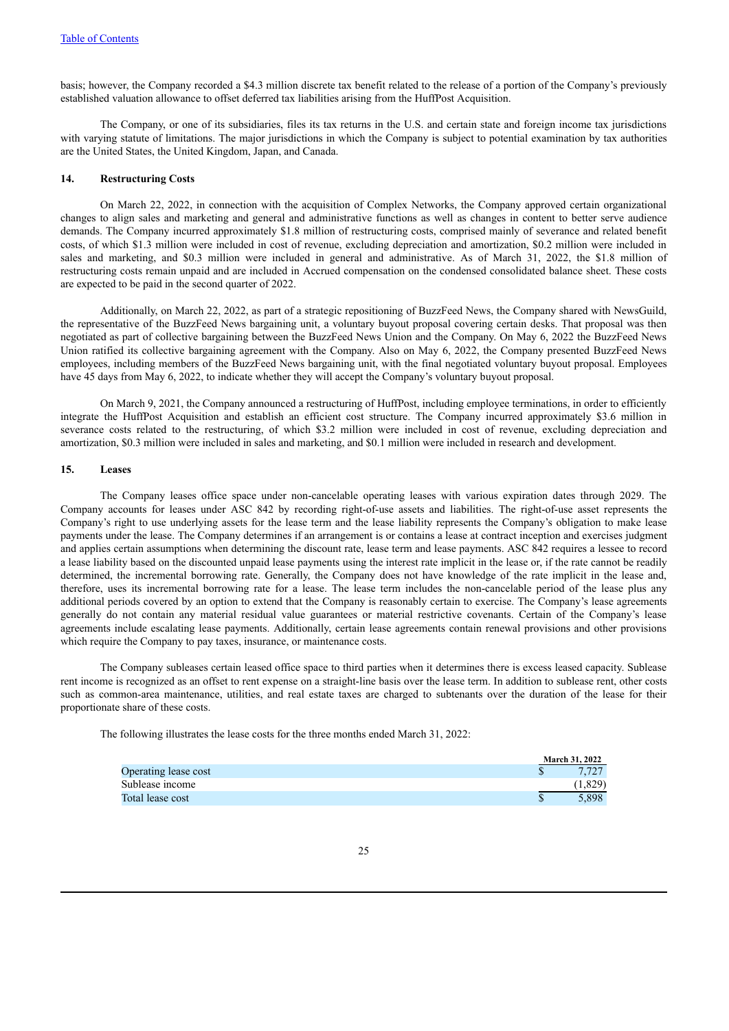basis; however, the Company recorded a \$4.3 million discrete tax benefit related to the release of a portion of the Company's previously established valuation allowance to offset deferred tax liabilities arising from the HuffPost Acquisition.

The Company, or one of its subsidiaries, files its tax returns in the U.S. and certain state and foreign income tax jurisdictions with varying statute of limitations. The major jurisdictions in which the Company is subject to potential examination by tax authorities are the United States, the United Kingdom, Japan, and Canada.

#### **14. Restructuring Costs**

On March 22, 2022, in connection with the acquisition of Complex Networks, the Company approved certain organizational changes to align sales and marketing and general and administrative functions as well as changes in content to better serve audience demands. The Company incurred approximately \$1.8 million of restructuring costs, comprised mainly of severance and related benefit costs, of which \$1.3 million were included in cost of revenue, excluding depreciation and amortization, \$0.2 million were included in sales and marketing, and \$0.3 million were included in general and administrative. As of March 31, 2022, the \$1.8 million of restructuring costs remain unpaid and are included in Accrued compensation on the condensed consolidated balance sheet. These costs are expected to be paid in the second quarter of 2022.

Additionally, on March 22, 2022, as part of a strategic repositioning of BuzzFeed News, the Company shared with NewsGuild, the representative of the BuzzFeed News bargaining unit, a voluntary buyout proposal covering certain desks. That proposal was then negotiated as part of collective bargaining between the BuzzFeed News Union and the Company. On May 6, 2022 the BuzzFeed News Union ratified its collective bargaining agreement with the Company. Also on May 6, 2022, the Company presented BuzzFeed News employees, including members of the BuzzFeed News bargaining unit, with the final negotiated voluntary buyout proposal. Employees have 45 days from May 6, 2022, to indicate whether they will accept the Company's voluntary buyout proposal.

On March 9, 2021, the Company announced a restructuring of HuffPost, including employee terminations, in order to efficiently integrate the HuffPost Acquisition and establish an efficient cost structure. The Company incurred approximately \$3.6 million in severance costs related to the restructuring, of which \$3.2 million were included in cost of revenue, excluding depreciation and amortization, \$0.3 million were included in sales and marketing, and \$0.1 million were included in research and development.

# **15. Leases**

The Company leases office space under non-cancelable operating leases with various expiration dates through 2029. The Company accounts for leases under ASC 842 by recording right-of-use assets and liabilities. The right-of-use asset represents the Company's right to use underlying assets for the lease term and the lease liability represents the Company's obligation to make lease payments under the lease. The Company determines if an arrangement is or contains a lease at contract inception and exercises judgment and applies certain assumptions when determining the discount rate, lease term and lease payments. ASC 842 requires a lessee to record a lease liability based on the discounted unpaid lease payments using the interest rate implicit in the lease or, if the rate cannot be readily determined, the incremental borrowing rate. Generally, the Company does not have knowledge of the rate implicit in the lease and, therefore, uses its incremental borrowing rate for a lease. The lease term includes the non-cancelable period of the lease plus any additional periods covered by an option to extend that the Company is reasonably certain to exercise. The Company's lease agreements generally do not contain any material residual value guarantees or material restrictive covenants. Certain of the Company's lease agreements include escalating lease payments. Additionally, certain lease agreements contain renewal provisions and other provisions which require the Company to pay taxes, insurance, or maintenance costs.

The Company subleases certain leased office space to third parties when it determines there is excess leased capacity. Sublease rent income is recognized as an offset to rent expense on a straight-line basis over the lease term. In addition to sublease rent, other costs such as common-area maintenance, utilities, and real estate taxes are charged to subtenants over the duration of the lease for their proportionate share of these costs.

The following illustrates the lease costs for the three months ended March 31, 2022:

|                      | <b>March 31, 2022</b> |         |
|----------------------|-----------------------|---------|
| Operating lease cost |                       | 7.727   |
| Sublease income      |                       | (1.829) |
| Total lease cost     |                       | 5.898   |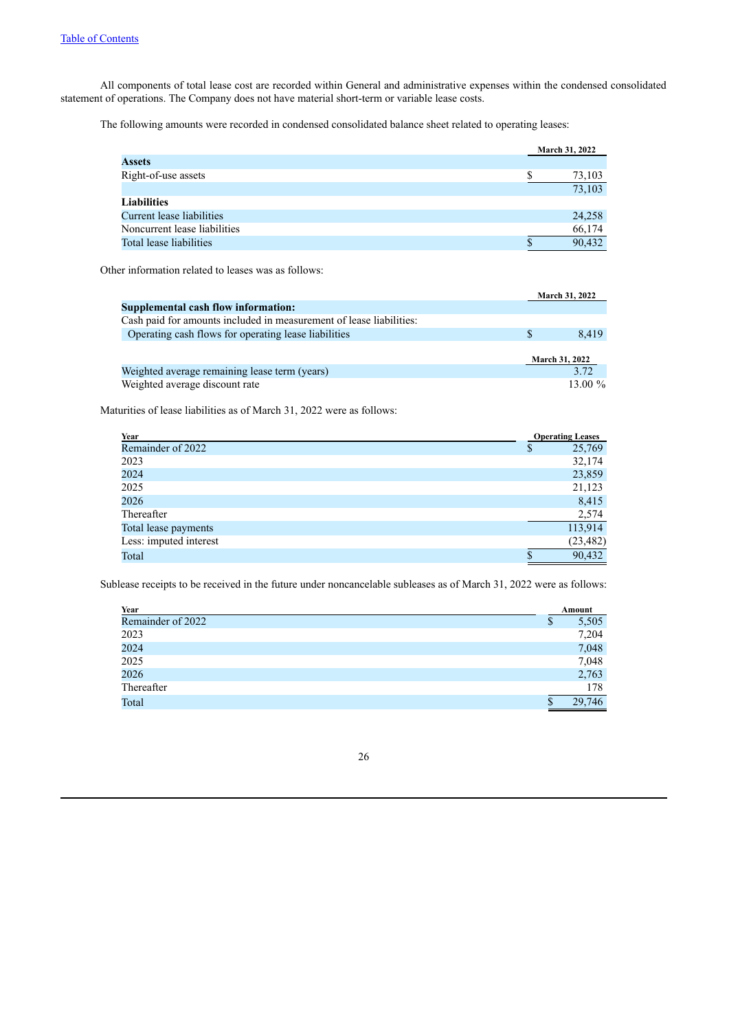All components of total lease cost are recorded within General and administrative expenses within the condensed consolidated statement of operations. The Company does not have material short-term or variable lease costs.

The following amounts were recorded in condensed consolidated balance sheet related to operating leases:

|                              | <b>March 31, 2022</b> |  |
|------------------------------|-----------------------|--|
| <b>Assets</b>                |                       |  |
| Right-of-use assets          | 73,103                |  |
|                              | 73,103                |  |
| <b>Liabilities</b>           |                       |  |
| Current lease liabilities    | 24,258                |  |
| Noncurrent lease liabilities | 66,174                |  |
| Total lease liabilities      | 90.432                |  |

Other information related to leases was as follows:

|                                                                     | <b>March 31, 2022</b> |
|---------------------------------------------------------------------|-----------------------|
| Supplemental cash flow information:                                 |                       |
| Cash paid for amounts included in measurement of lease liabilities: |                       |
| Operating cash flows for operating lease liabilities                | 8,419                 |
|                                                                     |                       |
|                                                                     | March 31, 2022        |
| Weighted average remaining lease term (years)                       | 3.72                  |
| Weighted average discount rate                                      | $13.00\%$             |

Maturities of lease liabilities as of March 31, 2022 were as follows:

| Year                   | <b>Operating Leases</b> |
|------------------------|-------------------------|
| Remainder of 2022      | 25,769<br>\$            |
| 2023                   | 32,174                  |
| 2024                   | 23,859                  |
| 2025                   | 21,123                  |
| 2026                   | 8,415                   |
| Thereafter             | 2,574                   |
| Total lease payments   | 113,914                 |
| Less: imputed interest | (23, 482)               |
| Total                  | 90,432                  |

Sublease receipts to be received in the future under noncancelable subleases as of March 31, 2022 were as follows:

| Year              | Amount      |
|-------------------|-------------|
| Remainder of 2022 | \$<br>5,505 |
| 2023              | 7,204       |
| 2024              | 7,048       |
| 2025              | 7,048       |
| 2026              | 2,763       |
| Thereafter        | 178         |
| Total             | 29,746      |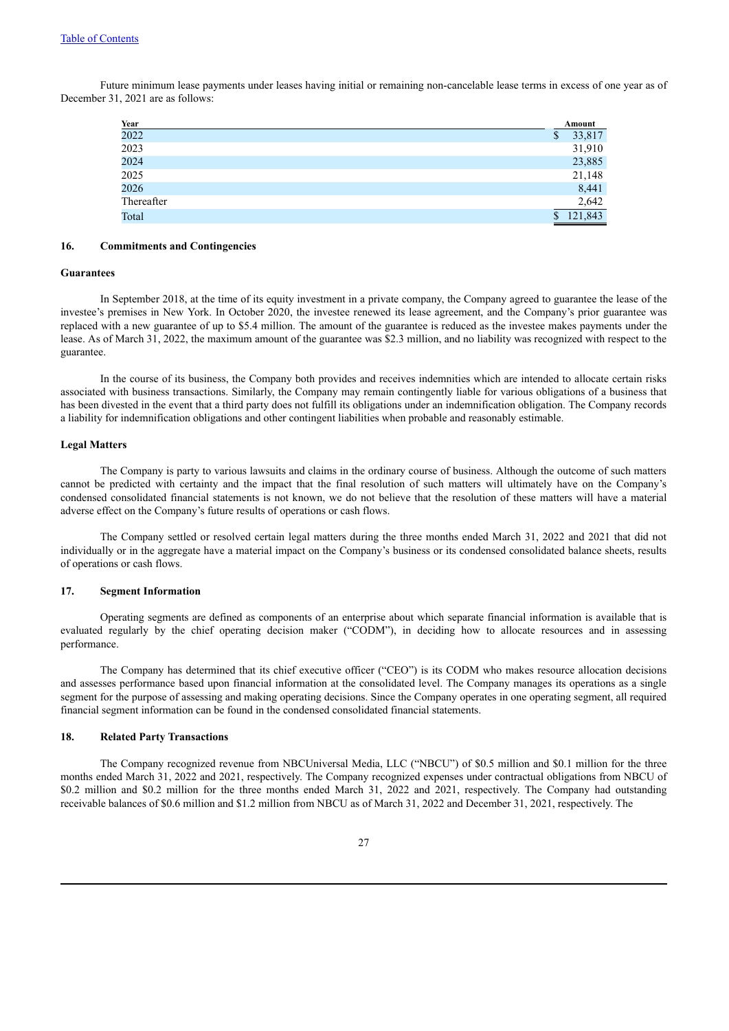Future minimum lease payments under leases having initial or remaining non-cancelable lease terms in excess of one year as of December 31, 2021 are as follows:

|              | Amount  |
|--------------|---------|
| S            | 33,817  |
|              | 31,910  |
|              | 23,885  |
|              | 21,148  |
|              | 8,441   |
|              | 2,642   |
| $\mathbb{S}$ | 121,843 |
|              |         |

# **16. Commitments and Contingencies**

# **Guarantees**

In September 2018, at the time of its equity investment in a private company, the Company agreed to guarantee the lease of the investee's premises in New York. In October 2020, the investee renewed its lease agreement, and the Company's prior guarantee was replaced with a new guarantee of up to \$5.4 million. The amount of the guarantee is reduced as the investee makes payments under the lease. As of March 31, 2022, the maximum amount of the guarantee was \$2.3 million, and no liability was recognized with respect to the guarantee.

In the course of its business, the Company both provides and receives indemnities which are intended to allocate certain risks associated with business transactions. Similarly, the Company may remain contingently liable for various obligations of a business that has been divested in the event that a third party does not fulfill its obligations under an indemnification obligation. The Company records a liability for indemnification obligations and other contingent liabilities when probable and reasonably estimable.

# **Legal Matters**

The Company is party to various lawsuits and claims in the ordinary course of business. Although the outcome of such matters cannot be predicted with certainty and the impact that the final resolution of such matters will ultimately have on the Company's condensed consolidated financial statements is not known, we do not believe that the resolution of these matters will have a material adverse effect on the Company's future results of operations or cash flows.

The Company settled or resolved certain legal matters during the three months ended March 31, 2022 and 2021 that did not individually or in the aggregate have a material impact on the Company's business or its condensed consolidated balance sheets, results of operations or cash flows.

# **17. Segment Information**

Operating segments are defined as components of an enterprise about which separate financial information is available that is evaluated regularly by the chief operating decision maker ("CODM"), in deciding how to allocate resources and in assessing performance.

The Company has determined that its chief executive officer ("CEO") is its CODM who makes resource allocation decisions and assesses performance based upon financial information at the consolidated level. The Company manages its operations as a single segment for the purpose of assessing and making operating decisions. Since the Company operates in one operating segment, all required financial segment information can be found in the condensed consolidated financial statements.

# **18. Related Party Transactions**

The Company recognized revenue from NBCUniversal Media, LLC ("NBCU") of \$0.5 million and \$0.1 million for the three months ended March 31, 2022 and 2021, respectively. The Company recognized expenses under contractual obligations from NBCU of \$0.2 million and \$0.2 million for the three months ended March 31, 2022 and 2021, respectively. The Company had outstanding receivable balances of \$0.6 million and \$1.2 million from NBCU as of March 31, 2022 and December 31, 2021, respectively. The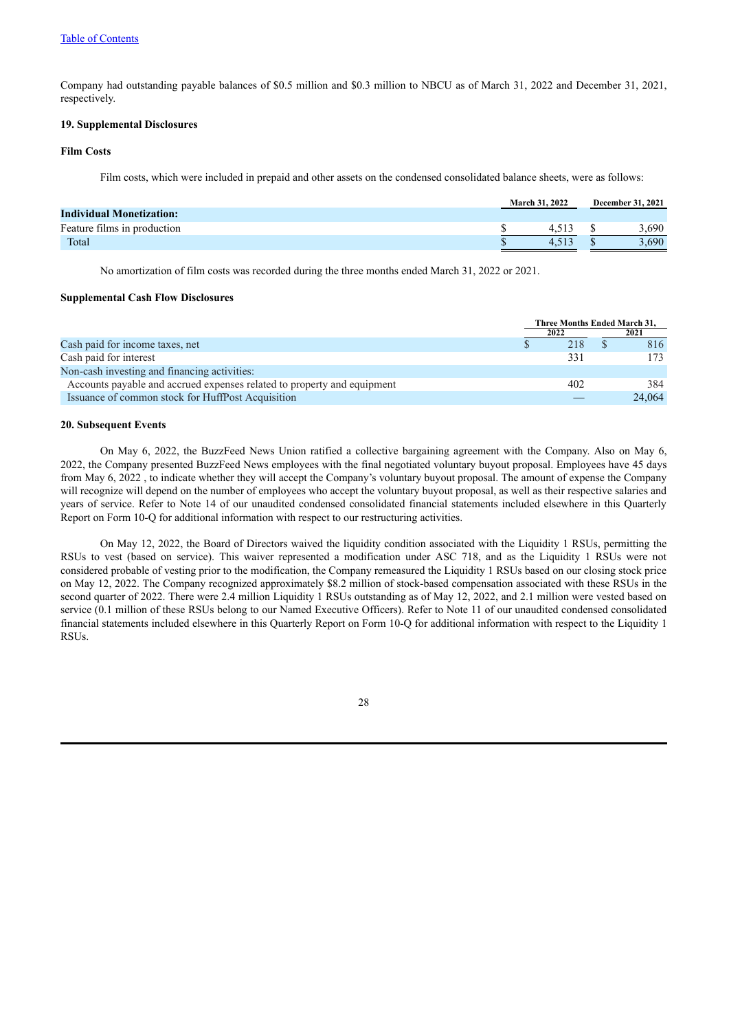Company had outstanding payable balances of \$0.5 million and \$0.3 million to NBCU as of March 31, 2022 and December 31, 2021, respectively.

# **19. Supplemental Disclosures**

# **Film Costs**

Film costs, which were included in prepaid and other assets on the condensed consolidated balance sheets, were as follows:

|                                 | <b>March 31, 2022</b> | <b>December 31, 2021</b> |       |
|---------------------------------|-----------------------|--------------------------|-------|
| <b>Individual Monetization:</b> |                       |                          |       |
| Feature films in production     |                       |                          | .690  |
| Total                           |                       |                          | 3.690 |

No amortization of film costs was recorded during the three months ended March 31, 2022 or 2021.

# **Supplemental Cash Flow Disclosures**

|                                                                         | Three Months Ended March 31, |  |        |
|-------------------------------------------------------------------------|------------------------------|--|--------|
|                                                                         | 2022                         |  | 2021   |
| Cash paid for income taxes, net                                         | 218                          |  | 816    |
| Cash paid for interest                                                  | 331                          |  | 173    |
| Non-cash investing and financing activities:                            |                              |  |        |
| Accounts payable and accrued expenses related to property and equipment | 402                          |  | 384    |
| Issuance of common stock for HuffPost Acquisition                       |                              |  | 24,064 |

# **20. Subsequent Events**

On May 6, 2022, the BuzzFeed News Union ratified a collective bargaining agreement with the Company. Also on May 6, 2022, the Company presented BuzzFeed News employees with the final negotiated voluntary buyout proposal. Employees have 45 days from May 6, 2022 , to indicate whether they will accept the Company's voluntary buyout proposal. The amount of expense the Company will recognize will depend on the number of employees who accept the voluntary buyout proposal, as well as their respective salaries and years of service. Refer to Note 14 of our unaudited condensed consolidated financial statements included elsewhere in this Quarterly Report on Form 10-Q for additional information with respect to our restructuring activities.

On May 12, 2022, the Board of Directors waived the liquidity condition associated with the Liquidity 1 RSUs, permitting the RSUs to vest (based on service). This waiver represented a modification under ASC 718, and as the Liquidity 1 RSUs were not considered probable of vesting prior to the modification, the Company remeasured the Liquidity 1 RSUs based on our closing stock price on May 12, 2022. The Company recognized approximately \$8.2 million of stock-based compensation associated with these RSUs in the second quarter of 2022. There were 2.4 million Liquidity 1 RSUs outstanding as of May 12, 2022, and 2.1 million were vested based on service (0.1 million of these RSUs belong to our Named Executive Officers). Refer to Note 11 of our unaudited condensed consolidated financial statements included elsewhere in this Quarterly Report on Form 10-Q for additional information with respect to the Liquidity 1 RSUs.

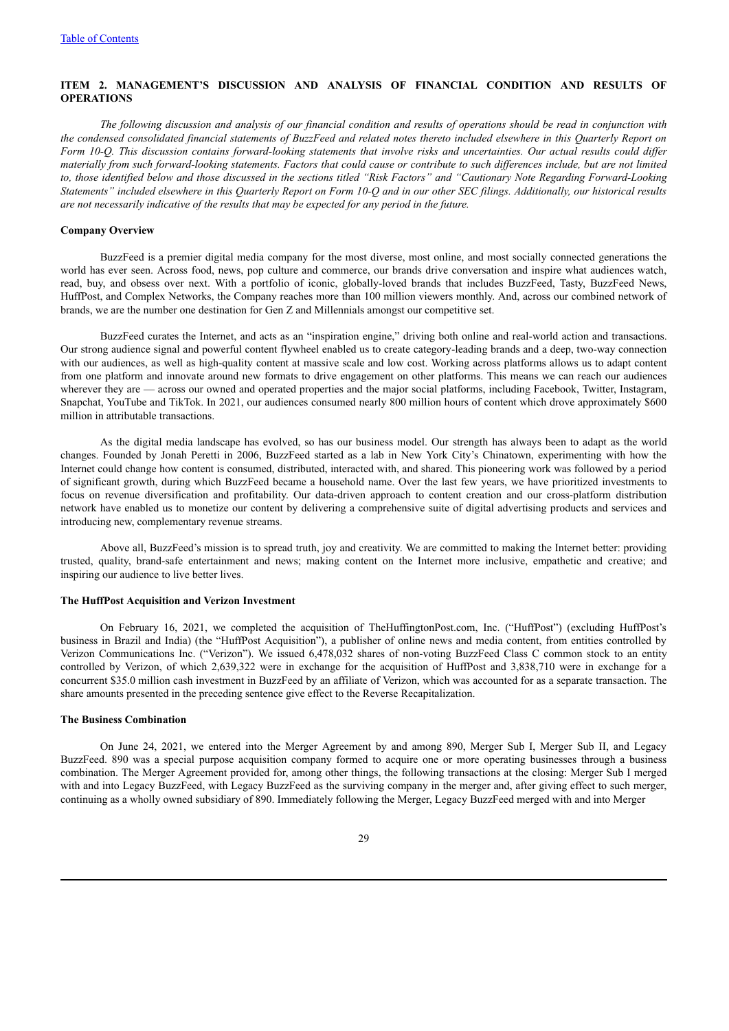# <span id="page-29-0"></span>**ITEM 2. MANAGEMENT'S DISCUSSION AND ANALYSIS OF FINANCIAL CONDITION AND RESULTS OF OPERATIONS**

The following discussion and analysis of our financial condition and results of operations should be read in conjunction with the condensed consolidated financial statements of BuzzFeed and related notes thereto included elsewhere in this Quarterly Report on Form 10-O. This discussion contains forward-looking statements that involve risks and uncertainties. Our actual results could differ materially from such forward-looking statements. Factors that could cause or contribute to such differences include, but are not limited to, those identified below and those discussed in the sections titled "Risk Factors" and "Cautionary Note Regarding Forward-Looking Statements" included elsewhere in this Quarterly Report on Form 10-Q and in our other SEC filings. Additionally, our historical results *are not necessarily indicative of the results that may be expected for any period in the future.*

# **Company Overview**

BuzzFeed is a premier digital media company for the most diverse, most online, and most socially connected generations the world has ever seen. Across food, news, pop culture and commerce, our brands drive conversation and inspire what audiences watch, read, buy, and obsess over next. With a portfolio of iconic, globally-loved brands that includes BuzzFeed, Tasty, BuzzFeed News, HuffPost, and Complex Networks, the Company reaches more than 100 million viewers monthly. And, across our combined network of brands, we are the number one destination for Gen Z and Millennials amongst our competitive set.

BuzzFeed curates the Internet, and acts as an "inspiration engine," driving both online and real-world action and transactions. Our strong audience signal and powerful content flywheel enabled us to create category-leading brands and a deep, two-way connection with our audiences, as well as high-quality content at massive scale and low cost. Working across platforms allows us to adapt content from one platform and innovate around new formats to drive engagement on other platforms. This means we can reach our audiences wherever they are — across our owned and operated properties and the major social platforms, including Facebook, Twitter, Instagram, Snapchat, YouTube and TikTok. In 2021, our audiences consumed nearly 800 million hours of content which drove approximately \$600 million in attributable transactions.

As the digital media landscape has evolved, so has our business model. Our strength has always been to adapt as the world changes. Founded by Jonah Peretti in 2006, BuzzFeed started as a lab in New York City's Chinatown, experimenting with how the Internet could change how content is consumed, distributed, interacted with, and shared. This pioneering work was followed by a period of significant growth, during which BuzzFeed became a household name. Over the last few years, we have prioritized investments to focus on revenue diversification and profitability. Our data-driven approach to content creation and our cross-platform distribution network have enabled us to monetize our content by delivering a comprehensive suite of digital advertising products and services and introducing new, complementary revenue streams.

Above all, BuzzFeed's mission is to spread truth, joy and creativity. We are committed to making the Internet better: providing trusted, quality, brand-safe entertainment and news; making content on the Internet more inclusive, empathetic and creative; and inspiring our audience to live better lives.

# **The HuffPost Acquisition and Verizon Investment**

On February 16, 2021, we completed the acquisition of TheHuffingtonPost.com, Inc. ("HuffPost") (excluding HuffPost's business in Brazil and India) (the "HuffPost Acquisition"), a publisher of online news and media content, from entities controlled by Verizon Communications Inc. ("Verizon"). We issued 6,478,032 shares of non-voting BuzzFeed Class C common stock to an entity controlled by Verizon, of which 2,639,322 were in exchange for the acquisition of HuffPost and 3,838,710 were in exchange for a concurrent \$35.0 million cash investment in BuzzFeed by an affiliate of Verizon, which was accounted for as a separate transaction. The share amounts presented in the preceding sentence give effect to the Reverse Recapitalization.

# **The Business Combination**

On June 24, 2021, we entered into the Merger Agreement by and among 890, Merger Sub I, Merger Sub II, and Legacy BuzzFeed. 890 was a special purpose acquisition company formed to acquire one or more operating businesses through a business combination. The Merger Agreement provided for, among other things, the following transactions at the closing: Merger Sub I merged with and into Legacy BuzzFeed, with Legacy BuzzFeed as the surviving company in the merger and, after giving effect to such merger, continuing as a wholly owned subsidiary of 890. Immediately following the Merger, Legacy BuzzFeed merged with and into Merger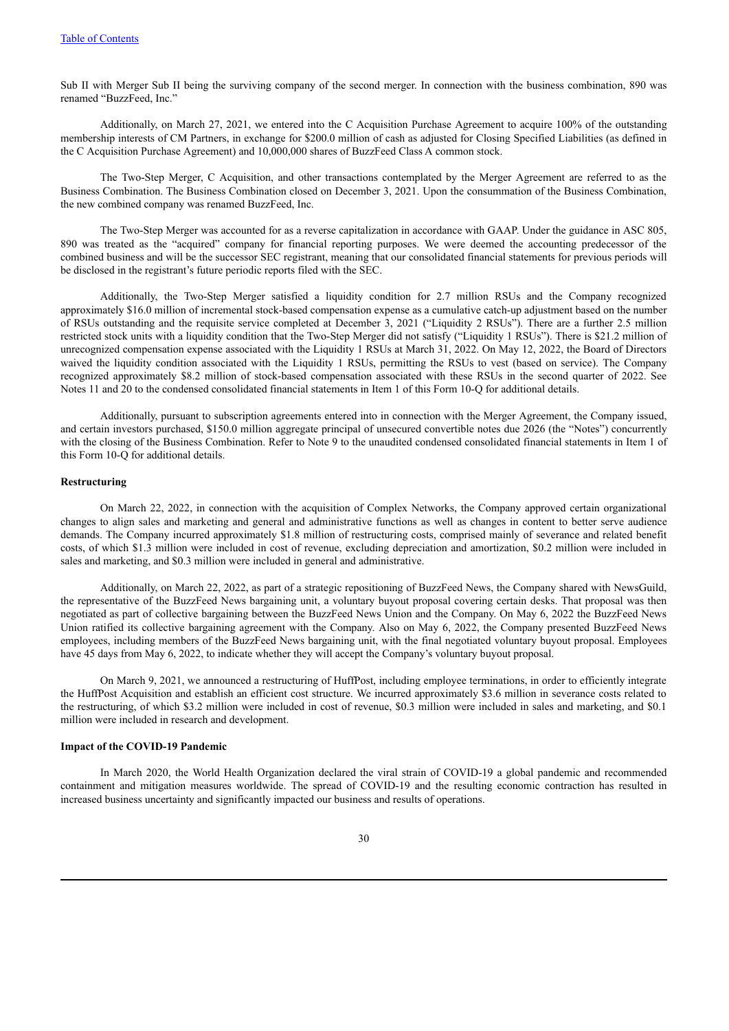Sub II with Merger Sub II being the surviving company of the second merger. In connection with the business combination, 890 was renamed "BuzzFeed, Inc."

Additionally, on March 27, 2021, we entered into the C Acquisition Purchase Agreement to acquire 100% of the outstanding membership interests of CM Partners, in exchange for \$200.0 million of cash as adjusted for Closing Specified Liabilities (as defined in the C Acquisition Purchase Agreement) and 10,000,000 shares of BuzzFeed Class A common stock.

The Two-Step Merger, C Acquisition, and other transactions contemplated by the Merger Agreement are referred to as the Business Combination. The Business Combination closed on December 3, 2021. Upon the consummation of the Business Combination, the new combined company was renamed BuzzFeed, Inc.

The Two-Step Merger was accounted for as a reverse capitalization in accordance with GAAP. Under the guidance in ASC 805, 890 was treated as the "acquired" company for financial reporting purposes. We were deemed the accounting predecessor of the combined business and will be the successor SEC registrant, meaning that our consolidated financial statements for previous periods will be disclosed in the registrant's future periodic reports filed with the SEC.

Additionally, the Two-Step Merger satisfied a liquidity condition for 2.7 million RSUs and the Company recognized approximately \$16.0 million of incremental stock-based compensation expense as a cumulative catch-up adjustment based on the number of RSUs outstanding and the requisite service completed at December 3, 2021 ("Liquidity 2 RSUs"). There are a further 2.5 million restricted stock units with a liquidity condition that the Two-Step Merger did not satisfy ("Liquidity 1 RSUs"). There is \$21.2 million of unrecognized compensation expense associated with the Liquidity 1 RSUs at March 31, 2022. On May 12, 2022, the Board of Directors waived the liquidity condition associated with the Liquidity 1 RSUs, permitting the RSUs to vest (based on service). The Company recognized approximately \$8.2 million of stock-based compensation associated with these RSUs in the second quarter of 2022. See Notes 11 and 20 to the condensed consolidated financial statements in Item 1 of this Form 10-Q for additional details.

Additionally, pursuant to subscription agreements entered into in connection with the Merger Agreement, the Company issued, and certain investors purchased, \$150.0 million aggregate principal of unsecured convertible notes due 2026 (the "Notes") concurrently with the closing of the Business Combination. Refer to Note 9 to the unaudited condensed consolidated financial statements in Item 1 of this Form 10-Q for additional details.

# **Restructuring**

On March 22, 2022, in connection with the acquisition of Complex Networks, the Company approved certain organizational changes to align sales and marketing and general and administrative functions as well as changes in content to better serve audience demands. The Company incurred approximately \$1.8 million of restructuring costs, comprised mainly of severance and related benefit costs, of which \$1.3 million were included in cost of revenue, excluding depreciation and amortization, \$0.2 million were included in sales and marketing, and \$0.3 million were included in general and administrative.

Additionally, on March 22, 2022, as part of a strategic repositioning of BuzzFeed News, the Company shared with NewsGuild, the representative of the BuzzFeed News bargaining unit, a voluntary buyout proposal covering certain desks. That proposal was then negotiated as part of collective bargaining between the BuzzFeed News Union and the Company. On May 6, 2022 the BuzzFeed News Union ratified its collective bargaining agreement with the Company. Also on May 6, 2022, the Company presented BuzzFeed News employees, including members of the BuzzFeed News bargaining unit, with the final negotiated voluntary buyout proposal. Employees have 45 days from May 6, 2022, to indicate whether they will accept the Company's voluntary buyout proposal.

On March 9, 2021, we announced a restructuring of HuffPost, including employee terminations, in order to efficiently integrate the HuffPost Acquisition and establish an efficient cost structure. We incurred approximately \$3.6 million in severance costs related to the restructuring, of which \$3.2 million were included in cost of revenue, \$0.3 million were included in sales and marketing, and \$0.1 million were included in research and development.

# **Impact of the COVID-19 Pandemic**

In March 2020, the World Health Organization declared the viral strain of COVID-19 a global pandemic and recommended containment and mitigation measures worldwide. The spread of COVID-19 and the resulting economic contraction has resulted in increased business uncertainty and significantly impacted our business and results of operations.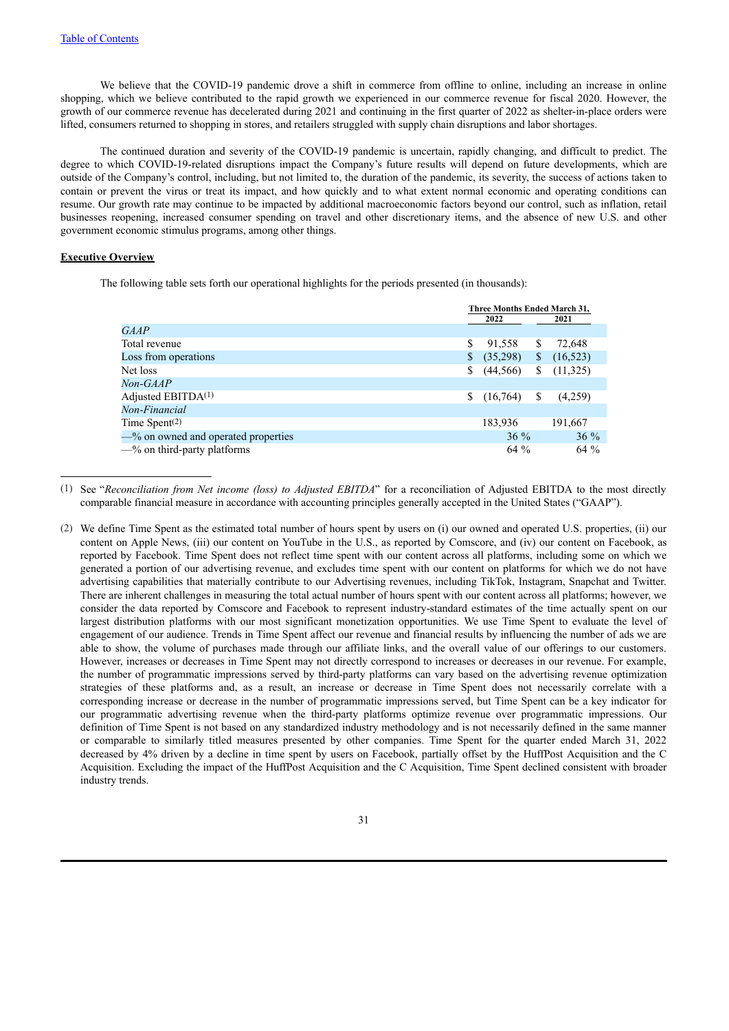We believe that the COVID-19 pandemic drove a shift in commerce from offline to online, including an increase in online shopping, which we believe contributed to the rapid growth we experienced in our commerce revenue for fiscal 2020. However, the growth of our commerce revenue has decelerated during 2021 and continuing in the first quarter of 2022 as shelter-in-place orders were lifted, consumers returned to shopping in stores, and retailers struggled with supply chain disruptions and labor shortages.

The continued duration and severity of the COVID-19 pandemic is uncertain, rapidly changing, and difficult to predict. The degree to which COVID-19-related disruptions impact the Company's future results will depend on future developments, which are outside of the Company's control, including, but not limited to, the duration of the pandemic, its severity, the success of actions taken to contain or prevent the virus or treat its impact, and how quickly and to what extent normal economic and operating conditions can resume. Our growth rate may continue to be impacted by additional macroeconomic factors beyond our control, such as inflation, retail businesses reopening, increased consumer spending on travel and other discretionary items, and the absence of new U.S. and other government economic stimulus programs, among other things.

# **Executive Overview**

The following table sets forth our operational highlights for the periods presented (in thousands):

|                                        | Three Months Ended March 31,<br>2022 |           |    | 2021      |  |
|----------------------------------------|--------------------------------------|-----------|----|-----------|--|
| GAAP                                   |                                      |           |    |           |  |
| Total revenue                          | \$                                   | 91,558    | S  | 72,648    |  |
| Loss from operations                   | S.                                   | (35,298)  | S  | (16, 523) |  |
| Net loss                               | S.                                   | (44, 566) | S  | (11, 325) |  |
| Non-GAAP                               |                                      |           |    |           |  |
| Adjusted EBITD $A^{(1)}$               | S.                                   | (16,764)  | -S | (4,259)   |  |
| Non-Financial                          |                                      |           |    |           |  |
| Time Spent <sup><math>(2)</math></sup> |                                      | 183,936   |    | 191,667   |  |
| $-\%$ on owned and operated properties |                                      | $36\%$    |    | $36\%$    |  |
| $-$ % on third-party platforms         |                                      | 64%       |    | 64%       |  |

(1) See "*Reconciliation from Net income (loss) to Adjusted EBITDA*" for a reconciliation of Adjusted EBITDA to the most directly comparable financial measure in accordance with accounting principles generally accepted in the United States ("GAAP").

<sup>(2)</sup> We define Time Spent as the estimated total number of hours spent by users on (i) our owned and operated U.S. properties, (ii) our content on Apple News, (iii) our content on YouTube in the U.S., as reported by Comscore, and (iv) our content on Facebook, as reported by Facebook. Time Spent does not reflect time spent with our content across all platforms, including some on which we generated a portion of our advertising revenue, and excludes time spent with our content on platforms for which we do not have advertising capabilities that materially contribute to our Advertising revenues, including TikTok, Instagram, Snapchat and Twitter. There are inherent challenges in measuring the total actual number of hours spent with our content across all platforms; however, we consider the data reported by Comscore and Facebook to represent industry-standard estimates of the time actually spent on our largest distribution platforms with our most significant monetization opportunities. We use Time Spent to evaluate the level of engagement of our audience. Trends in Time Spent affect our revenue and financial results by influencing the number of ads we are able to show, the volume of purchases made through our affiliate links, and the overall value of our offerings to our customers. However, increases or decreases in Time Spent may not directly correspond to increases or decreases in our revenue. For example, the number of programmatic impressions served by third-party platforms can vary based on the advertising revenue optimization strategies of these platforms and, as a result, an increase or decrease in Time Spent does not necessarily correlate with a corresponding increase or decrease in the number of programmatic impressions served, but Time Spent can be a key indicator for our programmatic advertising revenue when the third-party platforms optimize revenue over programmatic impressions. Our definition of Time Spent is not based on any standardized industry methodology and is not necessarily defined in the same manner or comparable to similarly titled measures presented by other companies. Time Spent for the quarter ended March 31, 2022 decreased by 4% driven by a decline in time spent by users on Facebook, partially offset by the HuffPost Acquisition and the C Acquisition. Excluding the impact of the HuffPost Acquisition and the C Acquisition, Time Spent declined consistent with broader industry trends.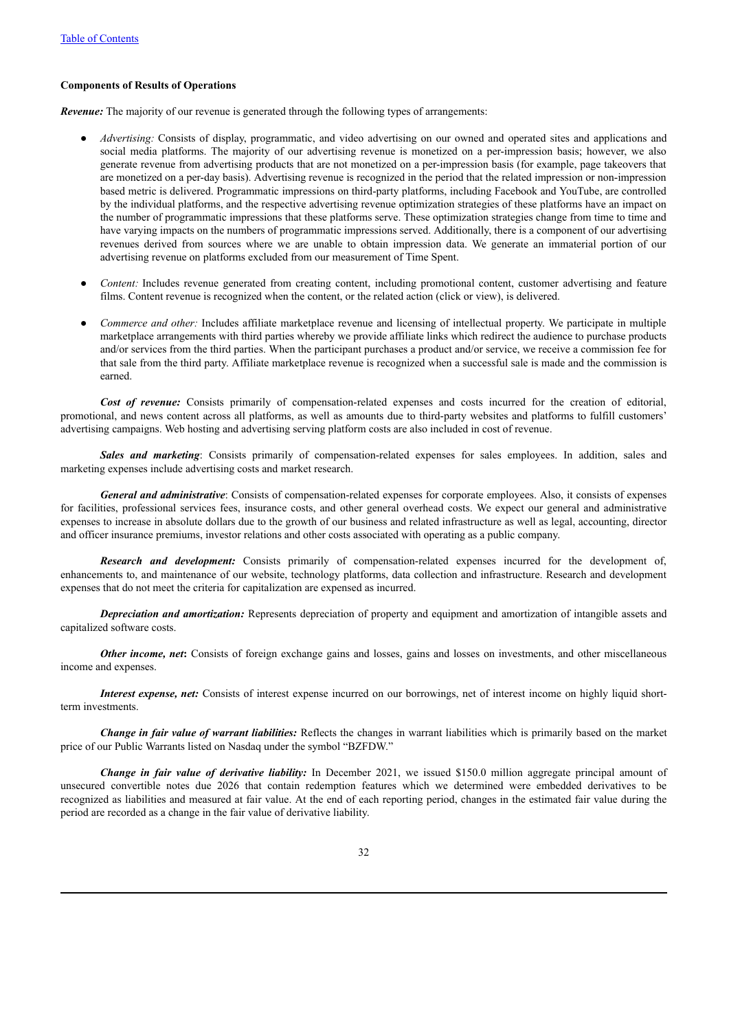# **Components of Results of Operations**

*Revenue:* The majority of our revenue is generated through the following types of arrangements:

- *Advertising:* Consists of display, programmatic, and video advertising on our owned and operated sites and applications and social media platforms. The majority of our advertising revenue is monetized on a per-impression basis; however, we also generate revenue from advertising products that are not monetized on a per-impression basis (for example, page takeovers that are monetized on a per-day basis). Advertising revenue is recognized in the period that the related impression or non-impression based metric is delivered. Programmatic impressions on third-party platforms, including Facebook and YouTube, are controlled by the individual platforms, and the respective advertising revenue optimization strategies of these platforms have an impact on the number of programmatic impressions that these platforms serve. These optimization strategies change from time to time and have varying impacts on the numbers of programmatic impressions served. Additionally, there is a component of our advertising revenues derived from sources where we are unable to obtain impression data. We generate an immaterial portion of our advertising revenue on platforms excluded from our measurement of Time Spent.
- *Content:* Includes revenue generated from creating content, including promotional content, customer advertising and feature films. Content revenue is recognized when the content, or the related action (click or view), is delivered.
- *Commerce and other:* Includes affiliate marketplace revenue and licensing of intellectual property. We participate in multiple marketplace arrangements with third parties whereby we provide affiliate links which redirect the audience to purchase products and/or services from the third parties. When the participant purchases a product and/or service, we receive a commission fee for that sale from the third party. Affiliate marketplace revenue is recognized when a successful sale is made and the commission is earned.

*Cost of revenue:* Consists primarily of compensation-related expenses and costs incurred for the creation of editorial, promotional, and news content across all platforms, as well as amounts due to third-party websites and platforms to fulfill customers' advertising campaigns. Web hosting and advertising serving platform costs are also included in cost of revenue.

*Sales and marketing*: Consists primarily of compensation-related expenses for sales employees. In addition, sales and marketing expenses include advertising costs and market research.

*General and administrative*: Consists of compensation-related expenses for corporate employees. Also, it consists of expenses for facilities, professional services fees, insurance costs, and other general overhead costs. We expect our general and administrative expenses to increase in absolute dollars due to the growth of our business and related infrastructure as well as legal, accounting, director and officer insurance premiums, investor relations and other costs associated with operating as a public company.

*Research and development:* Consists primarily of compensation-related expenses incurred for the development of, enhancements to, and maintenance of our website, technology platforms, data collection and infrastructure. Research and development expenses that do not meet the criteria for capitalization are expensed as incurred.

*Depreciation and amortization:* Represents depreciation of property and equipment and amortization of intangible assets and capitalized software costs.

*Other income, net*: Consists of foreign exchange gains and losses, gains and losses on investments, and other miscellaneous income and expenses.

*Interest expense, net:* Consists of interest expense incurred on our borrowings, net of interest income on highly liquid shortterm investments.

*Change in fair value of warrant liabilities:* Reflects the changes in warrant liabilities which is primarily based on the market price of our Public Warrants listed on Nasdaq under the symbol "BZFDW."

*Change in fair value of derivative liability:* In December 2021, we issued \$150.0 million aggregate principal amount of unsecured convertible notes due 2026 that contain redemption features which we determined were embedded derivatives to be recognized as liabilities and measured at fair value. At the end of each reporting period, changes in the estimated fair value during the period are recorded as a change in the fair value of derivative liability.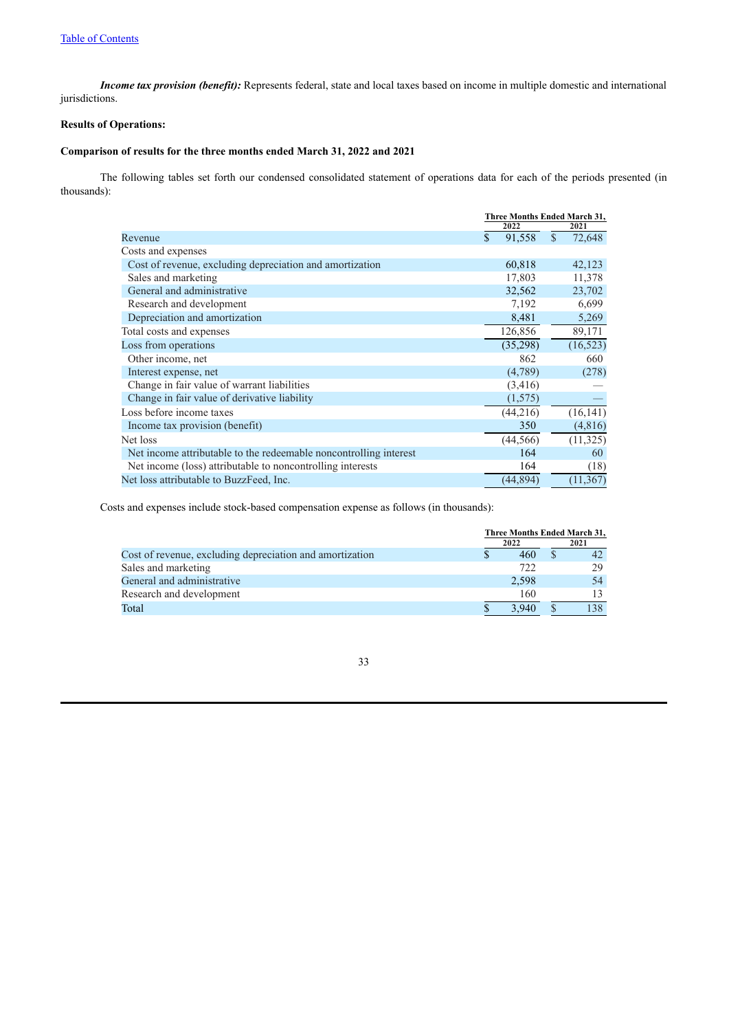*Income tax provision (benefit):* Represents federal, state and local taxes based on income in multiple domestic and international jurisdictions.

# **Results of Operations:**

# **Comparison of results for the three months ended March 31, 2022 and 2021**

The following tables set forth our condensed consolidated statement of operations data for each of the periods presented (in thousands):

|                                                                   | Three Months Ended March 31, |           |               |           |
|-------------------------------------------------------------------|------------------------------|-----------|---------------|-----------|
|                                                                   |                              | 2022      |               | 2021      |
| Revenue                                                           | \$                           | 91,558    | $\mathcal{S}$ | 72,648    |
| Costs and expenses                                                |                              |           |               |           |
| Cost of revenue, excluding depreciation and amortization          |                              | 60,818    |               | 42,123    |
| Sales and marketing                                               |                              | 17,803    |               | 11,378    |
| General and administrative                                        |                              | 32,562    |               | 23,702    |
| Research and development                                          |                              | 7,192     |               | 6,699     |
| Depreciation and amortization                                     |                              | 8,481     |               | 5,269     |
| Total costs and expenses                                          |                              | 126,856   |               | 89,171    |
| Loss from operations                                              |                              | (35,298)  |               | (16, 523) |
| Other income, net                                                 |                              | 862       |               | 660       |
| Interest expense, net                                             |                              | (4,789)   |               | (278)     |
| Change in fair value of warrant liabilities                       |                              | (3,416)   |               |           |
| Change in fair value of derivative liability                      |                              | (1,575)   |               |           |
| Loss before income taxes                                          |                              | (44,216)  |               | (16, 141) |
| Income tax provision (benefit)                                    |                              | 350       |               | (4,816)   |
| Net loss                                                          |                              | (44, 566) |               | (11, 325) |
| Net income attributable to the redeemable noncontrolling interest |                              | 164       |               | 60        |
| Net income (loss) attributable to noncontrolling interests        |                              | 164       |               | (18)      |
| Net loss attributable to BuzzFeed, Inc.                           |                              | (44, 894) |               | (11, 367) |

Costs and expenses include stock-based compensation expense as follows (in thousands):

|                                                          | Three Months Ended March 31, |         |  |      |
|----------------------------------------------------------|------------------------------|---------|--|------|
|                                                          |                              | 2022    |  | 2021 |
| Cost of revenue, excluding depreciation and amortization |                              | 460     |  | 42   |
| Sales and marketing                                      |                              | 722     |  | 29   |
| General and administrative                               |                              | 2,598   |  | 54   |
| Research and development                                 |                              | 160     |  |      |
| Total                                                    |                              | 3 9 4 0 |  | 138  |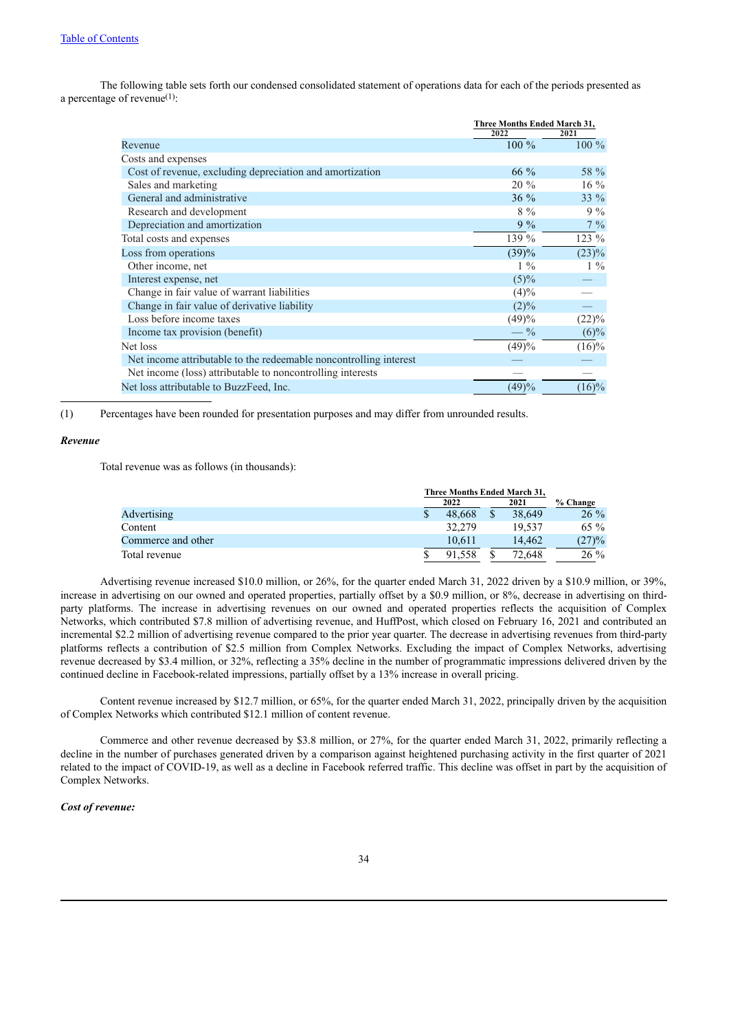The following table sets forth our condensed consolidated statement of operations data for each of the periods presented as a percentage of revenue<sup>(1)</sup>:

| 2021<br>$100\%$<br>$100\%$<br>58 %<br>$66\%$ |
|----------------------------------------------|
|                                              |
|                                              |
|                                              |
|                                              |
| $16\%$<br>$20\%$                             |
| $33\%$<br>$36\%$                             |
| $8\%$<br>$9\%$                               |
| 9%<br>$7\%$                                  |
| 139 %<br>123 %                               |
| (39)%<br>(23)%                               |
| $1\%$<br>$1\%$                               |
| $(5)\%$<br>$\overline{\phantom{0}}$          |
| (4)%                                         |
| $(2)\%$                                      |
| (22)%<br>(49)%                               |
| $-$ %<br>$(6)\%$                             |
| (49)%<br>$(16)\%$                            |
|                                              |
|                                              |
| $(16)\%$<br>(49)%                            |
|                                              |

(1) Percentages have been rounded for presentation purposes and may differ from unrounded results.

#### *Revenue*

Total revenue was as follows (in thousands):

|                    | Three Months Ended March 31, |        |          |
|--------------------|------------------------------|--------|----------|
|                    | 2022                         | 2021   | % Change |
| Advertising        | 48.668                       | 38.649 | $26\%$   |
| Content            | 32.279                       | 19.537 | 65 %     |
| Commerce and other | 10.611                       | 14.462 | (27)%    |
| Total revenue      | 91.558                       | 72.648 | $26\%$   |

Advertising revenue increased \$10.0 million, or 26%, for the quarter ended March 31, 2022 driven by a \$10.9 million, or 39%, increase in advertising on our owned and operated properties, partially offset by a \$0.9 million, or 8%, decrease in advertising on thirdparty platforms. The increase in advertising revenues on our owned and operated properties reflects the acquisition of Complex Networks, which contributed \$7.8 million of advertising revenue, and HuffPost, which closed on February 16, 2021 and contributed an incremental \$2.2 million of advertising revenue compared to the prior year quarter. The decrease in advertising revenues from third-party platforms reflects a contribution of \$2.5 million from Complex Networks. Excluding the impact of Complex Networks, advertising revenue decreased by \$3.4 million, or 32%, reflecting a 35% decline in the number of programmatic impressions delivered driven by the continued decline in Facebook-related impressions, partially offset by a 13% increase in overall pricing.

Content revenue increased by \$12.7 million, or 65%, for the quarter ended March 31, 2022, principally driven by the acquisition of Complex Networks which contributed \$12.1 million of content revenue.

Commerce and other revenue decreased by \$3.8 million, or 27%, for the quarter ended March 31, 2022, primarily reflecting a decline in the number of purchases generated driven by a comparison against heightened purchasing activity in the first quarter of 2021 related to the impact of COVID-19, as well as a decline in Facebook referred traffic. This decline was offset in part by the acquisition of Complex Networks.

# *Cost of revenue:*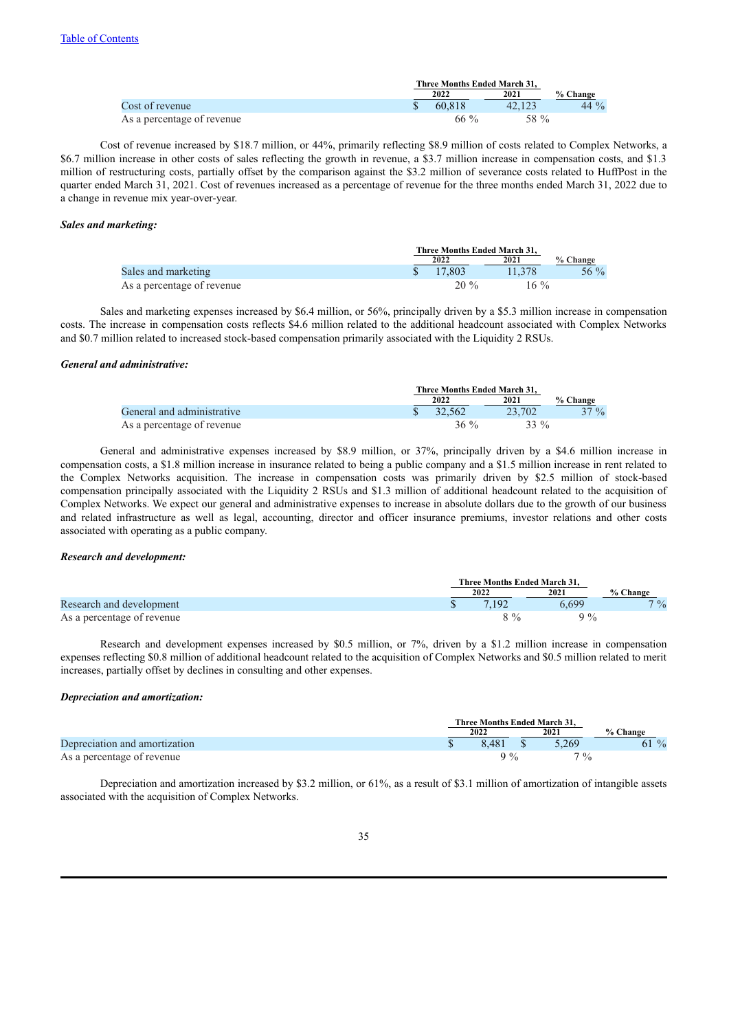|                            | Three Months Ended March 31. |        |          |
|----------------------------|------------------------------|--------|----------|
|                            | 2022                         | 2021   | % Change |
| Cost of revenue            | 60.818                       | 42.123 | 44 $\%$  |
| As a percentage of revenue | 66 %                         | 58 %   |          |

Cost of revenue increased by \$18.7 million, or 44%, primarily reflecting \$8.9 million of costs related to Complex Networks, a \$6.7 million increase in other costs of sales reflecting the growth in revenue, a \$3.7 million increase in compensation costs, and \$1.3 million of restructuring costs, partially offset by the comparison against the \$3.2 million of severance costs related to HuffPost in the quarter ended March 31, 2021. Cost of revenues increased as a percentage of revenue for the three months ended March 31, 2022 due to a change in revenue mix year-over-year.

#### *Sales and marketing:*

|                            | Three Months Ended March 31. |      |            |
|----------------------------|------------------------------|------|------------|
|                            | 2022                         | 2021 | $%$ Change |
| Sales and marketing        | 17.803                       |      | 56 $\%$    |
| As a percentage of revenue | $20\%$                       | 16 % |            |

Sales and marketing expenses increased by \$6.4 million, or 56%, principally driven by a \$5.3 million increase in compensation costs. The increase in compensation costs reflects \$4.6 million related to the additional headcount associated with Complex Networks and \$0.7 million related to increased stock-based compensation primarily associated with the Liquidity 2 RSUs.

# *General and administrative:*

|                            | <b>Three Months Ended March 31.</b> |        |          |  |
|----------------------------|-------------------------------------|--------|----------|--|
|                            | 2022                                | 2021   | % Change |  |
| General and administrative | 32.562                              | 23,702 | $37\%$   |  |
| As a percentage of revenue | $36\%$                              | $33\%$ |          |  |

General and administrative expenses increased by \$8.9 million, or 37%, principally driven by a \$4.6 million increase in compensation costs, a \$1.8 million increase in insurance related to being a public company and a \$1.5 million increase in rent related to the Complex Networks acquisition. The increase in compensation costs was primarily driven by \$2.5 million of stock-based compensation principally associated with the Liquidity 2 RSUs and \$1.3 million of additional headcount related to the acquisition of Complex Networks. We expect our general and administrative expenses to increase in absolute dollars due to the growth of our business and related infrastructure as well as legal, accounting, director and officer insurance premiums, investor relations and other costs associated with operating as a public company.

# *Research and development:*

|                            | Three Months Ended March 31. |      |                |  |
|----------------------------|------------------------------|------|----------------|--|
|                            | 2022                         | 2021 | % Change       |  |
| Research and development   | 7102                         | -699 | $7\frac{0}{0}$ |  |
| As a percentage of revenue |                              |      |                |  |

Research and development expenses increased by \$0.5 million, or 7%, driven by a \$1.2 million increase in compensation expenses reflecting \$0.8 million of additional headcount related to the acquisition of Complex Networks and \$0.5 million related to merit increases, partially offset by declines in consulting and other expenses.

# *Depreciation and amortization:*

|                               | Three Months Ended March 31. |       |  |       |          |
|-------------------------------|------------------------------|-------|--|-------|----------|
|                               |                              | 2022  |  | 2021  | % Change |
| Depreciation and amortization |                              | 8.481 |  | 5.269 | $61\%$   |
| As a percentage of revenue    |                              |       |  | $7\%$ |          |

Depreciation and amortization increased by \$3.2 million, or 61%, as a result of \$3.1 million of amortization of intangible assets associated with the acquisition of Complex Networks.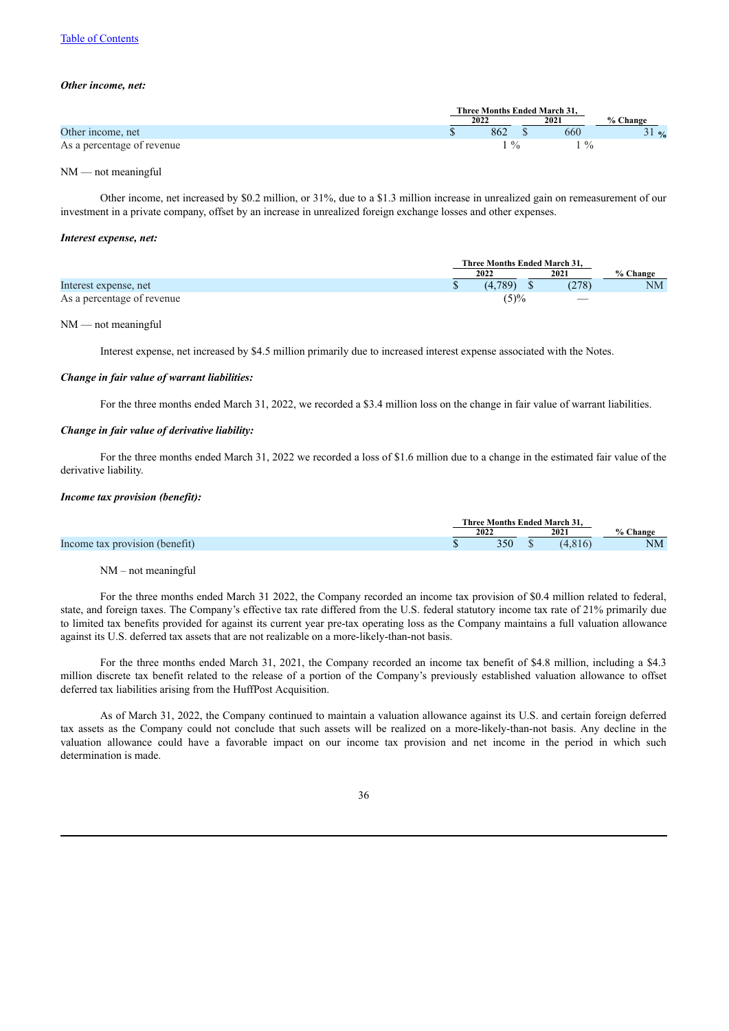# *Other income, net:*

|                            | <b>Three Months Ended March 31.</b> |  |     |               |
|----------------------------|-------------------------------------|--|-----|---------------|
|                            | 2022                                |  | 202 | % Change      |
| Other income, net          | 862                                 |  | 660 | $\frac{0}{0}$ |
| As a percentage of revenue |                                     |  |     |               |

# NM — not meaningful

Other income, net increased by \$0.2 million, or 31%, due to a \$1.3 million increase in unrealized gain on remeasurement of our investment in a private company, offset by an increase in unrealized foreign exchange losses and other expenses.

# *Interest expense, net:*

|                            | Three Months Ended March 31. |  |       |          |  |
|----------------------------|------------------------------|--|-------|----------|--|
|                            | 2022                         |  | 2021  | % Change |  |
| Interest expense, net      | (4.789)                      |  | (278) | NΜ       |  |
| As a percentage of revenue | 5)%                          |  |       |          |  |

# NM — not meaningful

Interest expense, net increased by \$4.5 million primarily due to increased interest expense associated with the Notes.

#### *Change in fair value of warrant liabilities:*

For the three months ended March 31, 2022, we recorded a \$3.4 million loss on the change in fair value of warrant liabilities.

# *Change in fair value of derivative liability:*

For the three months ended March 31, 2022 we recorded a loss of \$1.6 million due to a change in the estimated fair value of the derivative liability.

# *Income tax provision (benefit):*

|                                   | Three Months Ended March 31. |     |  |      |       |
|-----------------------------------|------------------------------|-----|--|------|-------|
|                                   | 2022                         |     |  | 2021 | hange |
| Income tax<br>provision (benefit) |                              | occ |  |      | ΝM    |

NM – not meaningful

For the three months ended March 31 2022, the Company recorded an income tax provision of \$0.4 million related to federal, state, and foreign taxes. The Company's effective tax rate differed from the U.S. federal statutory income tax rate of 21% primarily due to limited tax benefits provided for against its current year pre-tax operating loss as the Company maintains a full valuation allowance against its U.S. deferred tax assets that are not realizable on a more-likely-than-not basis.

For the three months ended March 31, 2021, the Company recorded an income tax benefit of \$4.8 million, including a \$4.3 million discrete tax benefit related to the release of a portion of the Company's previously established valuation allowance to offset deferred tax liabilities arising from the HuffPost Acquisition.

As of March 31, 2022, the Company continued to maintain a valuation allowance against its U.S. and certain foreign deferred tax assets as the Company could not conclude that such assets will be realized on a more-likely-than-not basis. Any decline in the valuation allowance could have a favorable impact on our income tax provision and net income in the period in which such determination is made.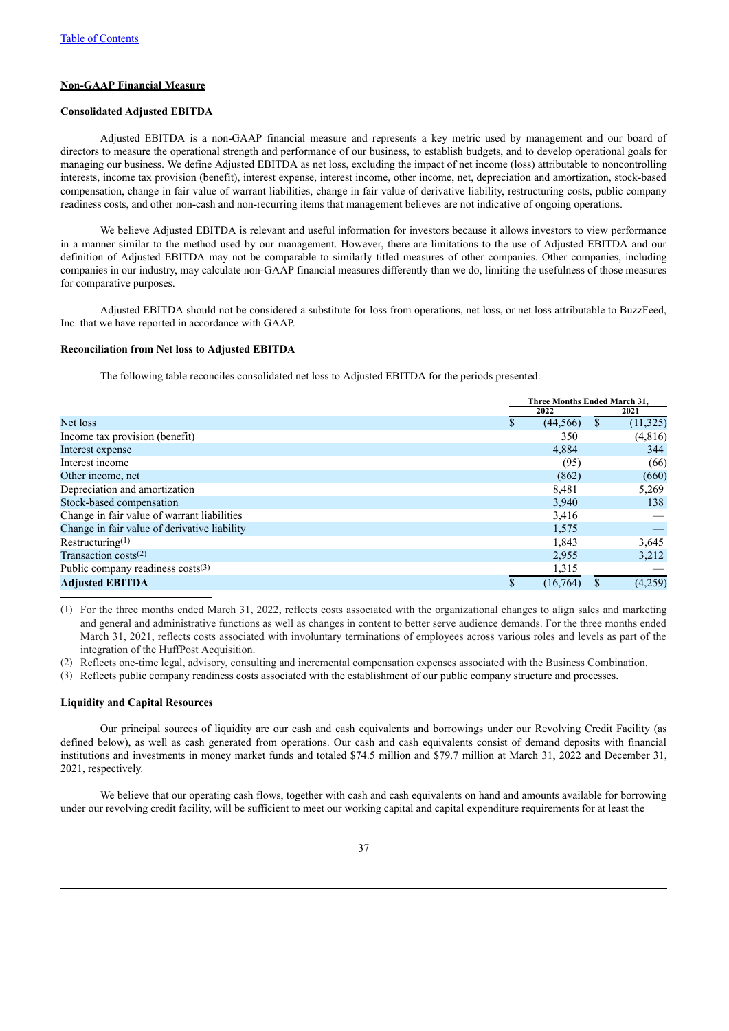# **Non-GAAP Financial Measure**

# **Consolidated Adjusted EBITDA**

Adjusted EBITDA is a non-GAAP financial measure and represents a key metric used by management and our board of directors to measure the operational strength and performance of our business, to establish budgets, and to develop operational goals for managing our business. We define Adjusted EBITDA as net loss, excluding the impact of net income (loss) attributable to noncontrolling interests, income tax provision (benefit), interest expense, interest income, other income, net, depreciation and amortization, stock-based compensation, change in fair value of warrant liabilities, change in fair value of derivative liability, restructuring costs, public company readiness costs, and other non-cash and non-recurring items that management believes are not indicative of ongoing operations.

We believe Adjusted EBITDA is relevant and useful information for investors because it allows investors to view performance in a manner similar to the method used by our management. However, there are limitations to the use of Adjusted EBITDA and our definition of Adjusted EBITDA may not be comparable to similarly titled measures of other companies. Other companies, including companies in our industry, may calculate non-GAAP financial measures differently than we do, limiting the usefulness of those measures for comparative purposes.

Adjusted EBITDA should not be considered a substitute for loss from operations, net loss, or net loss attributable to BuzzFeed, Inc. that we have reported in accordance with GAAP.

#### **Reconciliation from Net loss to Adjusted EBITDA**

The following table reconciles consolidated net loss to Adjusted EBITDA for the periods presented:

|                                              | Three Months Ended March 31. |           |              |           |
|----------------------------------------------|------------------------------|-----------|--------------|-----------|
|                                              |                              | 2022      |              | 2021      |
| Net loss                                     | аĐ.                          | (44, 566) | <sup>S</sup> | (11, 325) |
| Income tax provision (benefit)               |                              | 350       |              | (4,816)   |
| Interest expense                             |                              | 4,884     |              | 344       |
| Interest income                              |                              | (95)      |              | (66)      |
| Other income, net                            |                              | (862)     |              | (660)     |
| Depreciation and amortization                |                              | 8,481     |              | 5,269     |
| Stock-based compensation                     |                              | 3,940     |              | 138       |
| Change in fair value of warrant liabilities  |                              | 3,416     |              |           |
| Change in fair value of derivative liability |                              | 1,575     |              |           |
| Restructuring <sup>(1)</sup>                 |                              | 1,843     |              | 3,645     |
| Transaction $costs^{(2)}$                    |                              | 2,955     |              | 3,212     |
| Public company readiness costs(3)            |                              | 1,315     |              |           |
| <b>Adjusted EBITDA</b>                       |                              | (16, 764) |              | (4,259)   |

(1) For the three months ended March 31, 2022, reflects costs associated with the organizational changes to align sales and marketing and general and administrative functions as well as changes in content to better serve audience demands. For the three months ended March 31, 2021, reflects costs associated with involuntary terminations of employees across various roles and levels as part of the integration of the HuffPost Acquisition.

(2) Reflects one-time legal, advisory, consulting and incremental compensation expenses associated with the Business Combination.

(3) Reflects public company readiness costs associated with the establishment of our public company structure and processes.

# **Liquidity and Capital Resources**

Our principal sources of liquidity are our cash and cash equivalents and borrowings under our Revolving Credit Facility (as defined below), as well as cash generated from operations. Our cash and cash equivalents consist of demand deposits with financial institutions and investments in money market funds and totaled \$74.5 million and \$79.7 million at March 31, 2022 and December 31, 2021, respectively.

We believe that our operating cash flows, together with cash and cash equivalents on hand and amounts available for borrowing under our revolving credit facility, will be sufficient to meet our working capital and capital expenditure requirements for at least the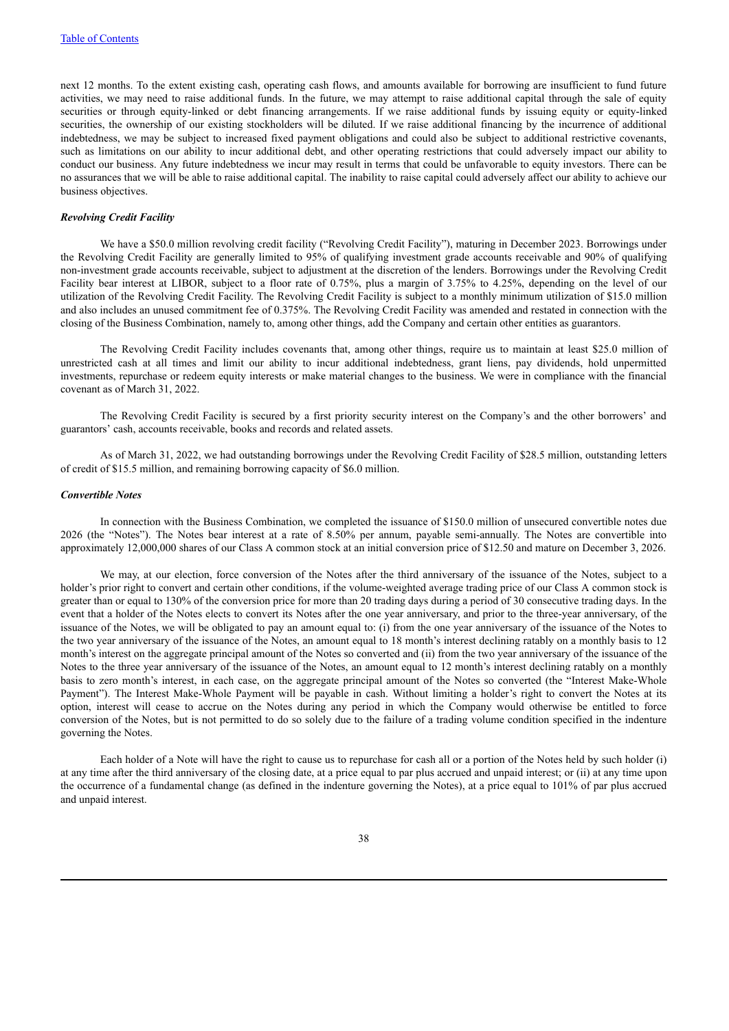next 12 months. To the extent existing cash, operating cash flows, and amounts available for borrowing are insufficient to fund future activities, we may need to raise additional funds. In the future, we may attempt to raise additional capital through the sale of equity securities or through equity-linked or debt financing arrangements. If we raise additional funds by issuing equity or equity-linked securities, the ownership of our existing stockholders will be diluted. If we raise additional financing by the incurrence of additional indebtedness, we may be subject to increased fixed payment obligations and could also be subject to additional restrictive covenants, such as limitations on our ability to incur additional debt, and other operating restrictions that could adversely impact our ability to conduct our business. Any future indebtedness we incur may result in terms that could be unfavorable to equity investors. There can be no assurances that we will be able to raise additional capital. The inability to raise capital could adversely affect our ability to achieve our business objectives.

# *Revolving Credit Facility*

We have a \$50.0 million revolving credit facility ("Revolving Credit Facility"), maturing in December 2023. Borrowings under the Revolving Credit Facility are generally limited to 95% of qualifying investment grade accounts receivable and 90% of qualifying non-investment grade accounts receivable, subject to adjustment at the discretion of the lenders. Borrowings under the Revolving Credit Facility bear interest at LIBOR, subject to a floor rate of 0.75%, plus a margin of 3.75% to 4.25%, depending on the level of our utilization of the Revolving Credit Facility. The Revolving Credit Facility is subject to a monthly minimum utilization of \$15.0 million and also includes an unused commitment fee of 0.375%. The Revolving Credit Facility was amended and restated in connection with the closing of the Business Combination, namely to, among other things, add the Company and certain other entities as guarantors.

The Revolving Credit Facility includes covenants that, among other things, require us to maintain at least \$25.0 million of unrestricted cash at all times and limit our ability to incur additional indebtedness, grant liens, pay dividends, hold unpermitted investments, repurchase or redeem equity interests or make material changes to the business. We were in compliance with the financial covenant as of March 31, 2022.

The Revolving Credit Facility is secured by a first priority security interest on the Company's and the other borrowers' and guarantors' cash, accounts receivable, books and records and related assets.

As of March 31, 2022, we had outstanding borrowings under the Revolving Credit Facility of \$28.5 million, outstanding letters of credit of \$15.5 million, and remaining borrowing capacity of \$6.0 million.

# *Convertible Notes*

In connection with the Business Combination, we completed the issuance of \$150.0 million of unsecured convertible notes due 2026 (the "Notes"). The Notes bear interest at a rate of 8.50% per annum, payable semi-annually. The Notes are convertible into approximately 12,000,000 shares of our Class A common stock at an initial conversion price of \$12.50 and mature on December 3, 2026.

We may, at our election, force conversion of the Notes after the third anniversary of the issuance of the Notes, subject to a holder's prior right to convert and certain other conditions, if the volume-weighted average trading price of our Class A common stock is greater than or equal to 130% of the conversion price for more than 20 trading days during a period of 30 consecutive trading days. In the event that a holder of the Notes elects to convert its Notes after the one year anniversary, and prior to the three-year anniversary, of the issuance of the Notes, we will be obligated to pay an amount equal to: (i) from the one year anniversary of the issuance of the Notes to the two year anniversary of the issuance of the Notes, an amount equal to 18 month's interest declining ratably on a monthly basis to 12 month's interest on the aggregate principal amount of the Notes so converted and (ii) from the two year anniversary of the issuance of the Notes to the three year anniversary of the issuance of the Notes, an amount equal to 12 month's interest declining ratably on a monthly basis to zero month's interest, in each case, on the aggregate principal amount of the Notes so converted (the "Interest Make-Whole Payment"). The Interest Make-Whole Payment will be payable in cash. Without limiting a holder's right to convert the Notes at its option, interest will cease to accrue on the Notes during any period in which the Company would otherwise be entitled to force conversion of the Notes, but is not permitted to do so solely due to the failure of a trading volume condition specified in the indenture governing the Notes.

Each holder of a Note will have the right to cause us to repurchase for cash all or a portion of the Notes held by such holder (i) at any time after the third anniversary of the closing date, at a price equal to par plus accrued and unpaid interest; or (ii) at any time upon the occurrence of a fundamental change (as defined in the indenture governing the Notes), at a price equal to 101% of par plus accrued and unpaid interest.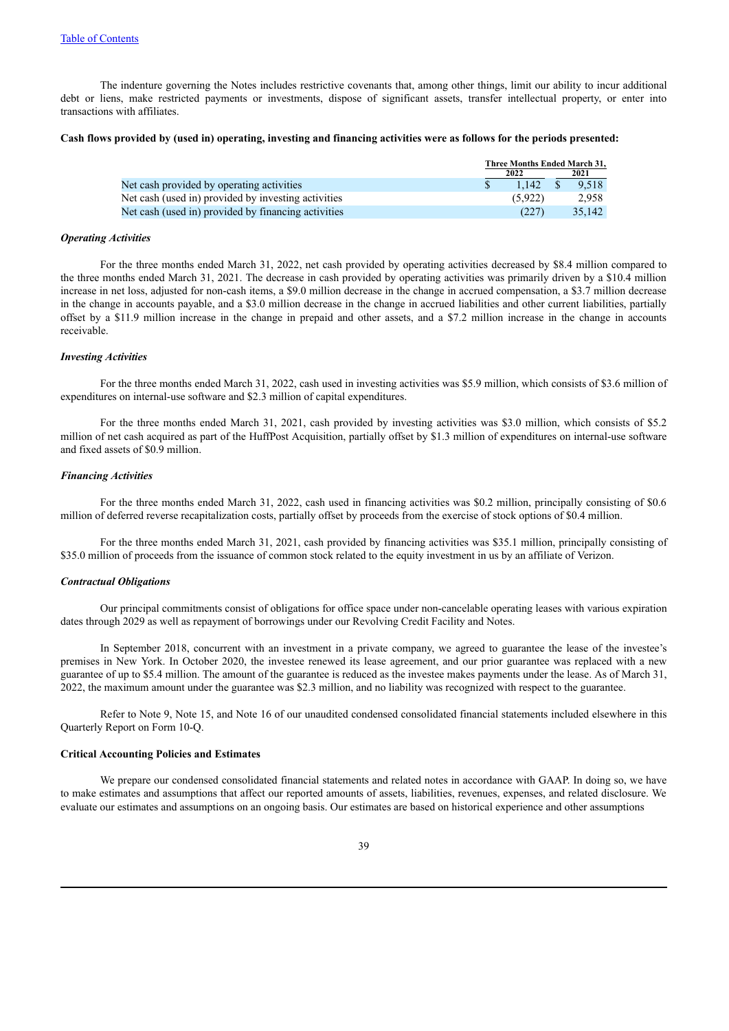The indenture governing the Notes includes restrictive covenants that, among other things, limit our ability to incur additional debt or liens, make restricted payments or investments, dispose of significant assets, transfer intellectual property, or enter into transactions with affiliates.

#### Cash flows provided by (used in) operating, investing and financing activities were as follows for the periods presented:

|                                                     | Three Months Ended March 31. |  |        |
|-----------------------------------------------------|------------------------------|--|--------|
|                                                     | 2022                         |  | 2021   |
| Net cash provided by operating activities           | 1 142                        |  | 9.518  |
| Net cash (used in) provided by investing activities | (5.922)                      |  | 2.958  |
| Net cash (used in) provided by financing activities | (227)                        |  | 35.142 |

# *Operating Activities*

For the three months ended March 31, 2022, net cash provided by operating activities decreased by \$8.4 million compared to the three months ended March 31, 2021. The decrease in cash provided by operating activities was primarily driven by a \$10.4 million increase in net loss, adjusted for non-cash items, a \$9.0 million decrease in the change in accrued compensation, a \$3.7 million decrease in the change in accounts payable, and a \$3.0 million decrease in the change in accrued liabilities and other current liabilities, partially offset by a \$11.9 million increase in the change in prepaid and other assets, and a \$7.2 million increase in the change in accounts receivable.

# *Investing Activities*

For the three months ended March 31, 2022, cash used in investing activities was \$5.9 million, which consists of \$3.6 million of expenditures on internal-use software and \$2.3 million of capital expenditures.

For the three months ended March 31, 2021, cash provided by investing activities was \$3.0 million, which consists of \$5.2 million of net cash acquired as part of the HuffPost Acquisition, partially offset by \$1.3 million of expenditures on internal-use software and fixed assets of \$0.9 million.

# *Financing Activities*

For the three months ended March 31, 2022, cash used in financing activities was \$0.2 million, principally consisting of \$0.6 million of deferred reverse recapitalization costs, partially offset by proceeds from the exercise of stock options of \$0.4 million.

For the three months ended March 31, 2021, cash provided by financing activities was \$35.1 million, principally consisting of \$35.0 million of proceeds from the issuance of common stock related to the equity investment in us by an affiliate of Verizon.

# *Contractual Obligations*

Our principal commitments consist of obligations for office space under non-cancelable operating leases with various expiration dates through 2029 as well as repayment of borrowings under our Revolving Credit Facility and Notes.

In September 2018, concurrent with an investment in a private company, we agreed to guarantee the lease of the investee's premises in New York. In October 2020, the investee renewed its lease agreement, and our prior guarantee was replaced with a new guarantee of up to \$5.4 million. The amount of the guarantee is reduced as the investee makes payments under the lease. As of March 31, 2022, the maximum amount under the guarantee was \$2.3 million, and no liability was recognized with respect to the guarantee.

Refer to Note 9, Note 15, and Note 16 of our unaudited condensed consolidated financial statements included elsewhere in this Quarterly Report on Form 10-Q.

# **Critical Accounting Policies and Estimates**

We prepare our condensed consolidated financial statements and related notes in accordance with GAAP. In doing so, we have to make estimates and assumptions that affect our reported amounts of assets, liabilities, revenues, expenses, and related disclosure. We evaluate our estimates and assumptions on an ongoing basis. Our estimates are based on historical experience and other assumptions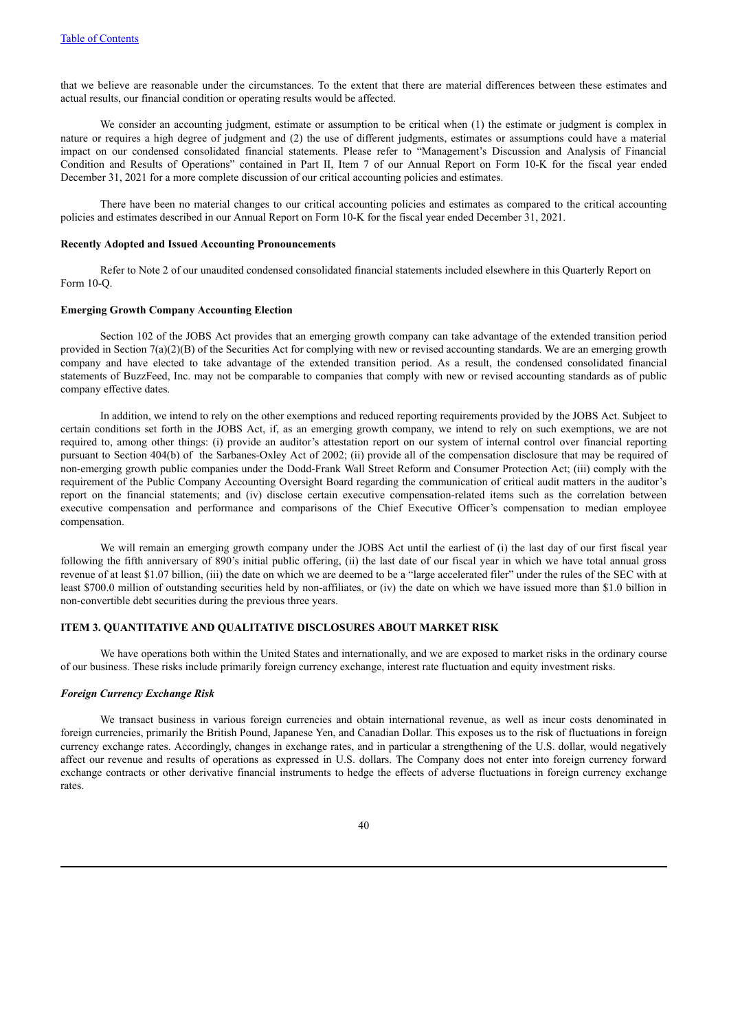that we believe are reasonable under the circumstances. To the extent that there are material differences between these estimates and actual results, our financial condition or operating results would be affected.

We consider an accounting judgment, estimate or assumption to be critical when (1) the estimate or judgment is complex in nature or requires a high degree of judgment and (2) the use of different judgments, estimates or assumptions could have a material impact on our condensed consolidated financial statements. Please refer to "Management's Discussion and Analysis of Financial Condition and Results of Operations" contained in Part II, Item 7 of our Annual Report on Form 10-K for the fiscal year ended December 31, 2021 for a more complete discussion of our critical accounting policies and estimates.

There have been no material changes to our critical accounting policies and estimates as compared to the critical accounting policies and estimates described in our Annual Report on Form 10-K for the fiscal year ended December 31, 2021.

#### **Recently Adopted and Issued Accounting Pronouncements**

Refer to Note 2 of our unaudited condensed consolidated financial statements included elsewhere in this Quarterly Report on Form 10-Q.

#### **Emerging Growth Company Accounting Election**

Section 102 of the JOBS Act provides that an emerging growth company can take advantage of the extended transition period provided in Section 7(a)(2)(B) of the Securities Act for complying with new or revised accounting standards. We are an emerging growth company and have elected to take advantage of the extended transition period. As a result, the condensed consolidated financial statements of BuzzFeed, Inc. may not be comparable to companies that comply with new or revised accounting standards as of public company effective dates.

In addition, we intend to rely on the other exemptions and reduced reporting requirements provided by the JOBS Act. Subject to certain conditions set forth in the JOBS Act, if, as an emerging growth company, we intend to rely on such exemptions, we are not required to, among other things: (i) provide an auditor's attestation report on our system of internal control over financial reporting pursuant to Section 404(b) of the Sarbanes-Oxley Act of 2002; (ii) provide all of the compensation disclosure that may be required of non-emerging growth public companies under the Dodd-Frank Wall Street Reform and Consumer Protection Act; (iii) comply with the requirement of the Public Company Accounting Oversight Board regarding the communication of critical audit matters in the auditor's report on the financial statements; and (iv) disclose certain executive compensation-related items such as the correlation between executive compensation and performance and comparisons of the Chief Executive Officer's compensation to median employee compensation.

We will remain an emerging growth company under the JOBS Act until the earliest of (i) the last day of our first fiscal year following the fifth anniversary of 890's initial public offering, (ii) the last date of our fiscal year in which we have total annual gross revenue of at least \$1.07 billion, (iii) the date on which we are deemed to be a "large accelerated filer" under the rules of the SEC with at least \$700.0 million of outstanding securities held by non-affiliates, or (iv) the date on which we have issued more than \$1.0 billion in non-convertible debt securities during the previous three years.

# <span id="page-40-0"></span>**ITEM 3. QUANTITATIVE AND QUALITATIVE DISCLOSURES ABOUT MARKET RISK**

We have operations both within the United States and internationally, and we are exposed to market risks in the ordinary course of our business. These risks include primarily foreign currency exchange, interest rate fluctuation and equity investment risks.

#### *Foreign Currency Exchange Risk*

We transact business in various foreign currencies and obtain international revenue, as well as incur costs denominated in foreign currencies, primarily the British Pound, Japanese Yen, and Canadian Dollar. This exposes us to the risk of fluctuations in foreign currency exchange rates. Accordingly, changes in exchange rates, and in particular a strengthening of the U.S. dollar, would negatively affect our revenue and results of operations as expressed in U.S. dollars. The Company does not enter into foreign currency forward exchange contracts or other derivative financial instruments to hedge the effects of adverse fluctuations in foreign currency exchange rates.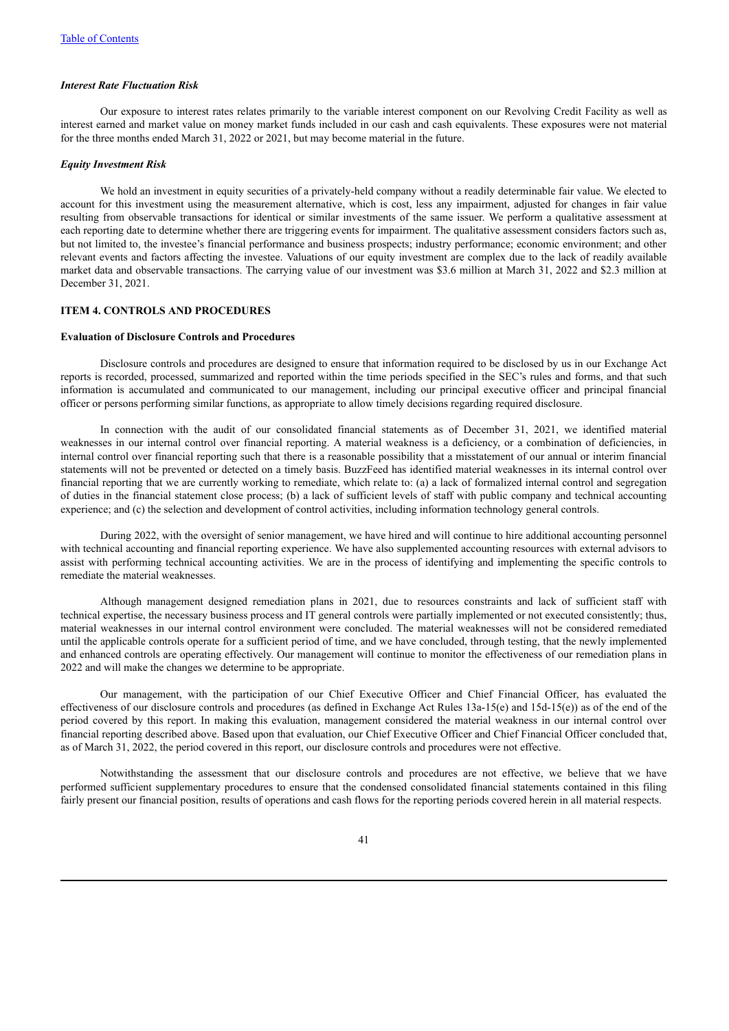# *Interest Rate Fluctuation Risk*

Our exposure to interest rates relates primarily to the variable interest component on our Revolving Credit Facility as well as interest earned and market value on money market funds included in our cash and cash equivalents. These exposures were not material for the three months ended March 31, 2022 or 2021, but may become material in the future.

#### *Equity Investment Risk*

We hold an investment in equity securities of a privately-held company without a readily determinable fair value. We elected to account for this investment using the measurement alternative, which is cost, less any impairment, adjusted for changes in fair value resulting from observable transactions for identical or similar investments of the same issuer. We perform a qualitative assessment at each reporting date to determine whether there are triggering events for impairment. The qualitative assessment considers factors such as, but not limited to, the investee's financial performance and business prospects; industry performance; economic environment; and other relevant events and factors affecting the investee. Valuations of our equity investment are complex due to the lack of readily available market data and observable transactions. The carrying value of our investment was \$3.6 million at March 31, 2022 and \$2.3 million at December 31, 2021.

# <span id="page-41-0"></span>**ITEM 4. CONTROLS AND PROCEDURES**

#### **Evaluation of Disclosure Controls and Procedures**

Disclosure controls and procedures are designed to ensure that information required to be disclosed by us in our Exchange Act reports is recorded, processed, summarized and reported within the time periods specified in the SEC's rules and forms, and that such information is accumulated and communicated to our management, including our principal executive officer and principal financial officer or persons performing similar functions, as appropriate to allow timely decisions regarding required disclosure.

In connection with the audit of our consolidated financial statements as of December 31, 2021, we identified material weaknesses in our internal control over financial reporting. A material weakness is a deficiency, or a combination of deficiencies, in internal control over financial reporting such that there is a reasonable possibility that a misstatement of our annual or interim financial statements will not be prevented or detected on a timely basis. BuzzFeed has identified material weaknesses in its internal control over financial reporting that we are currently working to remediate, which relate to: (a) a lack of formalized internal control and segregation of duties in the financial statement close process; (b) a lack of sufficient levels of staff with public company and technical accounting experience; and (c) the selection and development of control activities, including information technology general controls.

During 2022, with the oversight of senior management, we have hired and will continue to hire additional accounting personnel with technical accounting and financial reporting experience. We have also supplemented accounting resources with external advisors to assist with performing technical accounting activities. We are in the process of identifying and implementing the specific controls to remediate the material weaknesses.

Although management designed remediation plans in 2021, due to resources constraints and lack of sufficient staff with technical expertise, the necessary business process and IT general controls were partially implemented or not executed consistently; thus, material weaknesses in our internal control environment were concluded. The material weaknesses will not be considered remediated until the applicable controls operate for a sufficient period of time, and we have concluded, through testing, that the newly implemented and enhanced controls are operating effectively. Our management will continue to monitor the effectiveness of our remediation plans in 2022 and will make the changes we determine to be appropriate.

Our management, with the participation of our Chief Executive Officer and Chief Financial Officer, has evaluated the effectiveness of our disclosure controls and procedures (as defined in Exchange Act Rules 13a-15(e) and 15d-15(e)) as of the end of the period covered by this report. In making this evaluation, management considered the material weakness in our internal control over financial reporting described above. Based upon that evaluation, our Chief Executive Officer and Chief Financial Officer concluded that, as of March 31, 2022, the period covered in this report, our disclosure controls and procedures were not effective.

Notwithstanding the assessment that our disclosure controls and procedures are not effective, we believe that we have performed sufficient supplementary procedures to ensure that the condensed consolidated financial statements contained in this filing fairly present our financial position, results of operations and cash flows for the reporting periods covered herein in all material respects.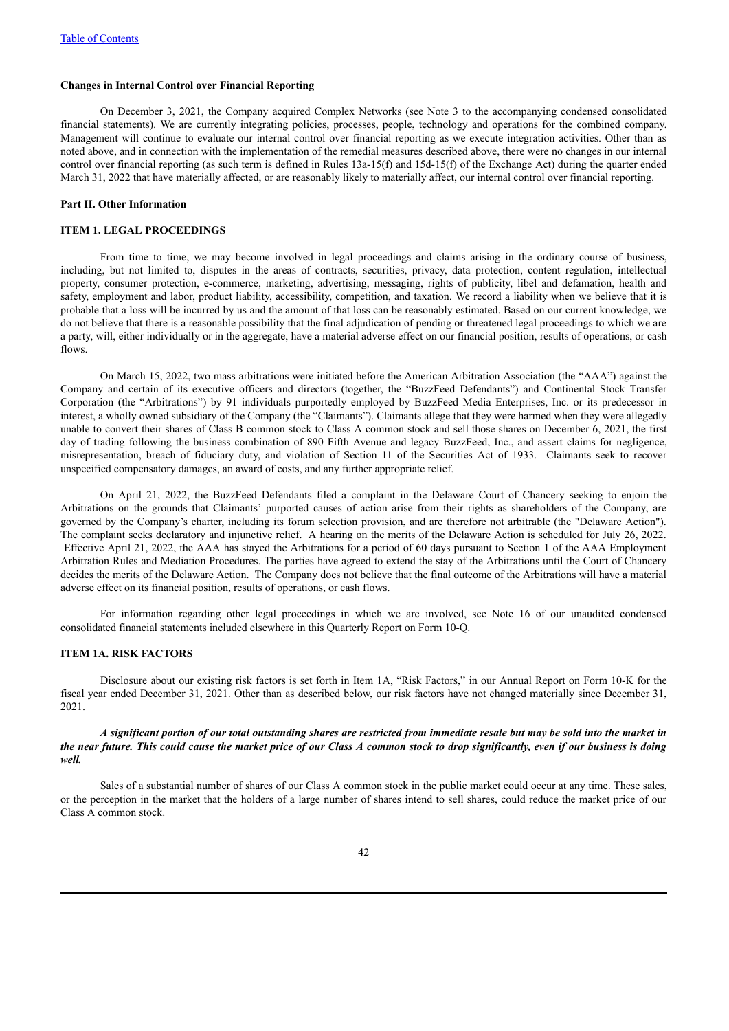# **Changes in Internal Control over Financial Reporting**

On December 3, 2021, the Company acquired Complex Networks (see Note 3 to the accompanying condensed consolidated financial statements). We are currently integrating policies, processes, people, technology and operations for the combined company. Management will continue to evaluate our internal control over financial reporting as we execute integration activities. Other than as noted above, and in connection with the implementation of the remedial measures described above, there were no changes in our internal control over financial reporting (as such term is defined in Rules 13a-15(f) and 15d-15(f) of the Exchange Act) during the quarter ended March 31, 2022 that have materially affected, or are reasonably likely to materially affect, our internal control over financial reporting.

# <span id="page-42-0"></span>**Part II. Other Information**

# <span id="page-42-1"></span>**ITEM 1. LEGAL PROCEEDINGS**

From time to time, we may become involved in legal proceedings and claims arising in the ordinary course of business, including, but not limited to, disputes in the areas of contracts, securities, privacy, data protection, content regulation, intellectual property, consumer protection, e-commerce, marketing, advertising, messaging, rights of publicity, libel and defamation, health and safety, employment and labor, product liability, accessibility, competition, and taxation. We record a liability when we believe that it is probable that a loss will be incurred by us and the amount of that loss can be reasonably estimated. Based on our current knowledge, we do not believe that there is a reasonable possibility that the final adjudication of pending or threatened legal proceedings to which we are a party, will, either individually or in the aggregate, have a material adverse effect on our financial position, results of operations, or cash flows.

On March 15, 2022, two mass arbitrations were initiated before the American Arbitration Association (the "AAA") against the Company and certain of its executive officers and directors (together, the "BuzzFeed Defendants") and Continental Stock Transfer Corporation (the "Arbitrations") by 91 individuals purportedly employed by BuzzFeed Media Enterprises, Inc. or its predecessor in interest, a wholly owned subsidiary of the Company (the "Claimants"). Claimants allege that they were harmed when they were allegedly unable to convert their shares of Class B common stock to Class A common stock and sell those shares on December 6, 2021, the first day of trading following the business combination of 890 Fifth Avenue and legacy BuzzFeed, Inc., and assert claims for negligence, misrepresentation, breach of fiduciary duty, and violation of Section 11 of the Securities Act of 1933. Claimants seek to recover unspecified compensatory damages, an award of costs, and any further appropriate relief.

On April 21, 2022, the BuzzFeed Defendants filed a complaint in the Delaware Court of Chancery seeking to enjoin the Arbitrations on the grounds that Claimants' purported causes of action arise from their rights as shareholders of the Company, are governed by the Company's charter, including its forum selection provision, and are therefore not arbitrable (the "Delaware Action"). The complaint seeks declaratory and injunctive relief. A hearing on the merits of the Delaware Action is scheduled for July 26, 2022. Effective April 21, 2022, the AAA has stayed the Arbitrations for a period of 60 days pursuant to Section 1 of the AAA Employment Arbitration Rules and Mediation Procedures. The parties have agreed to extend the stay of the Arbitrations until the Court of Chancery decides the merits of the Delaware Action. The Company does not believe that the final outcome of the Arbitrations will have a material adverse effect on its financial position, results of operations, or cash flows.

For information regarding other legal proceedings in which we are involved, see Note 16 of our unaudited condensed consolidated financial statements included elsewhere in this Quarterly Report on Form 10-Q.

# <span id="page-42-2"></span>**ITEM 1A. RISK FACTORS**

Disclosure about our existing risk factors is set forth in Item 1A, "Risk Factors," in our Annual Report on Form 10-K for the fiscal year ended December 31, 2021. Other than as described below, our risk factors have not changed materially since December 31, 2021.

A significant portion of our total outstanding shares are restricted from immediate resale but may be sold into the market in the near future. This could cause the market price of our Class A common stock to drop significantly, even if our business is doing *well.*

Sales of a substantial number of shares of our Class A common stock in the public market could occur at any time. These sales, or the perception in the market that the holders of a large number of shares intend to sell shares, could reduce the market price of our Class A common stock.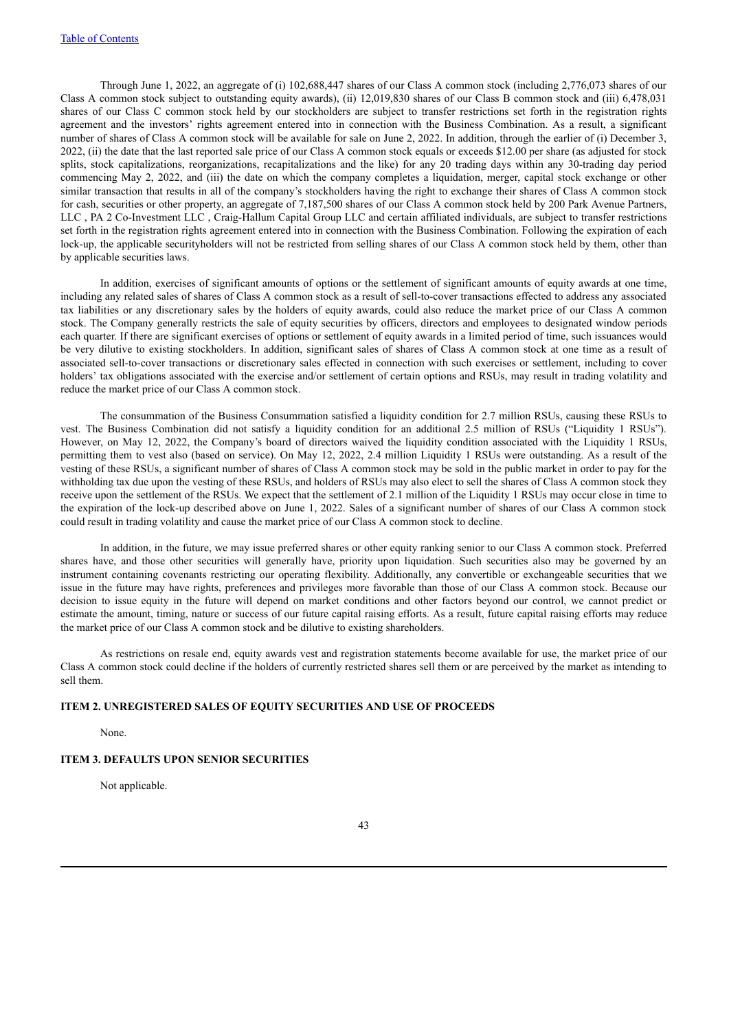Through June 1, 2022, an aggregate of (i) 102,688,447 shares of our Class A common stock (including 2,776,073 shares of our Class A common stock subject to outstanding equity awards), (ii) 12,019,830 shares of our Class B common stock and (iii) 6,478,031 shares of our Class C common stock held by our stockholders are subject to transfer restrictions set forth in the registration rights agreement and the investors' rights agreement entered into in connection with the Business Combination. As a result, a significant number of shares of Class A common stock will be available for sale on June 2, 2022. In addition, through the earlier of (i) December 3, 2022, (ii) the date that the last reported sale price of our Class A common stock equals or exceeds \$12.00 per share (as adjusted for stock splits, stock capitalizations, reorganizations, recapitalizations and the like) for any 20 trading days within any 30-trading day period commencing May 2, 2022, and (iii) the date on which the company completes a liquidation, merger, capital stock exchange or other similar transaction that results in all of the company's stockholders having the right to exchange their shares of Class A common stock for cash, securities or other property, an aggregate of 7,187,500 shares of our Class A common stock held by 200 Park Avenue Partners, LLC , PA 2 Co-Investment LLC , Craig-Hallum Capital Group LLC and certain affiliated individuals, are subject to transfer restrictions set forth in the registration rights agreement entered into in connection with the Business Combination. Following the expiration of each lock-up, the applicable securityholders will not be restricted from selling shares of our Class A common stock held by them, other than by applicable securities laws.

In addition, exercises of significant amounts of options or the settlement of significant amounts of equity awards at one time, including any related sales of shares of Class A common stock as a result of sell-to-cover transactions effected to address any associated tax liabilities or any discretionary sales by the holders of equity awards, could also reduce the market price of our Class A common stock. The Company generally restricts the sale of equity securities by officers, directors and employees to designated window periods each quarter. If there are significant exercises of options or settlement of equity awards in a limited period of time, such issuances would be very dilutive to existing stockholders. In addition, significant sales of shares of Class A common stock at one time as a result of associated sell-to-cover transactions or discretionary sales effected in connection with such exercises or settlement, including to cover holders' tax obligations associated with the exercise and/or settlement of certain options and RSUs, may result in trading volatility and reduce the market price of our Class A common stock.

The consummation of the Business Consummation satisfied a liquidity condition for 2.7 million RSUs, causing these RSUs to vest. The Business Combination did not satisfy a liquidity condition for an additional 2.5 million of RSUs ("Liquidity 1 RSUs"). However, on May 12, 2022, the Company's board of directors waived the liquidity condition associated with the Liquidity 1 RSUs, permitting them to vest also (based on service). On May 12, 2022, 2.4 million Liquidity 1 RSUs were outstanding. As a result of the vesting of these RSUs, a significant number of shares of Class A common stock may be sold in the public market in order to pay for the withholding tax due upon the vesting of these RSUs, and holders of RSUs may also elect to sell the shares of Class A common stock they receive upon the settlement of the RSUs. We expect that the settlement of 2.1 million of the Liquidity 1 RSUs may occur close in time to the expiration of the lock-up described above on June 1, 2022. Sales of a significant number of shares of our Class A common stock could result in trading volatility and cause the market price of our Class A common stock to decline.

In addition, in the future, we may issue preferred shares or other equity ranking senior to our Class A common stock. Preferred shares have, and those other securities will generally have, priority upon liquidation. Such securities also may be governed by an instrument containing covenants restricting our operating flexibility. Additionally, any convertible or exchangeable securities that we issue in the future may have rights, preferences and privileges more favorable than those of our Class A common stock. Because our decision to issue equity in the future will depend on market conditions and other factors beyond our control, we cannot predict or estimate the amount, timing, nature or success of our future capital raising efforts. As a result, future capital raising efforts may reduce the market price of our Class A common stock and be dilutive to existing shareholders.

As restrictions on resale end, equity awards vest and registration statements become available for use, the market price of our Class A common stock could decline if the holders of currently restricted shares sell them or are perceived by the market as intending to sell them.

# **ITEM 2. UNREGISTERED SALES OF EQUITY SECURITIES AND USE OF PROCEEDS**

<span id="page-43-1"></span><span id="page-43-0"></span>None.

# **ITEM 3. DEFAULTS UPON SENIOR SECURITIES**

Not applicable.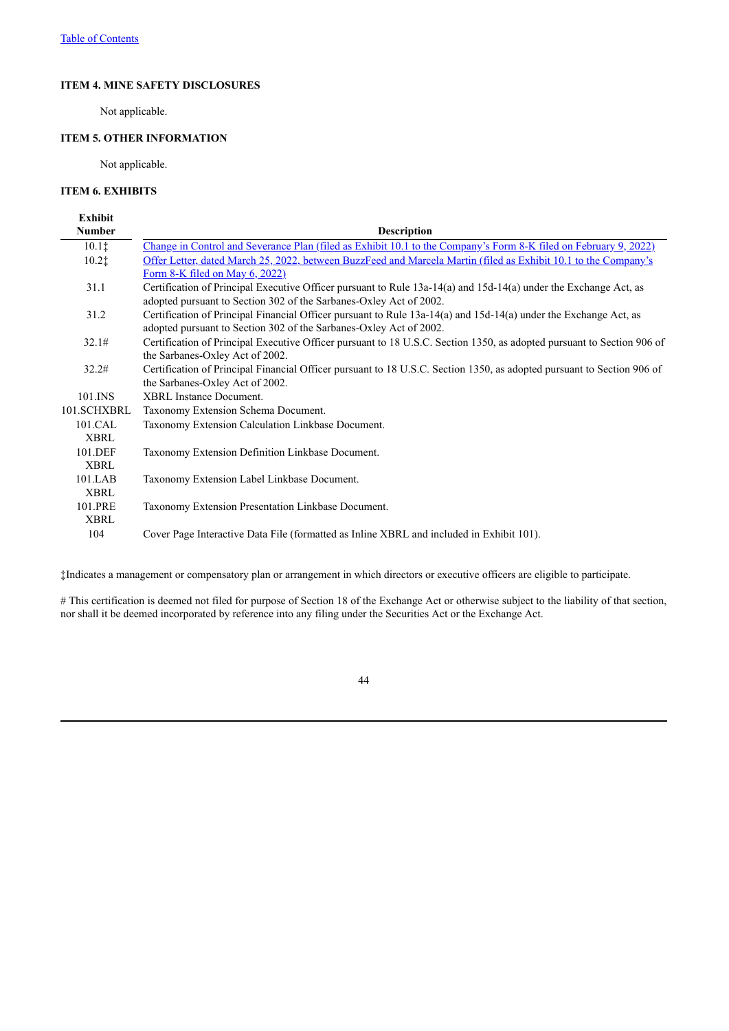# **ITEM 4. MINE SAFETY DISCLOSURES**

<span id="page-44-0"></span>Not applicable.

# **ITEM 5. OTHER INFORMATION**

<span id="page-44-1"></span>Not applicable.

# <span id="page-44-2"></span>**ITEM 6. EXHIBITS**

| Exhibit       |                                                                                                                                                                                        |
|---------------|----------------------------------------------------------------------------------------------------------------------------------------------------------------------------------------|
| <b>Number</b> | <b>Description</b>                                                                                                                                                                     |
| 10.11         | Change in Control and Severance Plan (filed as Exhibit 10.1 to the Company's Form 8-K filed on February 9, 2022)                                                                       |
| 10.21         | Offer Letter, dated March 25, 2022, between BuzzFeed and Marcela Martin (filed as Exhibit 10.1 to the Company's                                                                        |
|               | Form 8-K filed on May $6, 2022$ )                                                                                                                                                      |
| 31.1          | Certification of Principal Executive Officer pursuant to Rule 13a-14(a) and 15d-14(a) under the Exchange Act, as<br>adopted pursuant to Section 302 of the Sarbanes-Oxley Act of 2002. |
| 31.2          | Certification of Principal Financial Officer pursuant to Rule 13a-14(a) and 15d-14(a) under the Exchange Act, as<br>adopted pursuant to Section 302 of the Sarbanes-Oxley Act of 2002. |
| 32.1#         | Certification of Principal Executive Officer pursuant to 18 U.S.C. Section 1350, as adopted pursuant to Section 906 of<br>the Sarbanes-Oxley Act of 2002.                              |
| 32.2#         | Certification of Principal Financial Officer pursuant to 18 U.S.C. Section 1350, as adopted pursuant to Section 906 of<br>the Sarbanes-Oxley Act of 2002.                              |
| 101.INS       | <b>XBRL</b> Instance Document.                                                                                                                                                         |
| 101.SCHXBRL   | Taxonomy Extension Schema Document.                                                                                                                                                    |
| 101.CAL       | Taxonomy Extension Calculation Linkbase Document.                                                                                                                                      |
| <b>XBRL</b>   |                                                                                                                                                                                        |
| 101.DEF       | Taxonomy Extension Definition Linkbase Document.                                                                                                                                       |
| XBRL          |                                                                                                                                                                                        |
| 101.LAB       | Taxonomy Extension Label Linkbase Document.                                                                                                                                            |
| XBRL          |                                                                                                                                                                                        |
| 101.PRE       | Taxonomy Extension Presentation Linkbase Document.                                                                                                                                     |
| XBRL          |                                                                                                                                                                                        |
| 104           | Cover Page Interactive Data File (formatted as Inline XBRL and included in Exhibit 101).                                                                                               |

‡Indicates a management or compensatory plan or arrangement in which directors or executive officers are eligible to participate.

# This certification is deemed not filed for purpose of Section 18 of the Exchange Act or otherwise subject to the liability of that section, nor shall it be deemed incorporated by reference into any filing under the Securities Act or the Exchange Act.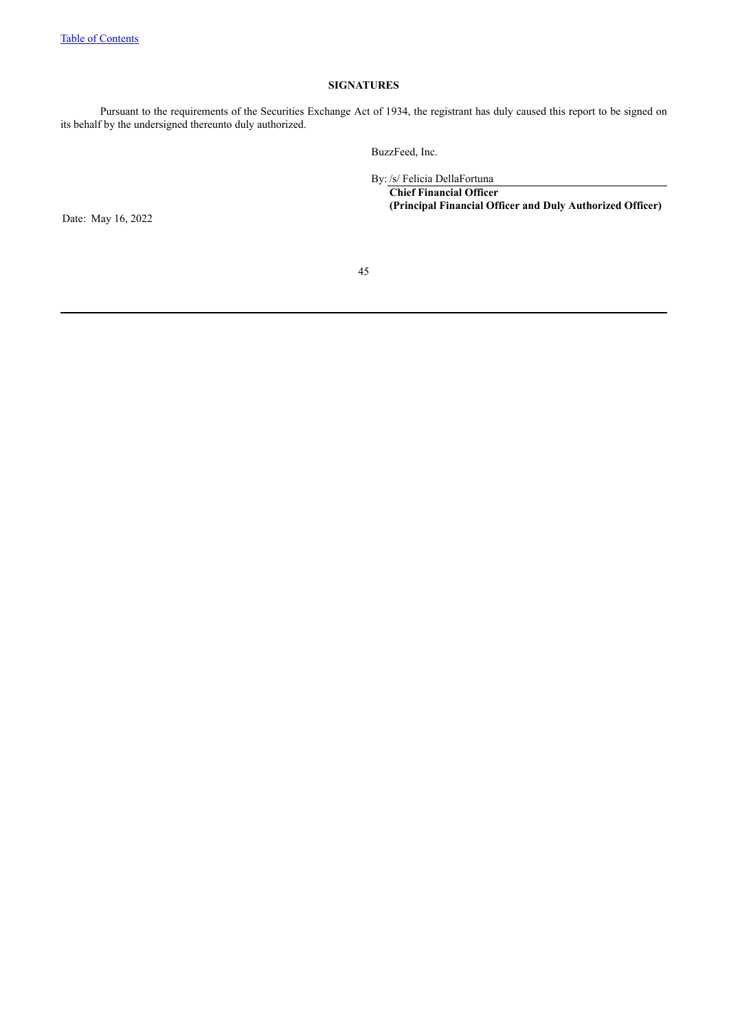# <span id="page-45-0"></span>**SIGNATURES**

Pursuant to the requirements of the Securities Exchange Act of 1934, the registrant has duly caused this report to be signed on its behalf by the undersigned thereunto duly authorized.

BuzzFeed, Inc.

By: /s/ Felicia DellaFortuna

**Chief Financial Officer (Principal Financial Officer and Duly Authorized Officer)**

Date: May 16, 2022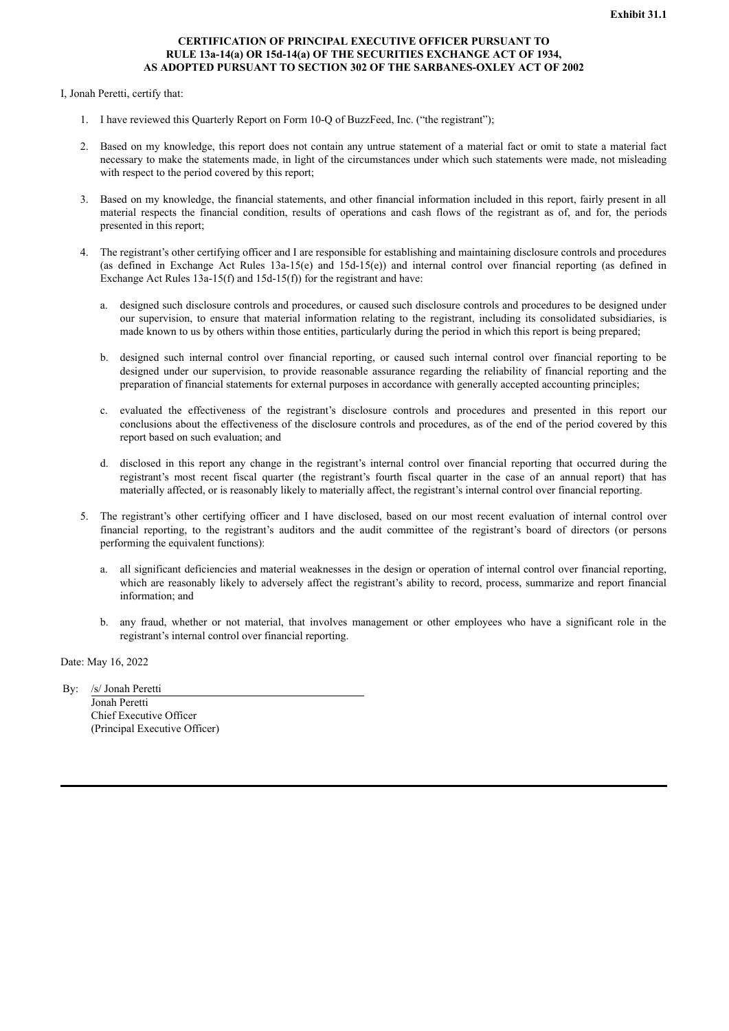# **CERTIFICATION OF PRINCIPAL EXECUTIVE OFFICER PURSUANT TO RULE 13a-14(a) OR 15d-14(a) OF THE SECURITIES EXCHANGE ACT OF 1934, AS ADOPTED PURSUANT TO SECTION 302 OF THE SARBANES-OXLEY ACT OF 2002**

I, Jonah Peretti, certify that:

- 1. I have reviewed this Quarterly Report on Form 10-Q of BuzzFeed, Inc. ("the registrant");
- 2. Based on my knowledge, this report does not contain any untrue statement of a material fact or omit to state a material fact necessary to make the statements made, in light of the circumstances under which such statements were made, not misleading with respect to the period covered by this report;
- 3. Based on my knowledge, the financial statements, and other financial information included in this report, fairly present in all material respects the financial condition, results of operations and cash flows of the registrant as of, and for, the periods presented in this report;
- 4. The registrant's other certifying officer and I are responsible for establishing and maintaining disclosure controls and procedures (as defined in Exchange Act Rules 13a-15(e) and 15d-15(e)) and internal control over financial reporting (as defined in Exchange Act Rules 13a-15(f) and 15d-15(f)) for the registrant and have:
	- a. designed such disclosure controls and procedures, or caused such disclosure controls and procedures to be designed under our supervision, to ensure that material information relating to the registrant, including its consolidated subsidiaries, is made known to us by others within those entities, particularly during the period in which this report is being prepared;
	- b. designed such internal control over financial reporting, or caused such internal control over financial reporting to be designed under our supervision, to provide reasonable assurance regarding the reliability of financial reporting and the preparation of financial statements for external purposes in accordance with generally accepted accounting principles;
	- c. evaluated the effectiveness of the registrant's disclosure controls and procedures and presented in this report our conclusions about the effectiveness of the disclosure controls and procedures, as of the end of the period covered by this report based on such evaluation; and
	- d. disclosed in this report any change in the registrant's internal control over financial reporting that occurred during the registrant's most recent fiscal quarter (the registrant's fourth fiscal quarter in the case of an annual report) that has materially affected, or is reasonably likely to materially affect, the registrant's internal control over financial reporting.
- 5. The registrant's other certifying officer and I have disclosed, based on our most recent evaluation of internal control over financial reporting, to the registrant's auditors and the audit committee of the registrant's board of directors (or persons performing the equivalent functions):
	- a. all significant deficiencies and material weaknesses in the design or operation of internal control over financial reporting, which are reasonably likely to adversely affect the registrant's ability to record, process, summarize and report financial information; and
	- b. any fraud, whether or not material, that involves management or other employees who have a significant role in the registrant's internal control over financial reporting.

Date: May 16, 2022

By: /s/ Jonah Peretti Jonah Peretti Chief Executive Officer (Principal Executive Officer)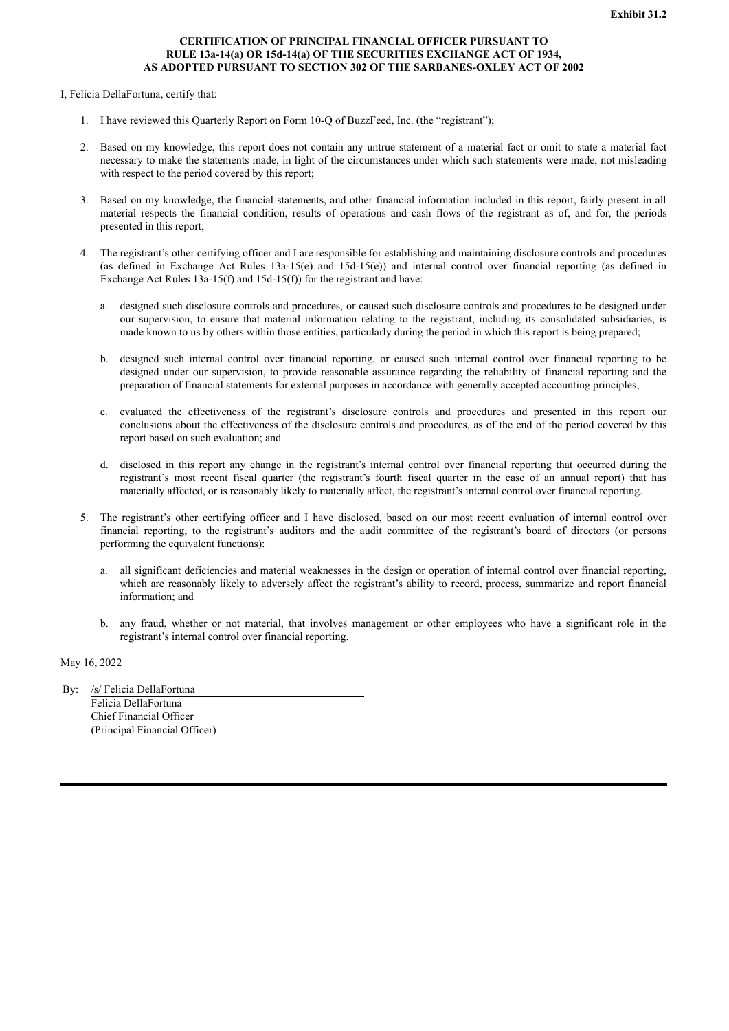# **CERTIFICATION OF PRINCIPAL FINANCIAL OFFICER PURSUANT TO RULE 13a-14(a) OR 15d-14(a) OF THE SECURITIES EXCHANGE ACT OF 1934, AS ADOPTED PURSUANT TO SECTION 302 OF THE SARBANES-OXLEY ACT OF 2002**

I, Felicia DellaFortuna, certify that:

- 1. I have reviewed this Quarterly Report on Form 10-Q of BuzzFeed, Inc. (the "registrant");
- 2. Based on my knowledge, this report does not contain any untrue statement of a material fact or omit to state a material fact necessary to make the statements made, in light of the circumstances under which such statements were made, not misleading with respect to the period covered by this report;
- 3. Based on my knowledge, the financial statements, and other financial information included in this report, fairly present in all material respects the financial condition, results of operations and cash flows of the registrant as of, and for, the periods presented in this report;
- 4. The registrant's other certifying officer and I are responsible for establishing and maintaining disclosure controls and procedures (as defined in Exchange Act Rules 13a-15(e) and 15d-15(e)) and internal control over financial reporting (as defined in Exchange Act Rules 13a-15(f) and 15d-15(f)) for the registrant and have:
	- a. designed such disclosure controls and procedures, or caused such disclosure controls and procedures to be designed under our supervision, to ensure that material information relating to the registrant, including its consolidated subsidiaries, is made known to us by others within those entities, particularly during the period in which this report is being prepared;
	- b. designed such internal control over financial reporting, or caused such internal control over financial reporting to be designed under our supervision, to provide reasonable assurance regarding the reliability of financial reporting and the preparation of financial statements for external purposes in accordance with generally accepted accounting principles;
	- c. evaluated the effectiveness of the registrant's disclosure controls and procedures and presented in this report our conclusions about the effectiveness of the disclosure controls and procedures, as of the end of the period covered by this report based on such evaluation; and
	- d. disclosed in this report any change in the registrant's internal control over financial reporting that occurred during the registrant's most recent fiscal quarter (the registrant's fourth fiscal quarter in the case of an annual report) that has materially affected, or is reasonably likely to materially affect, the registrant's internal control over financial reporting.
- 5. The registrant's other certifying officer and I have disclosed, based on our most recent evaluation of internal control over financial reporting, to the registrant's auditors and the audit committee of the registrant's board of directors (or persons performing the equivalent functions):
	- a. all significant deficiencies and material weaknesses in the design or operation of internal control over financial reporting, which are reasonably likely to adversely affect the registrant's ability to record, process, summarize and report financial information; and
	- b. any fraud, whether or not material, that involves management or other employees who have a significant role in the registrant's internal control over financial reporting.

May 16, 2022

By: /s/ Felicia DellaFortuna Felicia DellaFortuna Chief Financial Officer (Principal Financial Officer)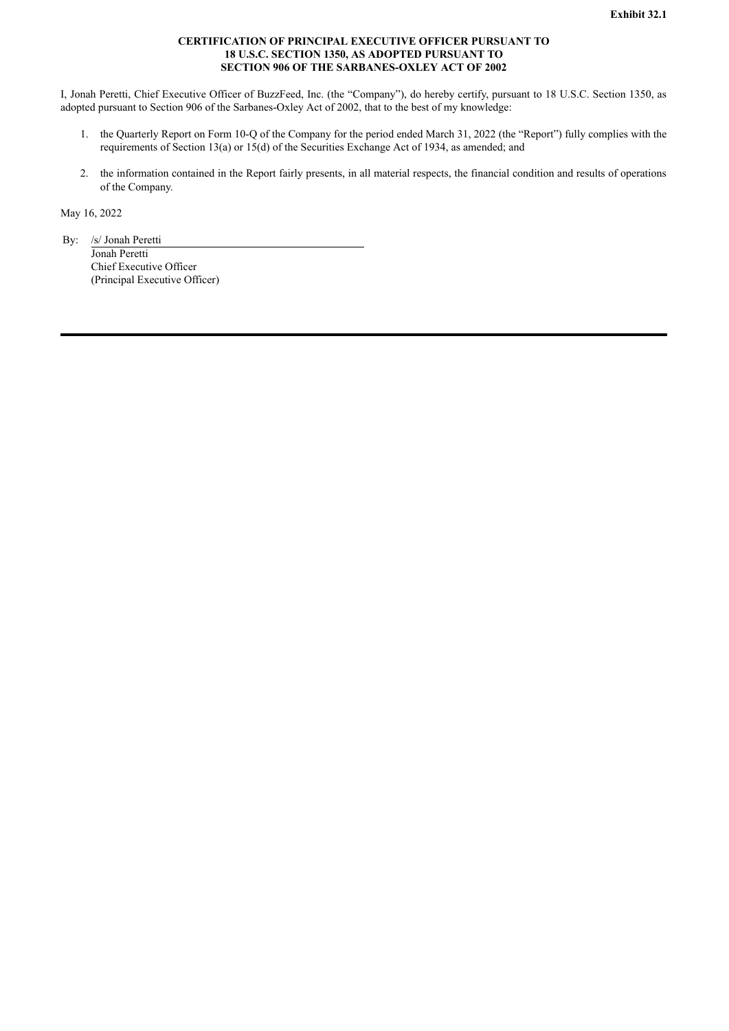# **CERTIFICATION OF PRINCIPAL EXECUTIVE OFFICER PURSUANT TO 18 U.S.C. SECTION 1350, AS ADOPTED PURSUANT TO SECTION 906 OF THE SARBANES-OXLEY ACT OF 2002**

I, Jonah Peretti, Chief Executive Officer of BuzzFeed, Inc. (the "Company"), do hereby certify, pursuant to 18 U.S.C. Section 1350, as adopted pursuant to Section 906 of the Sarbanes-Oxley Act of 2002, that to the best of my knowledge:

- 1. the Quarterly Report on Form 10-Q of the Company for the period ended March 31, 2022 (the "Report") fully complies with the requirements of Section 13(a) or 15(d) of the Securities Exchange Act of 1934, as amended; and
- 2. the information contained in the Report fairly presents, in all material respects, the financial condition and results of operations of the Company.

May 16, 2022

By: /s/ Jonah Peretti Jonah Peretti Chief Executive Officer (Principal Executive Officer)